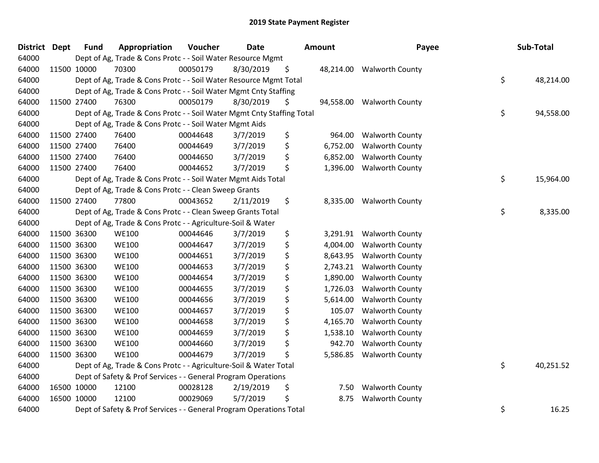| District Dept |             | <b>Fund</b> | Appropriation                                                          | Voucher  | <b>Date</b> | Amount |           | Payee                     | Sub-Total       |
|---------------|-------------|-------------|------------------------------------------------------------------------|----------|-------------|--------|-----------|---------------------------|-----------------|
| 64000         |             |             | Dept of Ag, Trade & Cons Protc - - Soil Water Resource Mgmt            |          |             |        |           |                           |                 |
| 64000         |             | 11500 10000 | 70300                                                                  | 00050179 | 8/30/2019   | \$     |           | 48,214.00 Walworth County |                 |
| 64000         |             |             | Dept of Ag, Trade & Cons Protc - - Soil Water Resource Mgmt Total      |          |             |        |           |                           | \$<br>48,214.00 |
| 64000         |             |             | Dept of Ag, Trade & Cons Protc - - Soil Water Mgmt Cnty Staffing       |          |             |        |           |                           |                 |
| 64000         |             | 11500 27400 | 76300                                                                  | 00050179 | 8/30/2019   | \$     | 94,558.00 | <b>Walworth County</b>    |                 |
| 64000         |             |             | Dept of Ag, Trade & Cons Protc - - Soil Water Mgmt Cnty Staffing Total |          |             |        |           |                           | \$<br>94,558.00 |
| 64000         |             |             | Dept of Ag, Trade & Cons Protc - - Soil Water Mgmt Aids                |          |             |        |           |                           |                 |
| 64000         |             | 11500 27400 | 76400                                                                  | 00044648 | 3/7/2019    | \$     | 964.00    | <b>Walworth County</b>    |                 |
| 64000         | 11500 27400 |             | 76400                                                                  | 00044649 | 3/7/2019    | \$     | 6,752.00  | <b>Walworth County</b>    |                 |
| 64000         |             | 11500 27400 | 76400                                                                  | 00044650 | 3/7/2019    | \$     | 6,852.00  | <b>Walworth County</b>    |                 |
| 64000         |             | 11500 27400 | 76400                                                                  | 00044652 | 3/7/2019    | \$     | 1,396.00  | <b>Walworth County</b>    |                 |
| 64000         |             |             | Dept of Ag, Trade & Cons Protc - - Soil Water Mgmt Aids Total          |          |             |        |           |                           | \$<br>15,964.00 |
| 64000         |             |             | Dept of Ag, Trade & Cons Protc - - Clean Sweep Grants                  |          |             |        |           |                           |                 |
| 64000         |             | 11500 27400 | 77800                                                                  | 00043652 | 2/11/2019   | \$     |           | 8,335.00 Walworth County  |                 |
| 64000         |             |             | Dept of Ag, Trade & Cons Protc - - Clean Sweep Grants Total            |          |             |        |           |                           | \$<br>8,335.00  |
| 64000         |             |             | Dept of Ag, Trade & Cons Protc - - Agriculture-Soil & Water            |          |             |        |           |                           |                 |
| 64000         |             | 11500 36300 | <b>WE100</b>                                                           | 00044646 | 3/7/2019    | \$     | 3,291.91  | <b>Walworth County</b>    |                 |
| 64000         | 11500 36300 |             | <b>WE100</b>                                                           | 00044647 | 3/7/2019    | \$     | 4,004.00  | <b>Walworth County</b>    |                 |
| 64000         | 11500 36300 |             | <b>WE100</b>                                                           | 00044651 | 3/7/2019    | \$     | 8,643.95  | <b>Walworth County</b>    |                 |
| 64000         | 11500 36300 |             | <b>WE100</b>                                                           | 00044653 | 3/7/2019    | \$     | 2,743.21  | <b>Walworth County</b>    |                 |
| 64000         |             | 11500 36300 | <b>WE100</b>                                                           | 00044654 | 3/7/2019    | \$     | 1,890.00  | <b>Walworth County</b>    |                 |
| 64000         |             | 11500 36300 | <b>WE100</b>                                                           | 00044655 | 3/7/2019    | \$     | 1,726.03  | <b>Walworth County</b>    |                 |
| 64000         | 11500 36300 |             | <b>WE100</b>                                                           | 00044656 | 3/7/2019    | \$     | 5,614.00  | <b>Walworth County</b>    |                 |
| 64000         | 11500 36300 |             | <b>WE100</b>                                                           | 00044657 | 3/7/2019    | \$     | 105.07    | <b>Walworth County</b>    |                 |
| 64000         | 11500 36300 |             | <b>WE100</b>                                                           | 00044658 | 3/7/2019    | \$     | 4,165.70  | <b>Walworth County</b>    |                 |
| 64000         |             | 11500 36300 | <b>WE100</b>                                                           | 00044659 | 3/7/2019    | \$     | 1,538.10  | <b>Walworth County</b>    |                 |
| 64000         |             | 11500 36300 | <b>WE100</b>                                                           | 00044660 | 3/7/2019    | \$     | 942.70    | <b>Walworth County</b>    |                 |
| 64000         | 11500 36300 |             | <b>WE100</b>                                                           | 00044679 | 3/7/2019    | \$     | 5,586.85  | <b>Walworth County</b>    |                 |
| 64000         |             |             | Dept of Ag, Trade & Cons Protc - - Agriculture-Soil & Water Total      |          |             |        |           |                           | \$<br>40,251.52 |
| 64000         |             |             | Dept of Safety & Prof Services - - General Program Operations          |          |             |        |           |                           |                 |
| 64000         |             | 16500 10000 | 12100                                                                  | 00028128 | 2/19/2019   | \$     | 7.50      | <b>Walworth County</b>    |                 |
| 64000         |             | 16500 10000 | 12100                                                                  | 00029069 | 5/7/2019    | \$     | 8.75      | <b>Walworth County</b>    |                 |
| 64000         |             |             | Dept of Safety & Prof Services - - General Program Operations Total    |          |             |        |           |                           | \$<br>16.25     |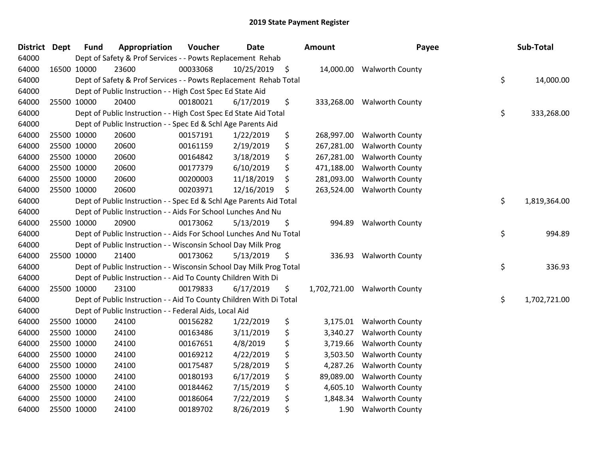| District Dept |             | <b>Fund</b> | Appropriation                                                       | Voucher  | <b>Date</b>   | <b>Amount</b>    | Payee                        | Sub-Total          |
|---------------|-------------|-------------|---------------------------------------------------------------------|----------|---------------|------------------|------------------------------|--------------------|
| 64000         |             |             | Dept of Safety & Prof Services - - Powts Replacement Rehab          |          |               |                  |                              |                    |
| 64000         |             | 16500 10000 | 23600                                                               | 00033068 | 10/25/2019 \$ |                  | 14,000.00 Walworth County    |                    |
| 64000         |             |             | Dept of Safety & Prof Services - - Powts Replacement Rehab Total    |          |               |                  |                              | \$<br>14,000.00    |
| 64000         |             |             | Dept of Public Instruction - - High Cost Spec Ed State Aid          |          |               |                  |                              |                    |
| 64000         |             | 25500 10000 | 20400                                                               | 00180021 | 6/17/2019     | \$<br>333,268.00 | <b>Walworth County</b>       |                    |
| 64000         |             |             | Dept of Public Instruction - - High Cost Spec Ed State Aid Total    |          |               |                  |                              | \$<br>333,268.00   |
| 64000         |             |             | Dept of Public Instruction - - Spec Ed & Schl Age Parents Aid       |          |               |                  |                              |                    |
| 64000         |             | 25500 10000 | 20600                                                               | 00157191 | 1/22/2019     | \$<br>268,997.00 | <b>Walworth County</b>       |                    |
| 64000         |             | 25500 10000 | 20600                                                               | 00161159 | 2/19/2019     | \$<br>267,281.00 | <b>Walworth County</b>       |                    |
| 64000         |             | 25500 10000 | 20600                                                               | 00164842 | 3/18/2019     | \$<br>267,281.00 | Walworth County              |                    |
| 64000         |             | 25500 10000 | 20600                                                               | 00177379 | 6/10/2019     | \$<br>471,188.00 | <b>Walworth County</b>       |                    |
| 64000         |             | 25500 10000 | 20600                                                               | 00200003 | 11/18/2019    | \$<br>281,093.00 | <b>Walworth County</b>       |                    |
| 64000         |             | 25500 10000 | 20600                                                               | 00203971 | 12/16/2019    | \$<br>263,524.00 | <b>Walworth County</b>       |                    |
| 64000         |             |             | Dept of Public Instruction - - Spec Ed & Schl Age Parents Aid Total |          |               |                  |                              | \$<br>1,819,364.00 |
| 64000         |             |             | Dept of Public Instruction - - Aids For School Lunches And Nu       |          |               |                  |                              |                    |
| 64000         |             | 25500 10000 | 20900                                                               | 00173062 | 5/13/2019     | \$<br>994.89     | <b>Walworth County</b>       |                    |
| 64000         |             |             | Dept of Public Instruction - - Aids For School Lunches And Nu Total |          |               |                  |                              | \$<br>994.89       |
| 64000         |             |             | Dept of Public Instruction - - Wisconsin School Day Milk Prog       |          |               |                  |                              |                    |
| 64000         |             | 25500 10000 | 21400                                                               | 00173062 | 5/13/2019     | \$<br>336.93     | <b>Walworth County</b>       |                    |
| 64000         |             |             | Dept of Public Instruction - - Wisconsin School Day Milk Prog Total |          |               |                  |                              | \$<br>336.93       |
| 64000         |             |             | Dept of Public Instruction - - Aid To County Children With Di       |          |               |                  |                              |                    |
| 64000         |             | 25500 10000 | 23100                                                               | 00179833 | 6/17/2019     | \$               | 1,702,721.00 Walworth County |                    |
| 64000         |             |             | Dept of Public Instruction - - Aid To County Children With Di Total |          |               |                  |                              | \$<br>1,702,721.00 |
| 64000         |             |             | Dept of Public Instruction - - Federal Aids, Local Aid              |          |               |                  |                              |                    |
| 64000         |             | 25500 10000 | 24100                                                               | 00156282 | 1/22/2019     | \$<br>3,175.01   | <b>Walworth County</b>       |                    |
| 64000         |             | 25500 10000 | 24100                                                               | 00163486 | 3/11/2019     | \$<br>3,340.27   | <b>Walworth County</b>       |                    |
| 64000         |             | 25500 10000 | 24100                                                               | 00167651 | 4/8/2019      | \$<br>3,719.66   | <b>Walworth County</b>       |                    |
| 64000         | 25500 10000 |             | 24100                                                               | 00169212 | 4/22/2019     | \$<br>3,503.50   | <b>Walworth County</b>       |                    |
| 64000         |             | 25500 10000 | 24100                                                               | 00175487 | 5/28/2019     | \$<br>4,287.26   | <b>Walworth County</b>       |                    |
| 64000         |             | 25500 10000 | 24100                                                               | 00180193 | 6/17/2019     | \$<br>89,089.00  | <b>Walworth County</b>       |                    |
| 64000         |             | 25500 10000 | 24100                                                               | 00184462 | 7/15/2019     | \$<br>4,605.10   | <b>Walworth County</b>       |                    |
| 64000         |             | 25500 10000 | 24100                                                               | 00186064 | 7/22/2019     | \$<br>1,848.34   | <b>Walworth County</b>       |                    |
| 64000         |             | 25500 10000 | 24100                                                               | 00189702 | 8/26/2019     | \$<br>1.90       | <b>Walworth County</b>       |                    |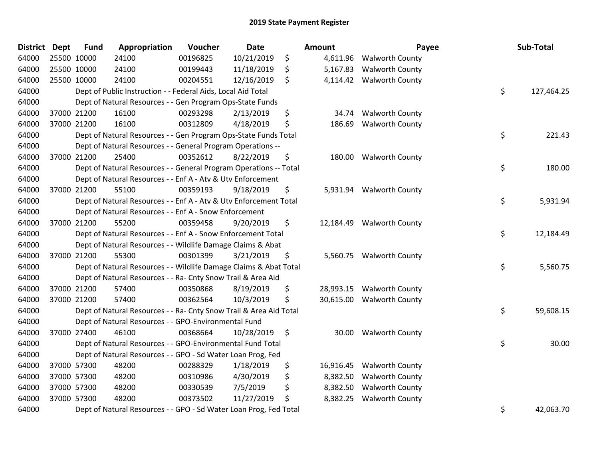| District Dept | <b>Fund</b> | Appropriation                                                      | Voucher  | <b>Date</b> | Amount          | Payee                     | Sub-Total        |
|---------------|-------------|--------------------------------------------------------------------|----------|-------------|-----------------|---------------------------|------------------|
| 64000         | 25500 10000 | 24100                                                              | 00196825 | 10/21/2019  | \$<br>4,611.96  | <b>Walworth County</b>    |                  |
| 64000         | 25500 10000 | 24100                                                              | 00199443 | 11/18/2019  | \$<br>5,167.83  | <b>Walworth County</b>    |                  |
| 64000         | 25500 10000 | 24100                                                              | 00204551 | 12/16/2019  | \$<br>4,114.42  | <b>Walworth County</b>    |                  |
| 64000         |             | Dept of Public Instruction - - Federal Aids, Local Aid Total       |          |             |                 |                           | \$<br>127,464.25 |
| 64000         |             | Dept of Natural Resources - - Gen Program Ops-State Funds          |          |             |                 |                           |                  |
| 64000         | 37000 21200 | 16100                                                              | 00293298 | 2/13/2019   | \$<br>34.74     | <b>Walworth County</b>    |                  |
| 64000         | 37000 21200 | 16100                                                              | 00312809 | 4/18/2019   | \$<br>186.69    | <b>Walworth County</b>    |                  |
| 64000         |             | Dept of Natural Resources - - Gen Program Ops-State Funds Total    |          |             |                 |                           | \$<br>221.43     |
| 64000         |             | Dept of Natural Resources - - General Program Operations --        |          |             |                 |                           |                  |
| 64000         | 37000 21200 | 25400                                                              | 00352612 | 8/22/2019   | \$<br>180.00    | <b>Walworth County</b>    |                  |
| 64000         |             | Dept of Natural Resources - - General Program Operations -- Total  |          |             |                 |                           | \$<br>180.00     |
| 64000         |             | Dept of Natural Resources - - Enf A - Atv & Utv Enforcement        |          |             |                 |                           |                  |
| 64000         | 37000 21200 | 55100                                                              | 00359193 | 9/18/2019   | \$              | 5,931.94 Walworth County  |                  |
| 64000         |             | Dept of Natural Resources - - Enf A - Atv & Utv Enforcement Total  |          |             |                 |                           | \$<br>5,931.94   |
| 64000         |             | Dept of Natural Resources - - Enf A - Snow Enforcement             |          |             |                 |                           |                  |
| 64000         | 37000 21200 | 55200                                                              | 00359458 | 9/20/2019   | \$<br>12,184.49 | <b>Walworth County</b>    |                  |
| 64000         |             | Dept of Natural Resources - - Enf A - Snow Enforcement Total       |          |             |                 |                           | \$<br>12,184.49  |
| 64000         |             | Dept of Natural Resources - - Wildlife Damage Claims & Abat        |          |             |                 |                           |                  |
| 64000         | 37000 21200 | 55300                                                              | 00301399 | 3/21/2019   | \$              | 5,560.75 Walworth County  |                  |
| 64000         |             | Dept of Natural Resources - - Wildlife Damage Claims & Abat Total  |          |             |                 |                           | \$<br>5,560.75   |
| 64000         |             | Dept of Natural Resources - - Ra- Cnty Snow Trail & Area Aid       |          |             |                 |                           |                  |
| 64000         | 37000 21200 | 57400                                                              | 00350868 | 8/19/2019   | \$              | 28,993.15 Walworth County |                  |
| 64000         | 37000 21200 | 57400                                                              | 00362564 | 10/3/2019   | \$              | 30,615.00 Walworth County |                  |
| 64000         |             | Dept of Natural Resources - - Ra- Cnty Snow Trail & Area Aid Total |          |             |                 |                           | \$<br>59,608.15  |
| 64000         |             | Dept of Natural Resources - - GPO-Environmental Fund               |          |             |                 |                           |                  |
| 64000         | 37000 27400 | 46100                                                              | 00368664 | 10/28/2019  | \$<br>30.00     | <b>Walworth County</b>    |                  |
| 64000         |             | Dept of Natural Resources - - GPO-Environmental Fund Total         |          |             |                 |                           | \$<br>30.00      |
| 64000         |             | Dept of Natural Resources - - GPO - Sd Water Loan Prog, Fed        |          |             |                 |                           |                  |
| 64000         | 37000 57300 | 48200                                                              | 00288329 | 1/18/2019   | \$<br>16,916.45 | <b>Walworth County</b>    |                  |
| 64000         | 37000 57300 | 48200                                                              | 00310986 | 4/30/2019   | \$<br>8,382.50  | <b>Walworth County</b>    |                  |
| 64000         | 37000 57300 | 48200                                                              | 00330539 | 7/5/2019    | \$<br>8,382.50  | <b>Walworth County</b>    |                  |
| 64000         | 37000 57300 | 48200                                                              | 00373502 | 11/27/2019  | \$<br>8,382.25  | <b>Walworth County</b>    |                  |
| 64000         |             | Dept of Natural Resources - - GPO - Sd Water Loan Prog, Fed Total  |          |             |                 |                           | \$<br>42,063.70  |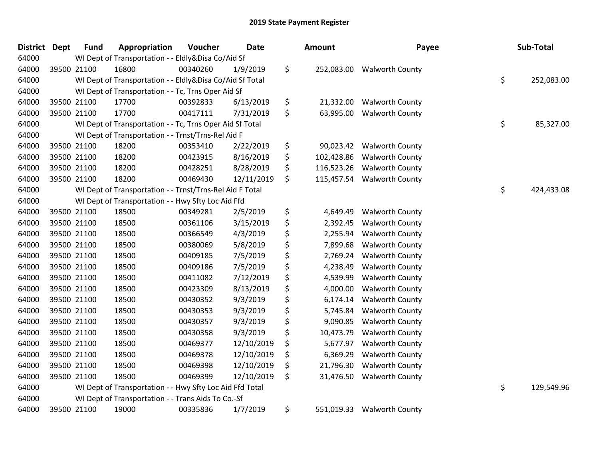| <b>District</b> | <b>Dept</b> | <b>Fund</b> | Appropriation                                            | Voucher  | <b>Date</b> | <b>Amount</b>    | Payee                      | Sub-Total        |
|-----------------|-------------|-------------|----------------------------------------------------------|----------|-------------|------------------|----------------------------|------------------|
| 64000           |             |             | WI Dept of Transportation - - Eldly&Disa Co/Aid Sf       |          |             |                  |                            |                  |
| 64000           |             | 39500 21100 | 16800                                                    | 00340260 | 1/9/2019    | \$               | 252,083.00 Walworth County |                  |
| 64000           |             |             | WI Dept of Transportation - - Eldly&Disa Co/Aid Sf Total |          |             |                  |                            | \$<br>252,083.00 |
| 64000           |             |             | WI Dept of Transportation - - Tc, Trns Oper Aid Sf       |          |             |                  |                            |                  |
| 64000           |             | 39500 21100 | 17700                                                    | 00392833 | 6/13/2019   | \$<br>21,332.00  | <b>Walworth County</b>     |                  |
| 64000           |             | 39500 21100 | 17700                                                    | 00417111 | 7/31/2019   | \$<br>63,995.00  | <b>Walworth County</b>     |                  |
| 64000           |             |             | WI Dept of Transportation - - Tc, Trns Oper Aid Sf Total |          |             |                  |                            | \$<br>85,327.00  |
| 64000           |             |             | WI Dept of Transportation - - Trnst/Trns-Rel Aid F       |          |             |                  |                            |                  |
| 64000           |             | 39500 21100 | 18200                                                    | 00353410 | 2/22/2019   | \$<br>90,023.42  | <b>Walworth County</b>     |                  |
| 64000           |             | 39500 21100 | 18200                                                    | 00423915 | 8/16/2019   | \$<br>102,428.86 | <b>Walworth County</b>     |                  |
| 64000           |             | 39500 21100 | 18200                                                    | 00428251 | 8/28/2019   | \$<br>116,523.26 | <b>Walworth County</b>     |                  |
| 64000           |             | 39500 21100 | 18200                                                    | 00469430 | 12/11/2019  | \$<br>115,457.54 | <b>Walworth County</b>     |                  |
| 64000           |             |             | WI Dept of Transportation - - Trnst/Trns-Rel Aid F Total |          |             |                  |                            | \$<br>424,433.08 |
| 64000           |             |             | WI Dept of Transportation - - Hwy Sfty Loc Aid Ffd       |          |             |                  |                            |                  |
| 64000           |             | 39500 21100 | 18500                                                    | 00349281 | 2/5/2019    | \$<br>4,649.49   | <b>Walworth County</b>     |                  |
| 64000           |             | 39500 21100 | 18500                                                    | 00361106 | 3/15/2019   | \$<br>2,392.45   | <b>Walworth County</b>     |                  |
| 64000           |             | 39500 21100 | 18500                                                    | 00366549 | 4/3/2019    | \$<br>2,255.94   | <b>Walworth County</b>     |                  |
| 64000           |             | 39500 21100 | 18500                                                    | 00380069 | 5/8/2019    | \$<br>7,899.68   | <b>Walworth County</b>     |                  |
| 64000           | 39500 21100 |             | 18500                                                    | 00409185 | 7/5/2019    | \$<br>2,769.24   | <b>Walworth County</b>     |                  |
| 64000           |             | 39500 21100 | 18500                                                    | 00409186 | 7/5/2019    | \$<br>4,238.49   | <b>Walworth County</b>     |                  |
| 64000           |             | 39500 21100 | 18500                                                    | 00411082 | 7/12/2019   | \$<br>4,539.99   | <b>Walworth County</b>     |                  |
| 64000           |             | 39500 21100 | 18500                                                    | 00423309 | 8/13/2019   | \$<br>4,000.00   | <b>Walworth County</b>     |                  |
| 64000           | 39500 21100 |             | 18500                                                    | 00430352 | 9/3/2019    | \$<br>6,174.14   | <b>Walworth County</b>     |                  |
| 64000           | 39500 21100 |             | 18500                                                    | 00430353 | 9/3/2019    | \$<br>5,745.84   | <b>Walworth County</b>     |                  |
| 64000           | 39500 21100 |             | 18500                                                    | 00430357 | 9/3/2019    | \$<br>9,090.85   | <b>Walworth County</b>     |                  |
| 64000           | 39500 21100 |             | 18500                                                    | 00430358 | 9/3/2019    | \$<br>10,473.79  | <b>Walworth County</b>     |                  |
| 64000           |             | 39500 21100 | 18500                                                    | 00469377 | 12/10/2019  | \$<br>5,677.97   | <b>Walworth County</b>     |                  |
| 64000           |             | 39500 21100 | 18500                                                    | 00469378 | 12/10/2019  | \$<br>6,369.29   | <b>Walworth County</b>     |                  |
| 64000           | 39500 21100 |             | 18500                                                    | 00469398 | 12/10/2019  | \$<br>21,796.30  | <b>Walworth County</b>     |                  |
| 64000           | 39500 21100 |             | 18500                                                    | 00469399 | 12/10/2019  | \$<br>31,476.50  | <b>Walworth County</b>     |                  |
| 64000           |             |             | WI Dept of Transportation - - Hwy Sfty Loc Aid Ffd Total |          |             |                  |                            | \$<br>129,549.96 |
| 64000           |             |             | WI Dept of Transportation - - Trans Aids To Co.-Sf       |          |             |                  |                            |                  |
| 64000           |             | 39500 21100 | 19000                                                    | 00335836 | 1/7/2019    | \$<br>551,019.33 | <b>Walworth County</b>     |                  |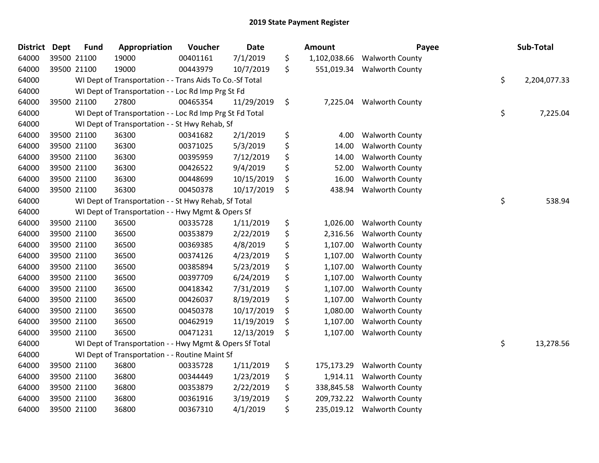| \$<br>7/1/2019<br>64000<br>39500 21100<br>19000<br>00401161<br>1,102,038.66<br><b>Walworth County</b><br>\$<br>39500 21100<br>19000<br>10/7/2019<br>64000<br>00443979<br>551,019.34 Walworth County<br>\$<br>64000<br>WI Dept of Transportation - - Trans Aids To Co.-Sf Total<br>2,204,077.33<br>64000<br>WI Dept of Transportation - - Loc Rd Imp Prg St Fd<br>27800<br>\$<br>64000<br>39500 21100<br>00465354<br>11/29/2019<br>7,225.04 Walworth County<br>\$<br>64000<br>WI Dept of Transportation - - Loc Rd Imp Prg St Fd Total<br>7,225.04<br>64000<br>WI Dept of Transportation - - St Hwy Rehab, Sf<br>\$<br>64000<br>39500 21100<br>36300<br>00341682<br>2/1/2019<br>4.00<br><b>Walworth County</b><br>\$<br>39500 21100<br>36300<br><b>Walworth County</b><br>64000<br>00371025<br>5/3/2019<br>14.00<br>\$<br>39500 21100<br>64000<br>36300<br>00395959<br>7/12/2019<br>14.00<br><b>Walworth County</b><br>\$<br>39500 21100<br>36300<br>9/4/2019<br>64000<br>00426522<br>52.00<br><b>Walworth County</b><br>\$<br>39500 21100<br>36300<br>00448699<br>10/15/2019<br>16.00<br><b>Walworth County</b><br>64000<br>\$<br>64000<br>39500 21100<br>36300<br>10/17/2019<br><b>Walworth County</b><br>00450378<br>438.94<br>\$<br>64000<br>538.94<br>WI Dept of Transportation - - St Hwy Rehab, Sf Total<br>64000<br>WI Dept of Transportation - - Hwy Mgmt & Opers Sf<br>\$<br>36500<br>64000<br>39500 21100<br>00335728<br>1/11/2019<br>1,026.00<br><b>Walworth County</b><br>\$<br>39500 21100<br>36500<br>64000<br>00353879<br>2/22/2019<br>2,316.56<br><b>Walworth County</b><br>\$<br>64000<br>39500 21100<br>36500<br>4/8/2019<br>00369385<br>1,107.00<br><b>Walworth County</b><br>\$<br>64000<br>39500 21100<br>36500<br>00374126<br>4/23/2019<br>1,107.00<br><b>Walworth County</b><br>\$<br>64000<br>39500 21100<br>36500<br>00385894<br>5/23/2019<br>1,107.00<br><b>Walworth County</b><br>\$<br>39500 21100<br>36500<br>00397709<br>6/24/2019<br>64000<br>1,107.00<br><b>Walworth County</b><br>\$<br>39500 21100<br>36500<br>64000<br>00418342<br>7/31/2019<br>1,107.00<br><b>Walworth County</b><br>\$<br>36500<br>64000<br>39500 21100<br>00426037<br>8/19/2019<br>1,107.00<br><b>Walworth County</b><br>\$<br>64000<br>39500 21100<br>36500<br>00450378<br>10/17/2019<br>1,080.00<br><b>Walworth County</b><br>64000<br>39500 21100<br>36500<br>00462919<br>11/19/2019<br>\$<br>1,107.00<br><b>Walworth County</b><br>\$<br>64000<br>39500 21100<br>36500<br>00471231<br>12/13/2019<br>1,107.00<br><b>Walworth County</b><br>\$<br>64000<br>WI Dept of Transportation - - Hwy Mgmt & Opers Sf Total<br>13,278.56<br>WI Dept of Transportation - - Routine Maint Sf<br>64000<br>\$<br>39500 21100<br>36800<br>1/11/2019<br>64000<br>00335728<br>175,173.29<br><b>Walworth County</b><br>\$<br>36800<br>64000<br>39500 21100<br>00344449<br>1/23/2019<br>1,914.11<br><b>Walworth County</b><br>\$<br>39500 21100<br>64000<br>36800<br>00353879<br>2/22/2019<br>338,845.58<br><b>Walworth County</b><br>\$<br>64000<br>39500 21100<br>36800<br>00361916<br>3/19/2019<br>209,732.22<br><b>Walworth County</b><br>\$<br>64000<br>39500 21100<br>36800<br>00367310<br>4/1/2019<br>235,019.12<br><b>Walworth County</b> | <b>District</b> | <b>Dept</b> | <b>Fund</b> | Appropriation | Voucher | <b>Date</b> | <b>Amount</b> | Payee | Sub-Total |
|-----------------------------------------------------------------------------------------------------------------------------------------------------------------------------------------------------------------------------------------------------------------------------------------------------------------------------------------------------------------------------------------------------------------------------------------------------------------------------------------------------------------------------------------------------------------------------------------------------------------------------------------------------------------------------------------------------------------------------------------------------------------------------------------------------------------------------------------------------------------------------------------------------------------------------------------------------------------------------------------------------------------------------------------------------------------------------------------------------------------------------------------------------------------------------------------------------------------------------------------------------------------------------------------------------------------------------------------------------------------------------------------------------------------------------------------------------------------------------------------------------------------------------------------------------------------------------------------------------------------------------------------------------------------------------------------------------------------------------------------------------------------------------------------------------------------------------------------------------------------------------------------------------------------------------------------------------------------------------------------------------------------------------------------------------------------------------------------------------------------------------------------------------------------------------------------------------------------------------------------------------------------------------------------------------------------------------------------------------------------------------------------------------------------------------------------------------------------------------------------------------------------------------------------------------------------------------------------------------------------------------------------------------------------------------------------------------------------------------------------------------------------------------------------------------------------------------------------------------------------------------------------------------------------------------------------------------------------------------------------------------------------------------------------------------------------------------------------------------------------------------------------------------------------------------------------------------------------------------------------|-----------------|-------------|-------------|---------------|---------|-------------|---------------|-------|-----------|
|                                                                                                                                                                                                                                                                                                                                                                                                                                                                                                                                                                                                                                                                                                                                                                                                                                                                                                                                                                                                                                                                                                                                                                                                                                                                                                                                                                                                                                                                                                                                                                                                                                                                                                                                                                                                                                                                                                                                                                                                                                                                                                                                                                                                                                                                                                                                                                                                                                                                                                                                                                                                                                                                                                                                                                                                                                                                                                                                                                                                                                                                                                                                                                                                                                         |                 |             |             |               |         |             |               |       |           |
|                                                                                                                                                                                                                                                                                                                                                                                                                                                                                                                                                                                                                                                                                                                                                                                                                                                                                                                                                                                                                                                                                                                                                                                                                                                                                                                                                                                                                                                                                                                                                                                                                                                                                                                                                                                                                                                                                                                                                                                                                                                                                                                                                                                                                                                                                                                                                                                                                                                                                                                                                                                                                                                                                                                                                                                                                                                                                                                                                                                                                                                                                                                                                                                                                                         |                 |             |             |               |         |             |               |       |           |
|                                                                                                                                                                                                                                                                                                                                                                                                                                                                                                                                                                                                                                                                                                                                                                                                                                                                                                                                                                                                                                                                                                                                                                                                                                                                                                                                                                                                                                                                                                                                                                                                                                                                                                                                                                                                                                                                                                                                                                                                                                                                                                                                                                                                                                                                                                                                                                                                                                                                                                                                                                                                                                                                                                                                                                                                                                                                                                                                                                                                                                                                                                                                                                                                                                         |                 |             |             |               |         |             |               |       |           |
|                                                                                                                                                                                                                                                                                                                                                                                                                                                                                                                                                                                                                                                                                                                                                                                                                                                                                                                                                                                                                                                                                                                                                                                                                                                                                                                                                                                                                                                                                                                                                                                                                                                                                                                                                                                                                                                                                                                                                                                                                                                                                                                                                                                                                                                                                                                                                                                                                                                                                                                                                                                                                                                                                                                                                                                                                                                                                                                                                                                                                                                                                                                                                                                                                                         |                 |             |             |               |         |             |               |       |           |
|                                                                                                                                                                                                                                                                                                                                                                                                                                                                                                                                                                                                                                                                                                                                                                                                                                                                                                                                                                                                                                                                                                                                                                                                                                                                                                                                                                                                                                                                                                                                                                                                                                                                                                                                                                                                                                                                                                                                                                                                                                                                                                                                                                                                                                                                                                                                                                                                                                                                                                                                                                                                                                                                                                                                                                                                                                                                                                                                                                                                                                                                                                                                                                                                                                         |                 |             |             |               |         |             |               |       |           |
|                                                                                                                                                                                                                                                                                                                                                                                                                                                                                                                                                                                                                                                                                                                                                                                                                                                                                                                                                                                                                                                                                                                                                                                                                                                                                                                                                                                                                                                                                                                                                                                                                                                                                                                                                                                                                                                                                                                                                                                                                                                                                                                                                                                                                                                                                                                                                                                                                                                                                                                                                                                                                                                                                                                                                                                                                                                                                                                                                                                                                                                                                                                                                                                                                                         |                 |             |             |               |         |             |               |       |           |
|                                                                                                                                                                                                                                                                                                                                                                                                                                                                                                                                                                                                                                                                                                                                                                                                                                                                                                                                                                                                                                                                                                                                                                                                                                                                                                                                                                                                                                                                                                                                                                                                                                                                                                                                                                                                                                                                                                                                                                                                                                                                                                                                                                                                                                                                                                                                                                                                                                                                                                                                                                                                                                                                                                                                                                                                                                                                                                                                                                                                                                                                                                                                                                                                                                         |                 |             |             |               |         |             |               |       |           |
|                                                                                                                                                                                                                                                                                                                                                                                                                                                                                                                                                                                                                                                                                                                                                                                                                                                                                                                                                                                                                                                                                                                                                                                                                                                                                                                                                                                                                                                                                                                                                                                                                                                                                                                                                                                                                                                                                                                                                                                                                                                                                                                                                                                                                                                                                                                                                                                                                                                                                                                                                                                                                                                                                                                                                                                                                                                                                                                                                                                                                                                                                                                                                                                                                                         |                 |             |             |               |         |             |               |       |           |
|                                                                                                                                                                                                                                                                                                                                                                                                                                                                                                                                                                                                                                                                                                                                                                                                                                                                                                                                                                                                                                                                                                                                                                                                                                                                                                                                                                                                                                                                                                                                                                                                                                                                                                                                                                                                                                                                                                                                                                                                                                                                                                                                                                                                                                                                                                                                                                                                                                                                                                                                                                                                                                                                                                                                                                                                                                                                                                                                                                                                                                                                                                                                                                                                                                         |                 |             |             |               |         |             |               |       |           |
|                                                                                                                                                                                                                                                                                                                                                                                                                                                                                                                                                                                                                                                                                                                                                                                                                                                                                                                                                                                                                                                                                                                                                                                                                                                                                                                                                                                                                                                                                                                                                                                                                                                                                                                                                                                                                                                                                                                                                                                                                                                                                                                                                                                                                                                                                                                                                                                                                                                                                                                                                                                                                                                                                                                                                                                                                                                                                                                                                                                                                                                                                                                                                                                                                                         |                 |             |             |               |         |             |               |       |           |
|                                                                                                                                                                                                                                                                                                                                                                                                                                                                                                                                                                                                                                                                                                                                                                                                                                                                                                                                                                                                                                                                                                                                                                                                                                                                                                                                                                                                                                                                                                                                                                                                                                                                                                                                                                                                                                                                                                                                                                                                                                                                                                                                                                                                                                                                                                                                                                                                                                                                                                                                                                                                                                                                                                                                                                                                                                                                                                                                                                                                                                                                                                                                                                                                                                         |                 |             |             |               |         |             |               |       |           |
|                                                                                                                                                                                                                                                                                                                                                                                                                                                                                                                                                                                                                                                                                                                                                                                                                                                                                                                                                                                                                                                                                                                                                                                                                                                                                                                                                                                                                                                                                                                                                                                                                                                                                                                                                                                                                                                                                                                                                                                                                                                                                                                                                                                                                                                                                                                                                                                                                                                                                                                                                                                                                                                                                                                                                                                                                                                                                                                                                                                                                                                                                                                                                                                                                                         |                 |             |             |               |         |             |               |       |           |
|                                                                                                                                                                                                                                                                                                                                                                                                                                                                                                                                                                                                                                                                                                                                                                                                                                                                                                                                                                                                                                                                                                                                                                                                                                                                                                                                                                                                                                                                                                                                                                                                                                                                                                                                                                                                                                                                                                                                                                                                                                                                                                                                                                                                                                                                                                                                                                                                                                                                                                                                                                                                                                                                                                                                                                                                                                                                                                                                                                                                                                                                                                                                                                                                                                         |                 |             |             |               |         |             |               |       |           |
|                                                                                                                                                                                                                                                                                                                                                                                                                                                                                                                                                                                                                                                                                                                                                                                                                                                                                                                                                                                                                                                                                                                                                                                                                                                                                                                                                                                                                                                                                                                                                                                                                                                                                                                                                                                                                                                                                                                                                                                                                                                                                                                                                                                                                                                                                                                                                                                                                                                                                                                                                                                                                                                                                                                                                                                                                                                                                                                                                                                                                                                                                                                                                                                                                                         |                 |             |             |               |         |             |               |       |           |
|                                                                                                                                                                                                                                                                                                                                                                                                                                                                                                                                                                                                                                                                                                                                                                                                                                                                                                                                                                                                                                                                                                                                                                                                                                                                                                                                                                                                                                                                                                                                                                                                                                                                                                                                                                                                                                                                                                                                                                                                                                                                                                                                                                                                                                                                                                                                                                                                                                                                                                                                                                                                                                                                                                                                                                                                                                                                                                                                                                                                                                                                                                                                                                                                                                         |                 |             |             |               |         |             |               |       |           |
|                                                                                                                                                                                                                                                                                                                                                                                                                                                                                                                                                                                                                                                                                                                                                                                                                                                                                                                                                                                                                                                                                                                                                                                                                                                                                                                                                                                                                                                                                                                                                                                                                                                                                                                                                                                                                                                                                                                                                                                                                                                                                                                                                                                                                                                                                                                                                                                                                                                                                                                                                                                                                                                                                                                                                                                                                                                                                                                                                                                                                                                                                                                                                                                                                                         |                 |             |             |               |         |             |               |       |           |
|                                                                                                                                                                                                                                                                                                                                                                                                                                                                                                                                                                                                                                                                                                                                                                                                                                                                                                                                                                                                                                                                                                                                                                                                                                                                                                                                                                                                                                                                                                                                                                                                                                                                                                                                                                                                                                                                                                                                                                                                                                                                                                                                                                                                                                                                                                                                                                                                                                                                                                                                                                                                                                                                                                                                                                                                                                                                                                                                                                                                                                                                                                                                                                                                                                         |                 |             |             |               |         |             |               |       |           |
|                                                                                                                                                                                                                                                                                                                                                                                                                                                                                                                                                                                                                                                                                                                                                                                                                                                                                                                                                                                                                                                                                                                                                                                                                                                                                                                                                                                                                                                                                                                                                                                                                                                                                                                                                                                                                                                                                                                                                                                                                                                                                                                                                                                                                                                                                                                                                                                                                                                                                                                                                                                                                                                                                                                                                                                                                                                                                                                                                                                                                                                                                                                                                                                                                                         |                 |             |             |               |         |             |               |       |           |
|                                                                                                                                                                                                                                                                                                                                                                                                                                                                                                                                                                                                                                                                                                                                                                                                                                                                                                                                                                                                                                                                                                                                                                                                                                                                                                                                                                                                                                                                                                                                                                                                                                                                                                                                                                                                                                                                                                                                                                                                                                                                                                                                                                                                                                                                                                                                                                                                                                                                                                                                                                                                                                                                                                                                                                                                                                                                                                                                                                                                                                                                                                                                                                                                                                         |                 |             |             |               |         |             |               |       |           |
|                                                                                                                                                                                                                                                                                                                                                                                                                                                                                                                                                                                                                                                                                                                                                                                                                                                                                                                                                                                                                                                                                                                                                                                                                                                                                                                                                                                                                                                                                                                                                                                                                                                                                                                                                                                                                                                                                                                                                                                                                                                                                                                                                                                                                                                                                                                                                                                                                                                                                                                                                                                                                                                                                                                                                                                                                                                                                                                                                                                                                                                                                                                                                                                                                                         |                 |             |             |               |         |             |               |       |           |
|                                                                                                                                                                                                                                                                                                                                                                                                                                                                                                                                                                                                                                                                                                                                                                                                                                                                                                                                                                                                                                                                                                                                                                                                                                                                                                                                                                                                                                                                                                                                                                                                                                                                                                                                                                                                                                                                                                                                                                                                                                                                                                                                                                                                                                                                                                                                                                                                                                                                                                                                                                                                                                                                                                                                                                                                                                                                                                                                                                                                                                                                                                                                                                                                                                         |                 |             |             |               |         |             |               |       |           |
|                                                                                                                                                                                                                                                                                                                                                                                                                                                                                                                                                                                                                                                                                                                                                                                                                                                                                                                                                                                                                                                                                                                                                                                                                                                                                                                                                                                                                                                                                                                                                                                                                                                                                                                                                                                                                                                                                                                                                                                                                                                                                                                                                                                                                                                                                                                                                                                                                                                                                                                                                                                                                                                                                                                                                                                                                                                                                                                                                                                                                                                                                                                                                                                                                                         |                 |             |             |               |         |             |               |       |           |
|                                                                                                                                                                                                                                                                                                                                                                                                                                                                                                                                                                                                                                                                                                                                                                                                                                                                                                                                                                                                                                                                                                                                                                                                                                                                                                                                                                                                                                                                                                                                                                                                                                                                                                                                                                                                                                                                                                                                                                                                                                                                                                                                                                                                                                                                                                                                                                                                                                                                                                                                                                                                                                                                                                                                                                                                                                                                                                                                                                                                                                                                                                                                                                                                                                         |                 |             |             |               |         |             |               |       |           |
|                                                                                                                                                                                                                                                                                                                                                                                                                                                                                                                                                                                                                                                                                                                                                                                                                                                                                                                                                                                                                                                                                                                                                                                                                                                                                                                                                                                                                                                                                                                                                                                                                                                                                                                                                                                                                                                                                                                                                                                                                                                                                                                                                                                                                                                                                                                                                                                                                                                                                                                                                                                                                                                                                                                                                                                                                                                                                                                                                                                                                                                                                                                                                                                                                                         |                 |             |             |               |         |             |               |       |           |
|                                                                                                                                                                                                                                                                                                                                                                                                                                                                                                                                                                                                                                                                                                                                                                                                                                                                                                                                                                                                                                                                                                                                                                                                                                                                                                                                                                                                                                                                                                                                                                                                                                                                                                                                                                                                                                                                                                                                                                                                                                                                                                                                                                                                                                                                                                                                                                                                                                                                                                                                                                                                                                                                                                                                                                                                                                                                                                                                                                                                                                                                                                                                                                                                                                         |                 |             |             |               |         |             |               |       |           |
|                                                                                                                                                                                                                                                                                                                                                                                                                                                                                                                                                                                                                                                                                                                                                                                                                                                                                                                                                                                                                                                                                                                                                                                                                                                                                                                                                                                                                                                                                                                                                                                                                                                                                                                                                                                                                                                                                                                                                                                                                                                                                                                                                                                                                                                                                                                                                                                                                                                                                                                                                                                                                                                                                                                                                                                                                                                                                                                                                                                                                                                                                                                                                                                                                                         |                 |             |             |               |         |             |               |       |           |
|                                                                                                                                                                                                                                                                                                                                                                                                                                                                                                                                                                                                                                                                                                                                                                                                                                                                                                                                                                                                                                                                                                                                                                                                                                                                                                                                                                                                                                                                                                                                                                                                                                                                                                                                                                                                                                                                                                                                                                                                                                                                                                                                                                                                                                                                                                                                                                                                                                                                                                                                                                                                                                                                                                                                                                                                                                                                                                                                                                                                                                                                                                                                                                                                                                         |                 |             |             |               |         |             |               |       |           |
|                                                                                                                                                                                                                                                                                                                                                                                                                                                                                                                                                                                                                                                                                                                                                                                                                                                                                                                                                                                                                                                                                                                                                                                                                                                                                                                                                                                                                                                                                                                                                                                                                                                                                                                                                                                                                                                                                                                                                                                                                                                                                                                                                                                                                                                                                                                                                                                                                                                                                                                                                                                                                                                                                                                                                                                                                                                                                                                                                                                                                                                                                                                                                                                                                                         |                 |             |             |               |         |             |               |       |           |
|                                                                                                                                                                                                                                                                                                                                                                                                                                                                                                                                                                                                                                                                                                                                                                                                                                                                                                                                                                                                                                                                                                                                                                                                                                                                                                                                                                                                                                                                                                                                                                                                                                                                                                                                                                                                                                                                                                                                                                                                                                                                                                                                                                                                                                                                                                                                                                                                                                                                                                                                                                                                                                                                                                                                                                                                                                                                                                                                                                                                                                                                                                                                                                                                                                         |                 |             |             |               |         |             |               |       |           |
|                                                                                                                                                                                                                                                                                                                                                                                                                                                                                                                                                                                                                                                                                                                                                                                                                                                                                                                                                                                                                                                                                                                                                                                                                                                                                                                                                                                                                                                                                                                                                                                                                                                                                                                                                                                                                                                                                                                                                                                                                                                                                                                                                                                                                                                                                                                                                                                                                                                                                                                                                                                                                                                                                                                                                                                                                                                                                                                                                                                                                                                                                                                                                                                                                                         |                 |             |             |               |         |             |               |       |           |
|                                                                                                                                                                                                                                                                                                                                                                                                                                                                                                                                                                                                                                                                                                                                                                                                                                                                                                                                                                                                                                                                                                                                                                                                                                                                                                                                                                                                                                                                                                                                                                                                                                                                                                                                                                                                                                                                                                                                                                                                                                                                                                                                                                                                                                                                                                                                                                                                                                                                                                                                                                                                                                                                                                                                                                                                                                                                                                                                                                                                                                                                                                                                                                                                                                         |                 |             |             |               |         |             |               |       |           |
|                                                                                                                                                                                                                                                                                                                                                                                                                                                                                                                                                                                                                                                                                                                                                                                                                                                                                                                                                                                                                                                                                                                                                                                                                                                                                                                                                                                                                                                                                                                                                                                                                                                                                                                                                                                                                                                                                                                                                                                                                                                                                                                                                                                                                                                                                                                                                                                                                                                                                                                                                                                                                                                                                                                                                                                                                                                                                                                                                                                                                                                                                                                                                                                                                                         |                 |             |             |               |         |             |               |       |           |
|                                                                                                                                                                                                                                                                                                                                                                                                                                                                                                                                                                                                                                                                                                                                                                                                                                                                                                                                                                                                                                                                                                                                                                                                                                                                                                                                                                                                                                                                                                                                                                                                                                                                                                                                                                                                                                                                                                                                                                                                                                                                                                                                                                                                                                                                                                                                                                                                                                                                                                                                                                                                                                                                                                                                                                                                                                                                                                                                                                                                                                                                                                                                                                                                                                         |                 |             |             |               |         |             |               |       |           |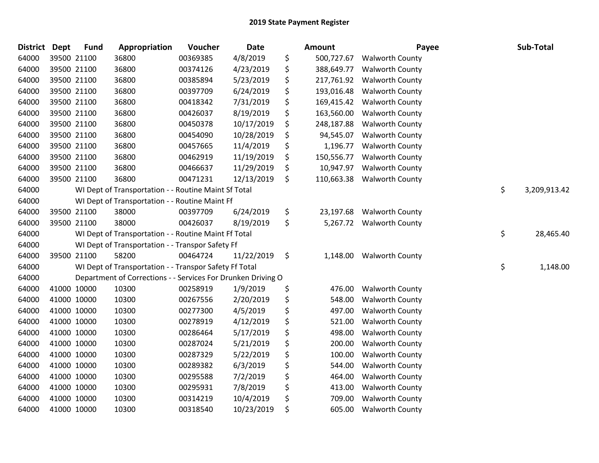| <b>District</b> | <b>Dept</b> | <b>Fund</b> | Appropriation                                                | Voucher  | <b>Date</b> | <b>Amount</b>    | Payee                  | Sub-Total          |
|-----------------|-------------|-------------|--------------------------------------------------------------|----------|-------------|------------------|------------------------|--------------------|
| 64000           |             | 39500 21100 | 36800                                                        | 00369385 | 4/8/2019    | \$<br>500,727.67 | <b>Walworth County</b> |                    |
| 64000           |             | 39500 21100 | 36800                                                        | 00374126 | 4/23/2019   | \$<br>388,649.77 | <b>Walworth County</b> |                    |
| 64000           |             | 39500 21100 | 36800                                                        | 00385894 | 5/23/2019   | \$<br>217,761.92 | <b>Walworth County</b> |                    |
| 64000           |             | 39500 21100 | 36800                                                        | 00397709 | 6/24/2019   | \$<br>193,016.48 | <b>Walworth County</b> |                    |
| 64000           |             | 39500 21100 | 36800                                                        | 00418342 | 7/31/2019   | \$<br>169,415.42 | <b>Walworth County</b> |                    |
| 64000           |             | 39500 21100 | 36800                                                        | 00426037 | 8/19/2019   | \$<br>163,560.00 | <b>Walworth County</b> |                    |
| 64000           |             | 39500 21100 | 36800                                                        | 00450378 | 10/17/2019  | \$<br>248,187.88 | <b>Walworth County</b> |                    |
| 64000           |             | 39500 21100 | 36800                                                        | 00454090 | 10/28/2019  | \$<br>94,545.07  | <b>Walworth County</b> |                    |
| 64000           |             | 39500 21100 | 36800                                                        | 00457665 | 11/4/2019   | \$<br>1,196.77   | <b>Walworth County</b> |                    |
| 64000           |             | 39500 21100 | 36800                                                        | 00462919 | 11/19/2019  | \$<br>150,556.77 | <b>Walworth County</b> |                    |
| 64000           |             | 39500 21100 | 36800                                                        | 00466637 | 11/29/2019  | \$<br>10,947.97  | <b>Walworth County</b> |                    |
| 64000           |             | 39500 21100 | 36800                                                        | 00471231 | 12/13/2019  | \$<br>110,663.38 | <b>Walworth County</b> |                    |
| 64000           |             |             | WI Dept of Transportation - - Routine Maint Sf Total         |          |             |                  |                        | \$<br>3,209,913.42 |
| 64000           |             |             | WI Dept of Transportation - - Routine Maint Ff               |          |             |                  |                        |                    |
| 64000           |             | 39500 21100 | 38000                                                        | 00397709 | 6/24/2019   | \$<br>23,197.68  | <b>Walworth County</b> |                    |
| 64000           |             | 39500 21100 | 38000                                                        | 00426037 | 8/19/2019   | \$<br>5,267.72   | <b>Walworth County</b> |                    |
| 64000           |             |             | WI Dept of Transportation - - Routine Maint Ff Total         |          |             |                  |                        | \$<br>28,465.40    |
| 64000           |             |             | WI Dept of Transportation - - Transpor Safety Ff             |          |             |                  |                        |                    |
| 64000           |             | 39500 21100 | 58200                                                        | 00464724 | 11/22/2019  | \$<br>1,148.00   | <b>Walworth County</b> |                    |
| 64000           |             |             | WI Dept of Transportation - - Transpor Safety Ff Total       |          |             |                  |                        | \$<br>1,148.00     |
| 64000           |             |             | Department of Corrections - - Services For Drunken Driving O |          |             |                  |                        |                    |
| 64000           |             | 41000 10000 | 10300                                                        | 00258919 | 1/9/2019    | \$<br>476.00     | <b>Walworth County</b> |                    |
| 64000           |             | 41000 10000 | 10300                                                        | 00267556 | 2/20/2019   | \$<br>548.00     | Walworth County        |                    |
| 64000           |             | 41000 10000 | 10300                                                        | 00277300 | 4/5/2019    | \$<br>497.00     | <b>Walworth County</b> |                    |
| 64000           |             | 41000 10000 | 10300                                                        | 00278919 | 4/12/2019   | \$<br>521.00     | <b>Walworth County</b> |                    |
| 64000           |             | 41000 10000 | 10300                                                        | 00286464 | 5/17/2019   | \$<br>498.00     | <b>Walworth County</b> |                    |
| 64000           |             | 41000 10000 | 10300                                                        | 00287024 | 5/21/2019   | \$<br>200.00     | Walworth County        |                    |
| 64000           |             | 41000 10000 | 10300                                                        | 00287329 | 5/22/2019   | \$<br>100.00     | Walworth County        |                    |
| 64000           |             | 41000 10000 | 10300                                                        | 00289382 | 6/3/2019    | \$<br>544.00     | <b>Walworth County</b> |                    |
| 64000           |             | 41000 10000 | 10300                                                        | 00295588 | 7/2/2019    | \$<br>464.00     | <b>Walworth County</b> |                    |
| 64000           |             | 41000 10000 | 10300                                                        | 00295931 | 7/8/2019    | \$<br>413.00     | <b>Walworth County</b> |                    |
| 64000           |             | 41000 10000 | 10300                                                        | 00314219 | 10/4/2019   | \$<br>709.00     | <b>Walworth County</b> |                    |
| 64000           |             | 41000 10000 | 10300                                                        | 00318540 | 10/23/2019  | \$<br>605.00     | <b>Walworth County</b> |                    |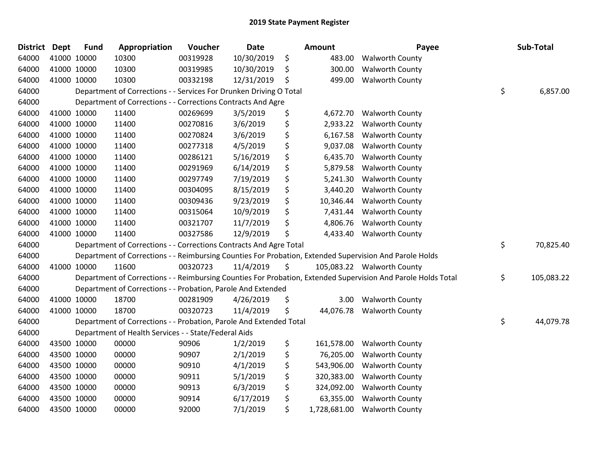| District Dept |             | <b>Fund</b> | Appropriation                                                      | <b>Voucher</b> | <b>Date</b> | <b>Amount</b>      | Payee                                                                                                         | Sub-Total        |
|---------------|-------------|-------------|--------------------------------------------------------------------|----------------|-------------|--------------------|---------------------------------------------------------------------------------------------------------------|------------------|
| 64000         | 41000 10000 |             | 10300                                                              | 00319928       | 10/30/2019  | \$<br>483.00       | <b>Walworth County</b>                                                                                        |                  |
| 64000         | 41000 10000 |             | 10300                                                              | 00319985       | 10/30/2019  | \$<br>300.00       | <b>Walworth County</b>                                                                                        |                  |
| 64000         | 41000 10000 |             | 10300                                                              | 00332198       | 12/31/2019  | \$<br>499.00       | <b>Walworth County</b>                                                                                        |                  |
| 64000         |             |             | Department of Corrections - - Services For Drunken Driving O Total |                |             |                    |                                                                                                               | \$<br>6,857.00   |
| 64000         |             |             | Department of Corrections - - Corrections Contracts And Agre       |                |             |                    |                                                                                                               |                  |
| 64000         | 41000 10000 |             | 11400                                                              | 00269699       | 3/5/2019    | \$<br>4,672.70     | <b>Walworth County</b>                                                                                        |                  |
| 64000         | 41000 10000 |             | 11400                                                              | 00270816       | 3/6/2019    | \$<br>2,933.22     | <b>Walworth County</b>                                                                                        |                  |
| 64000         | 41000 10000 |             | 11400                                                              | 00270824       | 3/6/2019    | \$<br>6,167.58     | <b>Walworth County</b>                                                                                        |                  |
| 64000         | 41000 10000 |             | 11400                                                              | 00277318       | 4/5/2019    | \$<br>9,037.08     | <b>Walworth County</b>                                                                                        |                  |
| 64000         | 41000 10000 |             | 11400                                                              | 00286121       | 5/16/2019   | \$<br>6,435.70     | <b>Walworth County</b>                                                                                        |                  |
| 64000         | 41000 10000 |             | 11400                                                              | 00291969       | 6/14/2019   | \$<br>5,879.58     | <b>Walworth County</b>                                                                                        |                  |
| 64000         | 41000 10000 |             | 11400                                                              | 00297749       | 7/19/2019   | \$<br>5,241.30     | <b>Walworth County</b>                                                                                        |                  |
| 64000         | 41000 10000 |             | 11400                                                              | 00304095       | 8/15/2019   | \$<br>3,440.20     | <b>Walworth County</b>                                                                                        |                  |
| 64000         | 41000 10000 |             | 11400                                                              | 00309436       | 9/23/2019   | \$<br>10,346.44    | <b>Walworth County</b>                                                                                        |                  |
| 64000         | 41000 10000 |             | 11400                                                              | 00315064       | 10/9/2019   | \$<br>7,431.44     | <b>Walworth County</b>                                                                                        |                  |
| 64000         | 41000 10000 |             | 11400                                                              | 00321707       | 11/7/2019   | \$<br>4,806.76     | <b>Walworth County</b>                                                                                        |                  |
| 64000         | 41000 10000 |             | 11400                                                              | 00327586       | 12/9/2019   | \$<br>4,433.40     | <b>Walworth County</b>                                                                                        |                  |
| 64000         |             |             | Department of Corrections - - Corrections Contracts And Agre Total |                |             |                    |                                                                                                               | \$<br>70,825.40  |
| 64000         |             |             |                                                                    |                |             |                    | Department of Corrections - - Reimbursing Counties For Probation, Extended Supervision And Parole Holds       |                  |
| 64000         | 41000 10000 |             | 11600                                                              | 00320723       | 11/4/2019   | \$                 | 105,083.22 Walworth County                                                                                    |                  |
| 64000         |             |             |                                                                    |                |             |                    | Department of Corrections - - Reimbursing Counties For Probation, Extended Supervision And Parole Holds Total | \$<br>105,083.22 |
| 64000         |             |             | Department of Corrections - - Probation, Parole And Extended       |                |             |                    |                                                                                                               |                  |
| 64000         | 41000 10000 |             | 18700                                                              | 00281909       | 4/26/2019   | \$<br>3.00         | <b>Walworth County</b>                                                                                        |                  |
| 64000         | 41000 10000 |             | 18700                                                              | 00320723       | 11/4/2019   | \$<br>44,076.78    | <b>Walworth County</b>                                                                                        |                  |
| 64000         |             |             | Department of Corrections - - Probation, Parole And Extended Total |                |             |                    |                                                                                                               | \$<br>44,079.78  |
| 64000         |             |             | Department of Health Services - - State/Federal Aids               |                |             |                    |                                                                                                               |                  |
| 64000         | 43500 10000 |             | 00000                                                              | 90906          | 1/2/2019    | \$<br>161,578.00   | <b>Walworth County</b>                                                                                        |                  |
| 64000         | 43500 10000 |             | 00000                                                              | 90907          | 2/1/2019    | \$<br>76,205.00    | <b>Walworth County</b>                                                                                        |                  |
| 64000         | 43500 10000 |             | 00000                                                              | 90910          | 4/1/2019    | \$<br>543,906.00   | <b>Walworth County</b>                                                                                        |                  |
| 64000         | 43500 10000 |             | 00000                                                              | 90911          | 5/1/2019    | \$<br>320,383.00   | <b>Walworth County</b>                                                                                        |                  |
| 64000         | 43500 10000 |             | 00000                                                              | 90913          | 6/3/2019    | \$<br>324,092.00   | <b>Walworth County</b>                                                                                        |                  |
| 64000         | 43500 10000 |             | 00000                                                              | 90914          | 6/17/2019   | \$<br>63,355.00    | <b>Walworth County</b>                                                                                        |                  |
| 64000         | 43500 10000 |             | 00000                                                              | 92000          | 7/1/2019    | \$<br>1,728,681.00 | <b>Walworth County</b>                                                                                        |                  |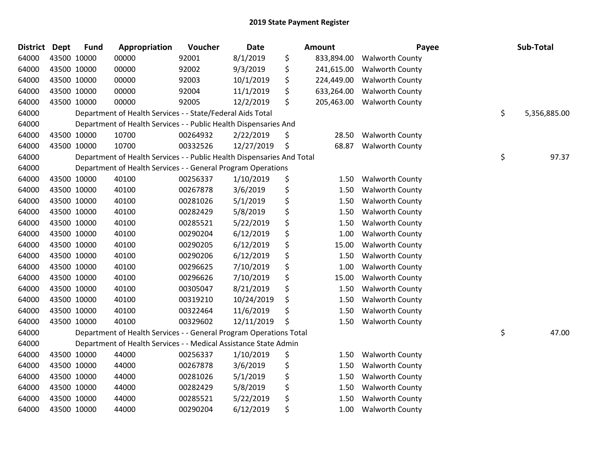| District Dept | <b>Fund</b> | Appropriation                                                          | Voucher  | <b>Date</b> | <b>Amount</b>    | Payee                  | Sub-Total          |
|---------------|-------------|------------------------------------------------------------------------|----------|-------------|------------------|------------------------|--------------------|
| 64000         | 43500 10000 | 00000                                                                  | 92001    | 8/1/2019    | \$<br>833,894.00 | <b>Walworth County</b> |                    |
| 64000         | 43500 10000 | 00000                                                                  | 92002    | 9/3/2019    | \$<br>241,615.00 | <b>Walworth County</b> |                    |
| 64000         | 43500 10000 | 00000                                                                  | 92003    | 10/1/2019   | \$<br>224,449.00 | <b>Walworth County</b> |                    |
| 64000         | 43500 10000 | 00000                                                                  | 92004    | 11/1/2019   | \$<br>633,264.00 | <b>Walworth County</b> |                    |
| 64000         | 43500 10000 | 00000                                                                  | 92005    | 12/2/2019   | \$<br>205,463.00 | <b>Walworth County</b> |                    |
| 64000         |             | Department of Health Services - - State/Federal Aids Total             |          |             |                  |                        | \$<br>5,356,885.00 |
| 64000         |             | Department of Health Services - - Public Health Dispensaries And       |          |             |                  |                        |                    |
| 64000         | 43500 10000 | 10700                                                                  | 00264932 | 2/22/2019   | \$<br>28.50      | <b>Walworth County</b> |                    |
| 64000         | 43500 10000 | 10700                                                                  | 00332526 | 12/27/2019  | \$<br>68.87      | <b>Walworth County</b> |                    |
| 64000         |             | Department of Health Services - - Public Health Dispensaries And Total |          |             |                  |                        | \$<br>97.37        |
| 64000         |             | Department of Health Services - - General Program Operations           |          |             |                  |                        |                    |
| 64000         | 43500 10000 | 40100                                                                  | 00256337 | 1/10/2019   | \$<br>1.50       | <b>Walworth County</b> |                    |
| 64000         | 43500 10000 | 40100                                                                  | 00267878 | 3/6/2019    | \$<br>1.50       | <b>Walworth County</b> |                    |
| 64000         | 43500 10000 | 40100                                                                  | 00281026 | 5/1/2019    | \$<br>1.50       | <b>Walworth County</b> |                    |
| 64000         | 43500 10000 | 40100                                                                  | 00282429 | 5/8/2019    | \$<br>1.50       | <b>Walworth County</b> |                    |
| 64000         | 43500 10000 | 40100                                                                  | 00285521 | 5/22/2019   | \$<br>1.50       | <b>Walworth County</b> |                    |
| 64000         | 43500 10000 | 40100                                                                  | 00290204 | 6/12/2019   | \$<br>1.00       | <b>Walworth County</b> |                    |
| 64000         | 43500 10000 | 40100                                                                  | 00290205 | 6/12/2019   | \$<br>15.00      | <b>Walworth County</b> |                    |
| 64000         | 43500 10000 | 40100                                                                  | 00290206 | 6/12/2019   | \$<br>1.50       | <b>Walworth County</b> |                    |
| 64000         | 43500 10000 | 40100                                                                  | 00296625 | 7/10/2019   | \$<br>1.00       | <b>Walworth County</b> |                    |
| 64000         | 43500 10000 | 40100                                                                  | 00296626 | 7/10/2019   | \$<br>15.00      | <b>Walworth County</b> |                    |
| 64000         | 43500 10000 | 40100                                                                  | 00305047 | 8/21/2019   | \$<br>1.50       | <b>Walworth County</b> |                    |
| 64000         | 43500 10000 | 40100                                                                  | 00319210 | 10/24/2019  | \$<br>1.50       | <b>Walworth County</b> |                    |
| 64000         | 43500 10000 | 40100                                                                  | 00322464 | 11/6/2019   | \$<br>1.50       | <b>Walworth County</b> |                    |
| 64000         | 43500 10000 | 40100                                                                  | 00329602 | 12/11/2019  | \$<br>1.50       | <b>Walworth County</b> |                    |
| 64000         |             | Department of Health Services - - General Program Operations Total     |          |             |                  |                        | \$<br>47.00        |
| 64000         |             | Department of Health Services - - Medical Assistance State Admin       |          |             |                  |                        |                    |
| 64000         | 43500 10000 | 44000                                                                  | 00256337 | 1/10/2019   | \$<br>1.50       | <b>Walworth County</b> |                    |
| 64000         | 43500 10000 | 44000                                                                  | 00267878 | 3/6/2019    | \$<br>1.50       | <b>Walworth County</b> |                    |
| 64000         | 43500 10000 | 44000                                                                  | 00281026 | 5/1/2019    | \$<br>1.50       | <b>Walworth County</b> |                    |
| 64000         | 43500 10000 | 44000                                                                  | 00282429 | 5/8/2019    | \$<br>1.50       | <b>Walworth County</b> |                    |
| 64000         | 43500 10000 | 44000                                                                  | 00285521 | 5/22/2019   | \$<br>1.50       | <b>Walworth County</b> |                    |
| 64000         | 43500 10000 | 44000                                                                  | 00290204 | 6/12/2019   | \$<br>1.00       | <b>Walworth County</b> |                    |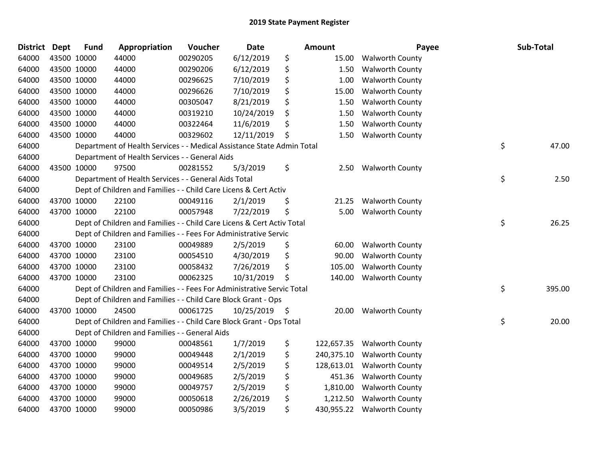| <b>District</b> | <b>Dept</b> | <b>Fund</b> | Appropriation                                                          | Voucher  | <b>Date</b> |     | Amount     | Payee                  | Sub-Total    |
|-----------------|-------------|-------------|------------------------------------------------------------------------|----------|-------------|-----|------------|------------------------|--------------|
| 64000           |             | 43500 10000 | 44000                                                                  | 00290205 | 6/12/2019   | \$  | 15.00      | <b>Walworth County</b> |              |
| 64000           |             | 43500 10000 | 44000                                                                  | 00290206 | 6/12/2019   | \$  | 1.50       | <b>Walworth County</b> |              |
| 64000           |             | 43500 10000 | 44000                                                                  | 00296625 | 7/10/2019   | \$  | 1.00       | <b>Walworth County</b> |              |
| 64000           |             | 43500 10000 | 44000                                                                  | 00296626 | 7/10/2019   | \$  | 15.00      | <b>Walworth County</b> |              |
| 64000           |             | 43500 10000 | 44000                                                                  | 00305047 | 8/21/2019   | \$  | 1.50       | <b>Walworth County</b> |              |
| 64000           |             | 43500 10000 | 44000                                                                  | 00319210 | 10/24/2019  | \$  | 1.50       | <b>Walworth County</b> |              |
| 64000           |             | 43500 10000 | 44000                                                                  | 00322464 | 11/6/2019   | \$  | 1.50       | <b>Walworth County</b> |              |
| 64000           |             | 43500 10000 | 44000                                                                  | 00329602 | 12/11/2019  | \$  | 1.50       | <b>Walworth County</b> |              |
| 64000           |             |             | Department of Health Services - - Medical Assistance State Admin Total |          |             |     |            |                        | \$<br>47.00  |
| 64000           |             |             | Department of Health Services - - General Aids                         |          |             |     |            |                        |              |
| 64000           |             | 43500 10000 | 97500                                                                  | 00281552 | 5/3/2019    | \$  | 2.50       | <b>Walworth County</b> |              |
| 64000           |             |             | Department of Health Services - - General Aids Total                   |          |             |     |            |                        | \$<br>2.50   |
| 64000           |             |             | Dept of Children and Families - - Child Care Licens & Cert Activ       |          |             |     |            |                        |              |
| 64000           |             | 43700 10000 | 22100                                                                  | 00049116 | 2/1/2019    | \$  | 21.25      | <b>Walworth County</b> |              |
| 64000           |             | 43700 10000 | 22100                                                                  | 00057948 | 7/22/2019   | \$  | 5.00       | <b>Walworth County</b> |              |
| 64000           |             |             | Dept of Children and Families - - Child Care Licens & Cert Activ Total |          |             |     |            |                        | \$<br>26.25  |
| 64000           |             |             | Dept of Children and Families - - Fees For Administrative Servic       |          |             |     |            |                        |              |
| 64000           |             | 43700 10000 | 23100                                                                  | 00049889 | 2/5/2019    | \$  | 60.00      | <b>Walworth County</b> |              |
| 64000           |             | 43700 10000 | 23100                                                                  | 00054510 | 4/30/2019   | \$  | 90.00      | <b>Walworth County</b> |              |
| 64000           |             | 43700 10000 | 23100                                                                  | 00058432 | 7/26/2019   | \$  | 105.00     | <b>Walworth County</b> |              |
| 64000           |             | 43700 10000 | 23100                                                                  | 00062325 | 10/31/2019  | Ś   | 140.00     | <b>Walworth County</b> |              |
| 64000           |             |             | Dept of Children and Families - - Fees For Administrative Servic Total |          |             |     |            |                        | \$<br>395.00 |
| 64000           |             |             | Dept of Children and Families - - Child Care Block Grant - Ops         |          |             |     |            |                        |              |
| 64000           |             | 43700 10000 | 24500                                                                  | 00061725 | 10/25/2019  | -\$ | 20.00      | <b>Walworth County</b> |              |
| 64000           |             |             | Dept of Children and Families - - Child Care Block Grant - Ops Total   |          |             |     |            |                        | \$<br>20.00  |
| 64000           |             |             | Dept of Children and Families - - General Aids                         |          |             |     |            |                        |              |
| 64000           |             | 43700 10000 | 99000                                                                  | 00048561 | 1/7/2019    | \$  | 122,657.35 | <b>Walworth County</b> |              |
| 64000           |             | 43700 10000 | 99000                                                                  | 00049448 | 2/1/2019    | \$  | 240,375.10 | <b>Walworth County</b> |              |
| 64000           |             | 43700 10000 | 99000                                                                  | 00049514 | 2/5/2019    | \$  | 128,613.01 | <b>Walworth County</b> |              |
| 64000           |             | 43700 10000 | 99000                                                                  | 00049685 | 2/5/2019    | \$  | 451.36     | <b>Walworth County</b> |              |
| 64000           |             | 43700 10000 | 99000                                                                  | 00049757 | 2/5/2019    | \$  | 1,810.00   | <b>Walworth County</b> |              |
| 64000           |             | 43700 10000 | 99000                                                                  | 00050618 | 2/26/2019   | \$  | 1,212.50   | <b>Walworth County</b> |              |
| 64000           |             | 43700 10000 | 99000                                                                  | 00050986 | 3/5/2019    | \$  | 430,955.22 | <b>Walworth County</b> |              |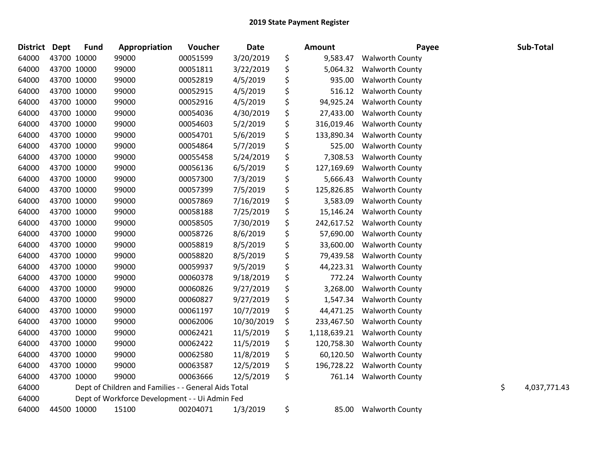| <b>District</b> | Dept        | <b>Fund</b> | Appropriation                                        | Voucher  | Date       | Amount             | Payee                  | Sub-Total          |
|-----------------|-------------|-------------|------------------------------------------------------|----------|------------|--------------------|------------------------|--------------------|
| 64000           | 43700 10000 |             | 99000                                                | 00051599 | 3/20/2019  | \$<br>9,583.47     | <b>Walworth County</b> |                    |
| 64000           | 43700 10000 |             | 99000                                                | 00051811 | 3/22/2019  | \$<br>5,064.32     | <b>Walworth County</b> |                    |
| 64000           | 43700 10000 |             | 99000                                                | 00052819 | 4/5/2019   | \$<br>935.00       | <b>Walworth County</b> |                    |
| 64000           |             | 43700 10000 | 99000                                                | 00052915 | 4/5/2019   | \$<br>516.12       | <b>Walworth County</b> |                    |
| 64000           |             | 43700 10000 | 99000                                                | 00052916 | 4/5/2019   | \$<br>94,925.24    | <b>Walworth County</b> |                    |
| 64000           |             | 43700 10000 | 99000                                                | 00054036 | 4/30/2019  | \$<br>27,433.00    | <b>Walworth County</b> |                    |
| 64000           | 43700 10000 |             | 99000                                                | 00054603 | 5/2/2019   | \$<br>316,019.46   | <b>Walworth County</b> |                    |
| 64000           | 43700 10000 |             | 99000                                                | 00054701 | 5/6/2019   | \$<br>133,890.34   | <b>Walworth County</b> |                    |
| 64000           |             | 43700 10000 | 99000                                                | 00054864 | 5/7/2019   | \$<br>525.00       | <b>Walworth County</b> |                    |
| 64000           |             | 43700 10000 | 99000                                                | 00055458 | 5/24/2019  | \$<br>7,308.53     | <b>Walworth County</b> |                    |
| 64000           |             | 43700 10000 | 99000                                                | 00056136 | 6/5/2019   | \$<br>127,169.69   | <b>Walworth County</b> |                    |
| 64000           | 43700 10000 |             | 99000                                                | 00057300 | 7/3/2019   | \$<br>5,666.43     | <b>Walworth County</b> |                    |
| 64000           | 43700 10000 |             | 99000                                                | 00057399 | 7/5/2019   | \$<br>125,826.85   | <b>Walworth County</b> |                    |
| 64000           |             | 43700 10000 | 99000                                                | 00057869 | 7/16/2019  | \$<br>3,583.09     | <b>Walworth County</b> |                    |
| 64000           |             | 43700 10000 | 99000                                                | 00058188 | 7/25/2019  | \$<br>15,146.24    | <b>Walworth County</b> |                    |
| 64000           |             | 43700 10000 | 99000                                                | 00058505 | 7/30/2019  | \$<br>242,617.52   | <b>Walworth County</b> |                    |
| 64000           | 43700 10000 |             | 99000                                                | 00058726 | 8/6/2019   | \$<br>57,690.00    | <b>Walworth County</b> |                    |
| 64000           | 43700 10000 |             | 99000                                                | 00058819 | 8/5/2019   | \$<br>33,600.00    | <b>Walworth County</b> |                    |
| 64000           |             | 43700 10000 | 99000                                                | 00058820 | 8/5/2019   | \$<br>79,439.58    | <b>Walworth County</b> |                    |
| 64000           |             | 43700 10000 | 99000                                                | 00059937 | 9/5/2019   | \$<br>44,223.31    | <b>Walworth County</b> |                    |
| 64000           |             | 43700 10000 | 99000                                                | 00060378 | 9/18/2019  | \$<br>772.24       | <b>Walworth County</b> |                    |
| 64000           | 43700 10000 |             | 99000                                                | 00060826 | 9/27/2019  | \$<br>3,268.00     | <b>Walworth County</b> |                    |
| 64000           | 43700 10000 |             | 99000                                                | 00060827 | 9/27/2019  | \$<br>1,547.34     | <b>Walworth County</b> |                    |
| 64000           |             | 43700 10000 | 99000                                                | 00061197 | 10/7/2019  | \$<br>44,471.25    | <b>Walworth County</b> |                    |
| 64000           |             | 43700 10000 | 99000                                                | 00062006 | 10/30/2019 | \$<br>233,467.50   | <b>Walworth County</b> |                    |
| 64000           |             | 43700 10000 | 99000                                                | 00062421 | 11/5/2019  | \$<br>1,118,639.21 | <b>Walworth County</b> |                    |
| 64000           | 43700 10000 |             | 99000                                                | 00062422 | 11/5/2019  | \$<br>120,758.30   | <b>Walworth County</b> |                    |
| 64000           | 43700 10000 |             | 99000                                                | 00062580 | 11/8/2019  | \$<br>60,120.50    | <b>Walworth County</b> |                    |
| 64000           |             | 43700 10000 | 99000                                                | 00063587 | 12/5/2019  | \$<br>196,728.22   | <b>Walworth County</b> |                    |
| 64000           |             | 43700 10000 | 99000                                                | 00063666 | 12/5/2019  | \$<br>761.14       | <b>Walworth County</b> |                    |
| 64000           |             |             | Dept of Children and Families - - General Aids Total |          |            |                    |                        | \$<br>4,037,771.43 |
| 64000           |             |             | Dept of Workforce Development - - Ui Admin Fed       |          |            |                    |                        |                    |
| 64000           |             | 44500 10000 | 15100                                                | 00204071 | 1/3/2019   | \$<br>85.00        | <b>Walworth County</b> |                    |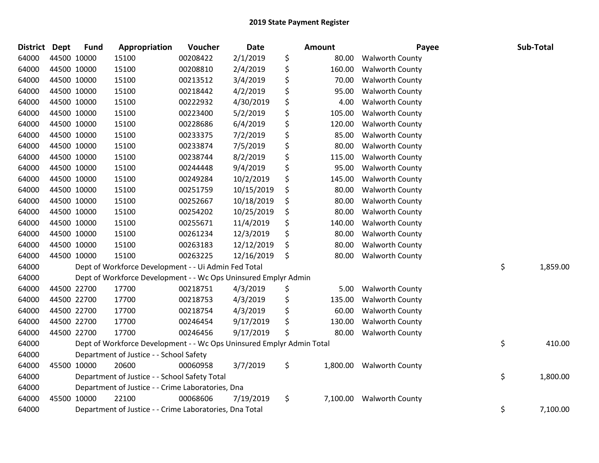| District Dept | <b>Fund</b> | Appropriation                                                         | Voucher  | <b>Date</b> | Amount         | Payee                  | Sub-Total      |
|---------------|-------------|-----------------------------------------------------------------------|----------|-------------|----------------|------------------------|----------------|
| 64000         | 44500 10000 | 15100                                                                 | 00208422 | 2/1/2019    | \$<br>80.00    | <b>Walworth County</b> |                |
| 64000         | 44500 10000 | 15100                                                                 | 00208810 | 2/4/2019    | \$<br>160.00   | <b>Walworth County</b> |                |
| 64000         | 44500 10000 | 15100                                                                 | 00213512 | 3/4/2019    | \$<br>70.00    | <b>Walworth County</b> |                |
| 64000         | 44500 10000 | 15100                                                                 | 00218442 | 4/2/2019    | \$<br>95.00    | <b>Walworth County</b> |                |
| 64000         | 44500 10000 | 15100                                                                 | 00222932 | 4/30/2019   | \$<br>4.00     | <b>Walworth County</b> |                |
| 64000         | 44500 10000 | 15100                                                                 | 00223400 | 5/2/2019    | \$<br>105.00   | <b>Walworth County</b> |                |
| 64000         | 44500 10000 | 15100                                                                 | 00228686 | 6/4/2019    | \$<br>120.00   | <b>Walworth County</b> |                |
| 64000         | 44500 10000 | 15100                                                                 | 00233375 | 7/2/2019    | \$<br>85.00    | <b>Walworth County</b> |                |
| 64000         | 44500 10000 | 15100                                                                 | 00233874 | 7/5/2019    | \$<br>80.00    | <b>Walworth County</b> |                |
| 64000         | 44500 10000 | 15100                                                                 | 00238744 | 8/2/2019    | \$<br>115.00   | <b>Walworth County</b> |                |
| 64000         | 44500 10000 | 15100                                                                 | 00244448 | 9/4/2019    | \$<br>95.00    | <b>Walworth County</b> |                |
| 64000         | 44500 10000 | 15100                                                                 | 00249284 | 10/2/2019   | \$<br>145.00   | <b>Walworth County</b> |                |
| 64000         | 44500 10000 | 15100                                                                 | 00251759 | 10/15/2019  | \$<br>80.00    | <b>Walworth County</b> |                |
| 64000         | 44500 10000 | 15100                                                                 | 00252667 | 10/18/2019  | \$<br>80.00    | <b>Walworth County</b> |                |
| 64000         | 44500 10000 | 15100                                                                 | 00254202 | 10/25/2019  | \$<br>80.00    | Walworth County        |                |
| 64000         | 44500 10000 | 15100                                                                 | 00255671 | 11/4/2019   | \$<br>140.00   | <b>Walworth County</b> |                |
| 64000         | 44500 10000 | 15100                                                                 | 00261234 | 12/3/2019   | \$<br>80.00    | <b>Walworth County</b> |                |
| 64000         | 44500 10000 | 15100                                                                 | 00263183 | 12/12/2019  | \$<br>80.00    | <b>Walworth County</b> |                |
| 64000         | 44500 10000 | 15100                                                                 | 00263225 | 12/16/2019  | \$<br>80.00    | <b>Walworth County</b> |                |
| 64000         |             | Dept of Workforce Development - - Ui Admin Fed Total                  |          |             |                |                        | \$<br>1,859.00 |
| 64000         |             | Dept of Workforce Development - - Wc Ops Uninsured Emplyr Admin       |          |             |                |                        |                |
| 64000         | 44500 22700 | 17700                                                                 | 00218751 | 4/3/2019    | \$<br>5.00     | <b>Walworth County</b> |                |
| 64000         | 44500 22700 | 17700                                                                 | 00218753 | 4/3/2019    | \$<br>135.00   | <b>Walworth County</b> |                |
| 64000         | 44500 22700 | 17700                                                                 | 00218754 | 4/3/2019    | \$<br>60.00    | <b>Walworth County</b> |                |
| 64000         | 44500 22700 | 17700                                                                 | 00246454 | 9/17/2019   | \$<br>130.00   | <b>Walworth County</b> |                |
| 64000         | 44500 22700 | 17700                                                                 | 00246456 | 9/17/2019   | \$<br>80.00    | <b>Walworth County</b> |                |
| 64000         |             | Dept of Workforce Development - - Wc Ops Uninsured Emplyr Admin Total |          |             |                |                        | \$<br>410.00   |
| 64000         |             | Department of Justice - - School Safety                               |          |             |                |                        |                |
| 64000         | 45500 10000 | 20600                                                                 | 00060958 | 3/7/2019    | \$<br>1,800.00 | <b>Walworth County</b> |                |
| 64000         |             | Department of Justice - - School Safety Total                         |          |             |                |                        | \$<br>1,800.00 |
| 64000         |             | Department of Justice - - Crime Laboratories, Dna                     |          |             |                |                        |                |
| 64000         | 45500 10000 | 22100                                                                 | 00068606 | 7/19/2019   | \$<br>7,100.00 | <b>Walworth County</b> |                |
| 64000         |             | Department of Justice - - Crime Laboratories, Dna Total               |          |             |                |                        | \$<br>7,100.00 |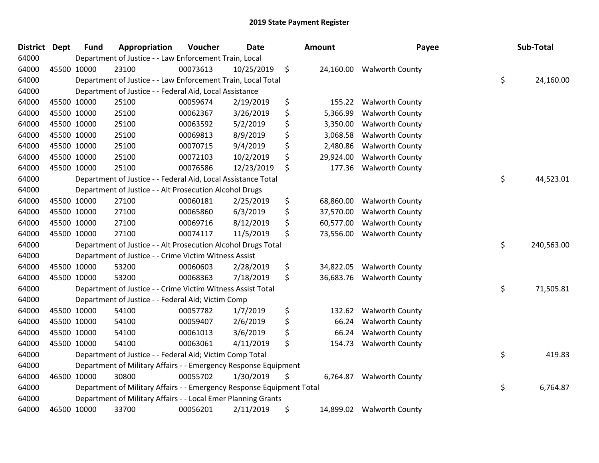| <b>District</b> | <b>Dept</b> | <b>Fund</b> | Appropriation                                                         | Voucher  | <b>Date</b> | Amount          | Payee                     | Sub-Total        |
|-----------------|-------------|-------------|-----------------------------------------------------------------------|----------|-------------|-----------------|---------------------------|------------------|
| 64000           |             |             | Department of Justice - - Law Enforcement Train, Local                |          |             |                 |                           |                  |
| 64000           |             | 45500 10000 | 23100                                                                 | 00073613 | 10/25/2019  | \$<br>24,160.00 | <b>Walworth County</b>    |                  |
| 64000           |             |             | Department of Justice - - Law Enforcement Train, Local Total          |          |             |                 |                           | \$<br>24,160.00  |
| 64000           |             |             | Department of Justice - - Federal Aid, Local Assistance               |          |             |                 |                           |                  |
| 64000           |             | 45500 10000 | 25100                                                                 | 00059674 | 2/19/2019   | \$<br>155.22    | <b>Walworth County</b>    |                  |
| 64000           |             | 45500 10000 | 25100                                                                 | 00062367 | 3/26/2019   | \$<br>5,366.99  | <b>Walworth County</b>    |                  |
| 64000           |             | 45500 10000 | 25100                                                                 | 00063592 | 5/2/2019    | \$<br>3,350.00  | <b>Walworth County</b>    |                  |
| 64000           |             | 45500 10000 | 25100                                                                 | 00069813 | 8/9/2019    | \$<br>3,068.58  | <b>Walworth County</b>    |                  |
| 64000           |             | 45500 10000 | 25100                                                                 | 00070715 | 9/4/2019    | \$<br>2,480.86  | <b>Walworth County</b>    |                  |
| 64000           |             | 45500 10000 | 25100                                                                 | 00072103 | 10/2/2019   | \$<br>29,924.00 | <b>Walworth County</b>    |                  |
| 64000           |             | 45500 10000 | 25100                                                                 | 00076586 | 12/23/2019  | \$<br>177.36    | <b>Walworth County</b>    |                  |
| 64000           |             |             | Department of Justice - - Federal Aid, Local Assistance Total         |          |             |                 |                           | \$<br>44,523.01  |
| 64000           |             |             | Department of Justice - - Alt Prosecution Alcohol Drugs               |          |             |                 |                           |                  |
| 64000           |             | 45500 10000 | 27100                                                                 | 00060181 | 2/25/2019   | \$<br>68,860.00 | <b>Walworth County</b>    |                  |
| 64000           |             | 45500 10000 | 27100                                                                 | 00065860 | 6/3/2019    | \$<br>37,570.00 | <b>Walworth County</b>    |                  |
| 64000           |             | 45500 10000 | 27100                                                                 | 00069716 | 8/12/2019   | \$<br>60,577.00 | <b>Walworth County</b>    |                  |
| 64000           |             | 45500 10000 | 27100                                                                 | 00074117 | 11/5/2019   | \$<br>73,556.00 | <b>Walworth County</b>    |                  |
| 64000           |             |             | Department of Justice - - Alt Prosecution Alcohol Drugs Total         |          |             |                 |                           | \$<br>240,563.00 |
| 64000           |             |             | Department of Justice - - Crime Victim Witness Assist                 |          |             |                 |                           |                  |
| 64000           |             | 45500 10000 | 53200                                                                 | 00060603 | 2/28/2019   | \$<br>34,822.05 | <b>Walworth County</b>    |                  |
| 64000           |             | 45500 10000 | 53200                                                                 | 00068363 | 7/18/2019   | \$<br>36,683.76 | <b>Walworth County</b>    |                  |
| 64000           |             |             | Department of Justice - - Crime Victim Witness Assist Total           |          |             |                 |                           | \$<br>71,505.81  |
| 64000           |             |             | Department of Justice - - Federal Aid; Victim Comp                    |          |             |                 |                           |                  |
| 64000           |             | 45500 10000 | 54100                                                                 | 00057782 | 1/7/2019    | \$<br>132.62    | <b>Walworth County</b>    |                  |
| 64000           |             | 45500 10000 | 54100                                                                 | 00059407 | 2/6/2019    | \$<br>66.24     | <b>Walworth County</b>    |                  |
| 64000           |             | 45500 10000 | 54100                                                                 | 00061013 | 3/6/2019    | \$<br>66.24     | <b>Walworth County</b>    |                  |
| 64000           |             | 45500 10000 | 54100                                                                 | 00063061 | 4/11/2019   | \$<br>154.73    | <b>Walworth County</b>    |                  |
| 64000           |             |             | Department of Justice - - Federal Aid; Victim Comp Total              |          |             |                 |                           | \$<br>419.83     |
| 64000           |             |             | Department of Military Affairs - - Emergency Response Equipment       |          |             |                 |                           |                  |
| 64000           |             | 46500 10000 | 30800                                                                 | 00055702 | 1/30/2019   | \$<br>6,764.87  | <b>Walworth County</b>    |                  |
| 64000           |             |             | Department of Military Affairs - - Emergency Response Equipment Total |          |             |                 |                           | \$<br>6,764.87   |
| 64000           |             |             | Department of Military Affairs - - Local Emer Planning Grants         |          |             |                 |                           |                  |
| 64000           |             | 46500 10000 | 33700                                                                 | 00056201 | 2/11/2019   | \$              | 14,899.02 Walworth County |                  |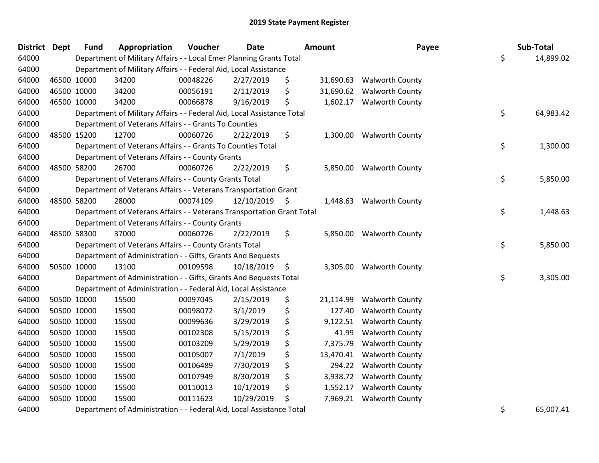| District Dept |             | <b>Fund</b> | Appropriation                                                          | Voucher  | <b>Date</b>   | Amount          | Payee                     | Sub-Total       |
|---------------|-------------|-------------|------------------------------------------------------------------------|----------|---------------|-----------------|---------------------------|-----------------|
| 64000         |             |             | Department of Military Affairs - - Local Emer Planning Grants Total    |          |               |                 |                           | \$<br>14,899.02 |
| 64000         |             |             | Department of Military Affairs - - Federal Aid, Local Assistance       |          |               |                 |                           |                 |
| 64000         |             | 46500 10000 | 34200                                                                  | 00048226 | 2/27/2019     | \$              | 31,690.63 Walworth County |                 |
| 64000         | 46500 10000 |             | 34200                                                                  | 00056191 | 2/11/2019     | \$<br>31,690.62 | <b>Walworth County</b>    |                 |
| 64000         | 46500 10000 |             | 34200                                                                  | 00066878 | 9/16/2019     | \$<br>1,602.17  | <b>Walworth County</b>    |                 |
| 64000         |             |             | Department of Military Affairs - - Federal Aid, Local Assistance Total |          |               |                 |                           | \$<br>64,983.42 |
| 64000         |             |             | Department of Veterans Affairs - - Grants To Counties                  |          |               |                 |                           |                 |
| 64000         |             | 48500 15200 | 12700                                                                  | 00060726 | 2/22/2019     | \$<br>1,300.00  | <b>Walworth County</b>    |                 |
| 64000         |             |             | Department of Veterans Affairs - - Grants To Counties Total            |          |               |                 |                           | \$<br>1,300.00  |
| 64000         |             |             | Department of Veterans Affairs - - County Grants                       |          |               |                 |                           |                 |
| 64000         |             | 48500 58200 | 26700                                                                  | 00060726 | 2/22/2019     | \$              | 5,850.00 Walworth County  |                 |
| 64000         |             |             | Department of Veterans Affairs - - County Grants Total                 |          |               |                 |                           | \$<br>5,850.00  |
| 64000         |             |             | Department of Veterans Affairs - - Veterans Transportation Grant       |          |               |                 |                           |                 |
| 64000         |             | 48500 58200 | 28000                                                                  | 00074109 | 12/10/2019 \$ | 1,448.63        | <b>Walworth County</b>    |                 |
| 64000         |             |             | Department of Veterans Affairs - - Veterans Transportation Grant Total |          |               |                 |                           | \$<br>1,448.63  |
| 64000         |             |             | Department of Veterans Affairs - - County Grants                       |          |               |                 |                           |                 |
| 64000         |             | 48500 58300 | 37000                                                                  | 00060726 | 2/22/2019     | \$<br>5,850.00  | <b>Walworth County</b>    |                 |
| 64000         |             |             | Department of Veterans Affairs - - County Grants Total                 |          |               |                 |                           | \$<br>5,850.00  |
| 64000         |             |             | Department of Administration - - Gifts, Grants And Bequests            |          |               |                 |                           |                 |
| 64000         |             | 50500 10000 | 13100                                                                  | 00109598 | 10/18/2019 \$ |                 | 3,305.00 Walworth County  |                 |
| 64000         |             |             | Department of Administration - - Gifts, Grants And Bequests Total      |          |               |                 |                           | \$<br>3,305.00  |
| 64000         |             |             | Department of Administration - - Federal Aid, Local Assistance         |          |               |                 |                           |                 |
| 64000         |             | 50500 10000 | 15500                                                                  | 00097045 | 2/15/2019     | \$<br>21,114.99 | <b>Walworth County</b>    |                 |
| 64000         | 50500 10000 |             | 15500                                                                  | 00098072 | 3/1/2019      | \$<br>127.40    | <b>Walworth County</b>    |                 |
| 64000         | 50500 10000 |             | 15500                                                                  | 00099636 | 3/29/2019     | \$<br>9,122.51  | <b>Walworth County</b>    |                 |
| 64000         |             | 50500 10000 | 15500                                                                  | 00102308 | 5/15/2019     | \$<br>41.99     | <b>Walworth County</b>    |                 |
| 64000         | 50500 10000 |             | 15500                                                                  | 00103209 | 5/29/2019     | \$<br>7,375.79  | <b>Walworth County</b>    |                 |
| 64000         | 50500 10000 |             | 15500                                                                  | 00105007 | 7/1/2019      | \$<br>13,470.41 | <b>Walworth County</b>    |                 |
| 64000         | 50500 10000 |             | 15500                                                                  | 00106489 | 7/30/2019     | \$<br>294.22    | <b>Walworth County</b>    |                 |
| 64000         | 50500 10000 |             | 15500                                                                  | 00107949 | 8/30/2019     | \$<br>3,938.72  | <b>Walworth County</b>    |                 |
| 64000         | 50500 10000 |             | 15500                                                                  | 00110013 | 10/1/2019     | \$<br>1,552.17  | <b>Walworth County</b>    |                 |
| 64000         | 50500 10000 |             | 15500                                                                  | 00111623 | 10/29/2019    | \$<br>7,969.21  | <b>Walworth County</b>    |                 |
| 64000         |             |             | Department of Administration - - Federal Aid, Local Assistance Total   |          |               |                 |                           | \$<br>65,007.41 |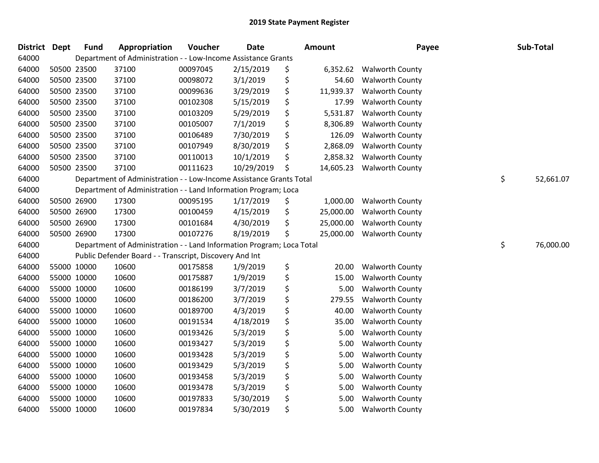| <b>District</b> | <b>Dept</b> | <b>Fund</b> | <b>Appropriation</b>                                                  | Voucher  | Date       | Amount          | Payee                  | Sub-Total       |
|-----------------|-------------|-------------|-----------------------------------------------------------------------|----------|------------|-----------------|------------------------|-----------------|
| 64000           |             |             | Department of Administration - - Low-Income Assistance Grants         |          |            |                 |                        |                 |
| 64000           |             | 50500 23500 | 37100                                                                 | 00097045 | 2/15/2019  | \$<br>6,352.62  | <b>Walworth County</b> |                 |
| 64000           |             | 50500 23500 | 37100                                                                 | 00098072 | 3/1/2019   | \$<br>54.60     | <b>Walworth County</b> |                 |
| 64000           |             | 50500 23500 | 37100                                                                 | 00099636 | 3/29/2019  | \$<br>11,939.37 | <b>Walworth County</b> |                 |
| 64000           |             | 50500 23500 | 37100                                                                 | 00102308 | 5/15/2019  | \$<br>17.99     | <b>Walworth County</b> |                 |
| 64000           |             | 50500 23500 | 37100                                                                 | 00103209 | 5/29/2019  | \$<br>5,531.87  | <b>Walworth County</b> |                 |
| 64000           |             | 50500 23500 | 37100                                                                 | 00105007 | 7/1/2019   | \$<br>8,306.89  | <b>Walworth County</b> |                 |
| 64000           |             | 50500 23500 | 37100                                                                 | 00106489 | 7/30/2019  | \$<br>126.09    | <b>Walworth County</b> |                 |
| 64000           |             | 50500 23500 | 37100                                                                 | 00107949 | 8/30/2019  | \$<br>2,868.09  | <b>Walworth County</b> |                 |
| 64000           |             | 50500 23500 | 37100                                                                 | 00110013 | 10/1/2019  | \$<br>2,858.32  | <b>Walworth County</b> |                 |
| 64000           |             | 50500 23500 | 37100                                                                 | 00111623 | 10/29/2019 | \$<br>14,605.23 | <b>Walworth County</b> |                 |
| 64000           |             |             | Department of Administration - - Low-Income Assistance Grants Total   |          |            |                 |                        | \$<br>52,661.07 |
| 64000           |             |             | Department of Administration - - Land Information Program; Loca       |          |            |                 |                        |                 |
| 64000           |             | 50500 26900 | 17300                                                                 | 00095195 | 1/17/2019  | \$<br>1,000.00  | <b>Walworth County</b> |                 |
| 64000           |             | 50500 26900 | 17300                                                                 | 00100459 | 4/15/2019  | \$<br>25,000.00 | <b>Walworth County</b> |                 |
| 64000           |             | 50500 26900 | 17300                                                                 | 00101684 | 4/30/2019  | \$<br>25,000.00 | <b>Walworth County</b> |                 |
| 64000           |             | 50500 26900 | 17300                                                                 | 00107276 | 8/19/2019  | \$<br>25,000.00 | <b>Walworth County</b> |                 |
| 64000           |             |             | Department of Administration - - Land Information Program; Loca Total |          |            |                 |                        | \$<br>76,000.00 |
| 64000           |             |             | Public Defender Board - - Transcript, Discovery And Int               |          |            |                 |                        |                 |
| 64000           |             | 55000 10000 | 10600                                                                 | 00175858 | 1/9/2019   | \$<br>20.00     | <b>Walworth County</b> |                 |
| 64000           |             | 55000 10000 | 10600                                                                 | 00175887 | 1/9/2019   | \$<br>15.00     | <b>Walworth County</b> |                 |
| 64000           |             | 55000 10000 | 10600                                                                 | 00186199 | 3/7/2019   | \$<br>5.00      | <b>Walworth County</b> |                 |
| 64000           |             | 55000 10000 | 10600                                                                 | 00186200 | 3/7/2019   | \$<br>279.55    | <b>Walworth County</b> |                 |
| 64000           |             | 55000 10000 | 10600                                                                 | 00189700 | 4/3/2019   | \$<br>40.00     | <b>Walworth County</b> |                 |
| 64000           |             | 55000 10000 | 10600                                                                 | 00191534 | 4/18/2019  | \$<br>35.00     | <b>Walworth County</b> |                 |
| 64000           |             | 55000 10000 | 10600                                                                 | 00193426 | 5/3/2019   | \$<br>5.00      | <b>Walworth County</b> |                 |
| 64000           |             | 55000 10000 | 10600                                                                 | 00193427 | 5/3/2019   | \$<br>5.00      | <b>Walworth County</b> |                 |
| 64000           |             | 55000 10000 | 10600                                                                 | 00193428 | 5/3/2019   | \$<br>5.00      | <b>Walworth County</b> |                 |
| 64000           |             | 55000 10000 | 10600                                                                 | 00193429 | 5/3/2019   | \$<br>5.00      | <b>Walworth County</b> |                 |
| 64000           |             | 55000 10000 | 10600                                                                 | 00193458 | 5/3/2019   | \$<br>5.00      | <b>Walworth County</b> |                 |
| 64000           |             | 55000 10000 | 10600                                                                 | 00193478 | 5/3/2019   | \$<br>5.00      | <b>Walworth County</b> |                 |
| 64000           |             | 55000 10000 | 10600                                                                 | 00197833 | 5/30/2019  | \$<br>5.00      | <b>Walworth County</b> |                 |
| 64000           |             | 55000 10000 | 10600                                                                 | 00197834 | 5/30/2019  | \$<br>5.00      | <b>Walworth County</b> |                 |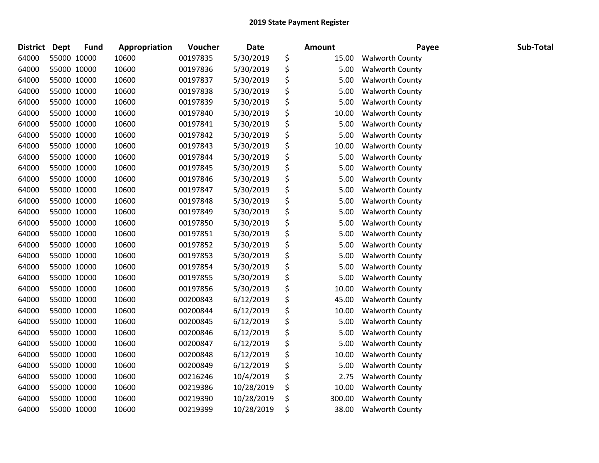| District | <b>Dept</b> | <b>Fund</b> | Appropriation | Voucher  | <b>Date</b> | Amount       | Payee                  | Sub-Total |
|----------|-------------|-------------|---------------|----------|-------------|--------------|------------------------|-----------|
| 64000    | 55000 10000 |             | 10600         | 00197835 | 5/30/2019   | \$<br>15.00  | <b>Walworth County</b> |           |
| 64000    | 55000 10000 |             | 10600         | 00197836 | 5/30/2019   | \$<br>5.00   | <b>Walworth County</b> |           |
| 64000    | 55000 10000 |             | 10600         | 00197837 | 5/30/2019   | \$<br>5.00   | <b>Walworth County</b> |           |
| 64000    | 55000 10000 |             | 10600         | 00197838 | 5/30/2019   | \$<br>5.00   | <b>Walworth County</b> |           |
| 64000    | 55000 10000 |             | 10600         | 00197839 | 5/30/2019   | \$<br>5.00   | Walworth County        |           |
| 64000    | 55000 10000 |             | 10600         | 00197840 | 5/30/2019   | \$<br>10.00  | <b>Walworth County</b> |           |
| 64000    | 55000 10000 |             | 10600         | 00197841 | 5/30/2019   | \$<br>5.00   | <b>Walworth County</b> |           |
| 64000    | 55000 10000 |             | 10600         | 00197842 | 5/30/2019   | \$<br>5.00   | <b>Walworth County</b> |           |
| 64000    | 55000 10000 |             | 10600         | 00197843 | 5/30/2019   | \$<br>10.00  | <b>Walworth County</b> |           |
| 64000    | 55000 10000 |             | 10600         | 00197844 | 5/30/2019   | \$<br>5.00   | <b>Walworth County</b> |           |
| 64000    | 55000 10000 |             | 10600         | 00197845 | 5/30/2019   | \$<br>5.00   | <b>Walworth County</b> |           |
| 64000    | 55000 10000 |             | 10600         | 00197846 | 5/30/2019   | \$<br>5.00   | <b>Walworth County</b> |           |
| 64000    | 55000 10000 |             | 10600         | 00197847 | 5/30/2019   | \$<br>5.00   | <b>Walworth County</b> |           |
| 64000    | 55000 10000 |             | 10600         | 00197848 | 5/30/2019   | \$<br>5.00   | <b>Walworth County</b> |           |
| 64000    | 55000 10000 |             | 10600         | 00197849 | 5/30/2019   | \$<br>5.00   | Walworth County        |           |
| 64000    | 55000 10000 |             | 10600         | 00197850 | 5/30/2019   | \$<br>5.00   | <b>Walworth County</b> |           |
| 64000    | 55000 10000 |             | 10600         | 00197851 | 5/30/2019   | \$<br>5.00   | <b>Walworth County</b> |           |
| 64000    | 55000 10000 |             | 10600         | 00197852 | 5/30/2019   | \$<br>5.00   | <b>Walworth County</b> |           |
| 64000    | 55000 10000 |             | 10600         | 00197853 | 5/30/2019   | \$<br>5.00   | <b>Walworth County</b> |           |
| 64000    | 55000 10000 |             | 10600         | 00197854 | 5/30/2019   | \$<br>5.00   | <b>Walworth County</b> |           |
| 64000    | 55000 10000 |             | 10600         | 00197855 | 5/30/2019   | \$<br>5.00   | <b>Walworth County</b> |           |
| 64000    | 55000 10000 |             | 10600         | 00197856 | 5/30/2019   | \$<br>10.00  | <b>Walworth County</b> |           |
| 64000    | 55000 10000 |             | 10600         | 00200843 | 6/12/2019   | \$<br>45.00  | <b>Walworth County</b> |           |
| 64000    | 55000 10000 |             | 10600         | 00200844 | 6/12/2019   | \$<br>10.00  | <b>Walworth County</b> |           |
| 64000    | 55000 10000 |             | 10600         | 00200845 | 6/12/2019   | \$<br>5.00   | <b>Walworth County</b> |           |
| 64000    | 55000 10000 |             | 10600         | 00200846 | 6/12/2019   | \$<br>5.00   | <b>Walworth County</b> |           |
| 64000    | 55000 10000 |             | 10600         | 00200847 | 6/12/2019   | \$<br>5.00   | <b>Walworth County</b> |           |
| 64000    | 55000 10000 |             | 10600         | 00200848 | 6/12/2019   | \$<br>10.00  | <b>Walworth County</b> |           |
| 64000    | 55000 10000 |             | 10600         | 00200849 | 6/12/2019   | \$<br>5.00   | <b>Walworth County</b> |           |
| 64000    | 55000 10000 |             | 10600         | 00216246 | 10/4/2019   | \$<br>2.75   | <b>Walworth County</b> |           |
| 64000    | 55000 10000 |             | 10600         | 00219386 | 10/28/2019  | \$<br>10.00  | <b>Walworth County</b> |           |
| 64000    | 55000 10000 |             | 10600         | 00219390 | 10/28/2019  | \$<br>300.00 | <b>Walworth County</b> |           |
| 64000    | 55000 10000 |             | 10600         | 00219399 | 10/28/2019  | \$<br>38.00  | <b>Walworth County</b> |           |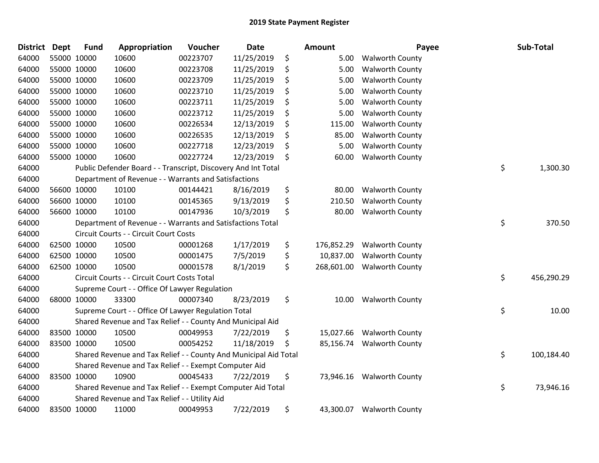| <b>District</b> | <b>Dept</b> | <b>Fund</b> | Appropriation                                                    | Voucher  | <b>Date</b> | <b>Amount</b>    | Payee                     | Sub-Total        |
|-----------------|-------------|-------------|------------------------------------------------------------------|----------|-------------|------------------|---------------------------|------------------|
| 64000           |             | 55000 10000 | 10600                                                            | 00223707 | 11/25/2019  | \$<br>5.00       | <b>Walworth County</b>    |                  |
| 64000           |             | 55000 10000 | 10600                                                            | 00223708 | 11/25/2019  | \$<br>5.00       | <b>Walworth County</b>    |                  |
| 64000           | 55000 10000 |             | 10600                                                            | 00223709 | 11/25/2019  | \$<br>5.00       | <b>Walworth County</b>    |                  |
| 64000           | 55000 10000 |             | 10600                                                            | 00223710 | 11/25/2019  | \$<br>5.00       | <b>Walworth County</b>    |                  |
| 64000           |             | 55000 10000 | 10600                                                            | 00223711 | 11/25/2019  | \$<br>5.00       | <b>Walworth County</b>    |                  |
| 64000           |             | 55000 10000 | 10600                                                            | 00223712 | 11/25/2019  | \$<br>5.00       | <b>Walworth County</b>    |                  |
| 64000           |             | 55000 10000 | 10600                                                            | 00226534 | 12/13/2019  | \$<br>115.00     | <b>Walworth County</b>    |                  |
| 64000           | 55000 10000 |             | 10600                                                            | 00226535 | 12/13/2019  | \$<br>85.00      | <b>Walworth County</b>    |                  |
| 64000           | 55000 10000 |             | 10600                                                            | 00227718 | 12/23/2019  | \$<br>5.00       | <b>Walworth County</b>    |                  |
| 64000           |             | 55000 10000 | 10600                                                            | 00227724 | 12/23/2019  | \$<br>60.00      | <b>Walworth County</b>    |                  |
| 64000           |             |             | Public Defender Board - - Transcript, Discovery And Int Total    |          |             |                  |                           | \$<br>1,300.30   |
| 64000           |             |             | Department of Revenue - - Warrants and Satisfactions             |          |             |                  |                           |                  |
| 64000           |             | 56600 10000 | 10100                                                            | 00144421 | 8/16/2019   | \$<br>80.00      | <b>Walworth County</b>    |                  |
| 64000           |             | 56600 10000 | 10100                                                            | 00145365 | 9/13/2019   | \$<br>210.50     | <b>Walworth County</b>    |                  |
| 64000           |             | 56600 10000 | 10100                                                            | 00147936 | 10/3/2019   | \$<br>80.00      | <b>Walworth County</b>    |                  |
| 64000           |             |             | Department of Revenue - - Warrants and Satisfactions Total       |          |             |                  |                           | \$<br>370.50     |
| 64000           |             |             | Circuit Courts - - Circuit Court Costs                           |          |             |                  |                           |                  |
| 64000           |             | 62500 10000 | 10500                                                            | 00001268 | 1/17/2019   | \$<br>176,852.29 | <b>Walworth County</b>    |                  |
| 64000           |             | 62500 10000 | 10500                                                            | 00001475 | 7/5/2019    | \$<br>10,837.00  | <b>Walworth County</b>    |                  |
| 64000           |             | 62500 10000 | 10500                                                            | 00001578 | 8/1/2019    | \$<br>268,601.00 | <b>Walworth County</b>    |                  |
| 64000           |             |             | Circuit Courts - - Circuit Court Costs Total                     |          |             |                  |                           | \$<br>456,290.29 |
| 64000           |             |             | Supreme Court - - Office Of Lawyer Regulation                    |          |             |                  |                           |                  |
| 64000           |             | 68000 10000 | 33300                                                            | 00007340 | 8/23/2019   | \$<br>10.00      | <b>Walworth County</b>    |                  |
| 64000           |             |             | Supreme Court - - Office Of Lawyer Regulation Total              |          |             |                  |                           | \$<br>10.00      |
| 64000           |             |             | Shared Revenue and Tax Relief - - County And Municipal Aid       |          |             |                  |                           |                  |
| 64000           |             | 83500 10000 | 10500                                                            | 00049953 | 7/22/2019   | \$<br>15,027.66  | <b>Walworth County</b>    |                  |
| 64000           | 83500 10000 |             | 10500                                                            | 00054252 | 11/18/2019  | \$<br>85,156.74  | <b>Walworth County</b>    |                  |
| 64000           |             |             | Shared Revenue and Tax Relief - - County And Municipal Aid Total |          |             |                  |                           | \$<br>100,184.40 |
| 64000           |             |             | Shared Revenue and Tax Relief - - Exempt Computer Aid            |          |             |                  |                           |                  |
| 64000           | 83500 10000 |             | 10900                                                            | 00045433 | 7/22/2019   | \$               | 73,946.16 Walworth County |                  |
| 64000           |             |             | Shared Revenue and Tax Relief - - Exempt Computer Aid Total      |          |             |                  |                           | \$<br>73,946.16  |
| 64000           |             |             | Shared Revenue and Tax Relief - - Utility Aid                    |          |             |                  |                           |                  |
| 64000           |             | 83500 10000 | 11000                                                            | 00049953 | 7/22/2019   | \$<br>43,300.07  | <b>Walworth County</b>    |                  |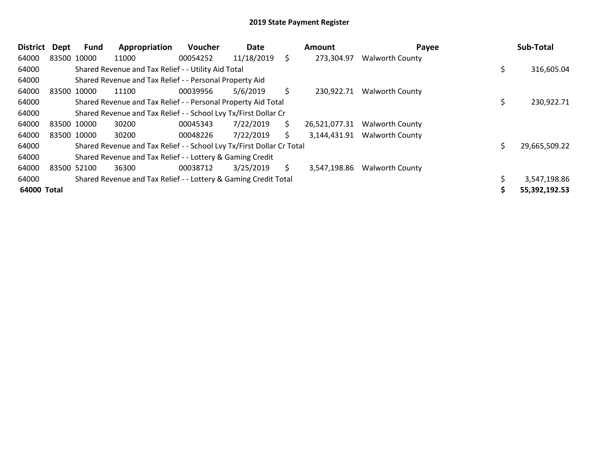| <b>District</b> | Dept        | Fund | Appropriation                                                         | <b>Voucher</b> | Date       |    | Amount        | Payee                  | Sub-Total     |
|-----------------|-------------|------|-----------------------------------------------------------------------|----------------|------------|----|---------------|------------------------|---------------|
| 64000           | 83500 10000 |      | 11000                                                                 | 00054252       | 11/18/2019 | \$ | 273,304.97    | <b>Walworth County</b> |               |
| 64000           |             |      | Shared Revenue and Tax Relief - - Utility Aid Total                   |                |            |    |               |                        | 316,605.04    |
| 64000           |             |      | Shared Revenue and Tax Relief - - Personal Property Aid               |                |            |    |               |                        |               |
| 64000           | 83500 10000 |      | 11100                                                                 | 00039956       | 5/6/2019   | \$ | 230,922.71    | <b>Walworth County</b> |               |
| 64000           |             |      | Shared Revenue and Tax Relief - - Personal Property Aid Total         |                |            |    |               |                        | 230,922.71    |
| 64000           |             |      | Shared Revenue and Tax Relief - - School Lvy Tx/First Dollar Cr       |                |            |    |               |                        |               |
| 64000           | 83500 10000 |      | 30200                                                                 | 00045343       | 7/22/2019  | \$ | 26,521,077.31 | <b>Walworth County</b> |               |
| 64000           | 83500 10000 |      | 30200                                                                 | 00048226       | 7/22/2019  | S. | 3,144,431.91  | <b>Walworth County</b> |               |
| 64000           |             |      | Shared Revenue and Tax Relief - - School Lvy Tx/First Dollar Cr Total |                |            |    |               |                        | 29,665,509.22 |
| 64000           |             |      | Shared Revenue and Tax Relief - - Lottery & Gaming Credit             |                |            |    |               |                        |               |
| 64000           | 83500 52100 |      | 36300                                                                 | 00038712       | 3/25/2019  | \$ | 3,547,198.86  | <b>Walworth County</b> |               |
| 64000           |             |      | Shared Revenue and Tax Relief - - Lottery & Gaming Credit Total       |                |            |    |               |                        | 3,547,198.86  |
| 64000 Total     |             |      |                                                                       |                |            |    |               |                        | 55,392,192.53 |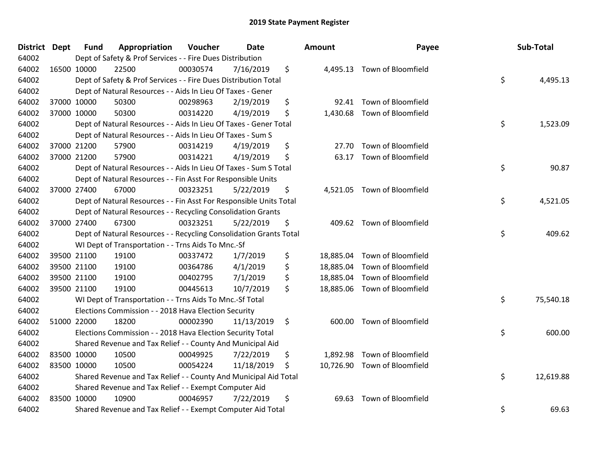| District Dept | <b>Fund</b> | Appropriation                                                      | Voucher  | <b>Date</b> | Amount          | Payee                        | Sub-Total       |
|---------------|-------------|--------------------------------------------------------------------|----------|-------------|-----------------|------------------------------|-----------------|
| 64002         |             | Dept of Safety & Prof Services - - Fire Dues Distribution          |          |             |                 |                              |                 |
| 64002         | 16500 10000 | 22500                                                              | 00030574 | 7/16/2019   | \$              | 4,495.13 Town of Bloomfield  |                 |
| 64002         |             | Dept of Safety & Prof Services - - Fire Dues Distribution Total    |          |             |                 |                              | \$<br>4,495.13  |
| 64002         |             | Dept of Natural Resources - - Aids In Lieu Of Taxes - Gener        |          |             |                 |                              |                 |
| 64002         | 37000 10000 | 50300                                                              | 00298963 | 2/19/2019   | \$<br>92.41     | Town of Bloomfield           |                 |
| 64002         | 37000 10000 | 50300                                                              | 00314220 | 4/19/2019   | \$<br>1,430.68  | Town of Bloomfield           |                 |
| 64002         |             | Dept of Natural Resources - - Aids In Lieu Of Taxes - Gener Total  |          |             |                 |                              | \$<br>1,523.09  |
| 64002         |             | Dept of Natural Resources - - Aids In Lieu Of Taxes - Sum S        |          |             |                 |                              |                 |
| 64002         | 37000 21200 | 57900                                                              | 00314219 | 4/19/2019   | \$<br>27.70     | Town of Bloomfield           |                 |
| 64002         | 37000 21200 | 57900                                                              | 00314221 | 4/19/2019   | \$<br>63.17     | Town of Bloomfield           |                 |
| 64002         |             | Dept of Natural Resources - - Aids In Lieu Of Taxes - Sum S Total  |          |             |                 |                              | \$<br>90.87     |
| 64002         |             | Dept of Natural Resources - - Fin Asst For Responsible Units       |          |             |                 |                              |                 |
| 64002         | 37000 27400 | 67000                                                              | 00323251 | 5/22/2019   | \$              | 4,521.05 Town of Bloomfield  |                 |
| 64002         |             | Dept of Natural Resources - - Fin Asst For Responsible Units Total |          |             |                 |                              | \$<br>4,521.05  |
| 64002         |             | Dept of Natural Resources - - Recycling Consolidation Grants       |          |             |                 |                              |                 |
| 64002         | 37000 27400 | 67300                                                              | 00323251 | 5/22/2019   | \$              | 409.62 Town of Bloomfield    |                 |
| 64002         |             | Dept of Natural Resources - - Recycling Consolidation Grants Total |          |             |                 |                              | \$<br>409.62    |
| 64002         |             | WI Dept of Transportation - - Trns Aids To Mnc.-Sf                 |          |             |                 |                              |                 |
| 64002         | 39500 21100 | 19100                                                              | 00337472 | 1/7/2019    | \$              | 18,885.04 Town of Bloomfield |                 |
| 64002         | 39500 21100 | 19100                                                              | 00364786 | 4/1/2019    | \$<br>18,885.04 | <b>Town of Bloomfield</b>    |                 |
| 64002         | 39500 21100 | 19100                                                              | 00402795 | 7/1/2019    | \$<br>18,885.04 | Town of Bloomfield           |                 |
| 64002         | 39500 21100 | 19100                                                              | 00445613 | 10/7/2019   | \$              | 18,885.06 Town of Bloomfield |                 |
| 64002         |             | WI Dept of Transportation - - Trns Aids To Mnc.-Sf Total           |          |             |                 |                              | \$<br>75,540.18 |
| 64002         |             | Elections Commission - - 2018 Hava Election Security               |          |             |                 |                              |                 |
| 64002         | 51000 22000 | 18200                                                              | 00002390 | 11/13/2019  | \$<br>600.00    | Town of Bloomfield           |                 |
| 64002         |             | Elections Commission - - 2018 Hava Election Security Total         |          |             |                 |                              | \$<br>600.00    |
| 64002         |             | Shared Revenue and Tax Relief - - County And Municipal Aid         |          |             |                 |                              |                 |
| 64002         | 83500 10000 | 10500                                                              | 00049925 | 7/22/2019   | \$<br>1,892.98  | Town of Bloomfield           |                 |
| 64002         | 83500 10000 | 10500                                                              | 00054224 | 11/18/2019  | \$              | 10,726.90 Town of Bloomfield |                 |
| 64002         |             | Shared Revenue and Tax Relief - - County And Municipal Aid Total   |          |             |                 |                              | \$<br>12,619.88 |
| 64002         |             | Shared Revenue and Tax Relief - - Exempt Computer Aid              |          |             |                 |                              |                 |
| 64002         | 83500 10000 | 10900                                                              | 00046957 | 7/22/2019   | \$<br>69.63     | Town of Bloomfield           |                 |
| 64002         |             | Shared Revenue and Tax Relief - - Exempt Computer Aid Total        |          |             |                 |                              | \$<br>69.63     |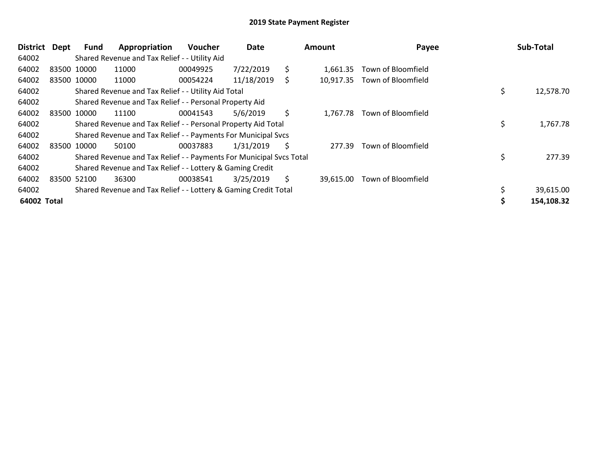| District    | Dept | Fund        | Appropriation                                                       | Voucher  | Date       |    | Amount    | Payee                       | Sub-Total       |
|-------------|------|-------------|---------------------------------------------------------------------|----------|------------|----|-----------|-----------------------------|-----------------|
| 64002       |      |             | Shared Revenue and Tax Relief - - Utility Aid                       |          |            |    |           |                             |                 |
| 64002       |      | 83500 10000 | 11000                                                               | 00049925 | 7/22/2019  | \$ | 1.661.35  | Town of Bloomfield          |                 |
| 64002       |      | 83500 10000 | 11000                                                               | 00054224 | 11/18/2019 | \$ | 10,917.35 | Town of Bloomfield          |                 |
| 64002       |      |             | Shared Revenue and Tax Relief - - Utility Aid Total                 |          |            |    |           |                             | \$<br>12,578.70 |
| 64002       |      |             | Shared Revenue and Tax Relief - - Personal Property Aid             |          |            |    |           |                             |                 |
| 64002       |      | 83500 10000 | 11100                                                               | 00041543 | 5/6/2019   | \$ |           | 1,767.78 Town of Bloomfield |                 |
| 64002       |      |             | Shared Revenue and Tax Relief - - Personal Property Aid Total       |          |            |    |           |                             | \$<br>1,767.78  |
| 64002       |      |             | Shared Revenue and Tax Relief - - Payments For Municipal Svcs       |          |            |    |           |                             |                 |
| 64002       |      | 83500 10000 | 50100                                                               | 00037883 | 1/31/2019  | S  | 277.39    | Town of Bloomfield          |                 |
| 64002       |      |             | Shared Revenue and Tax Relief - - Payments For Municipal Svcs Total |          |            |    |           |                             | \$<br>277.39    |
| 64002       |      |             | Shared Revenue and Tax Relief - - Lottery & Gaming Credit           |          |            |    |           |                             |                 |
| 64002       |      | 83500 52100 | 36300                                                               | 00038541 | 3/25/2019  | \$ | 39,615.00 | Town of Bloomfield          |                 |
| 64002       |      |             | Shared Revenue and Tax Relief - - Lottery & Gaming Credit Total     |          |            |    |           |                             | 39,615.00       |
| 64002 Total |      |             |                                                                     |          |            |    |           |                             | 154,108.32      |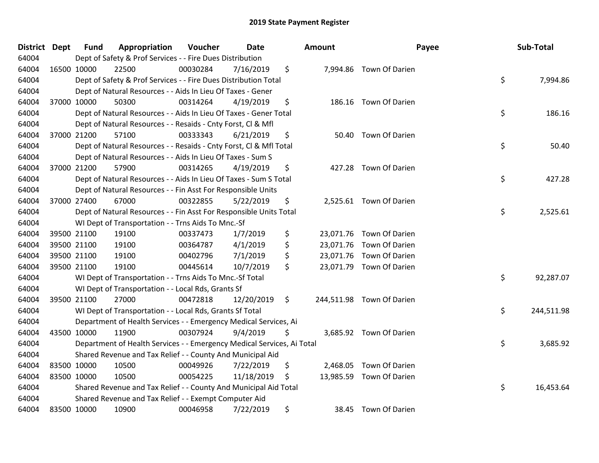| District Dept |             | <b>Fund</b> | Appropriation                                                          | Voucher  | <b>Date</b> | Amount |                           | Payee | Sub-Total  |
|---------------|-------------|-------------|------------------------------------------------------------------------|----------|-------------|--------|---------------------------|-------|------------|
| 64004         |             |             | Dept of Safety & Prof Services - - Fire Dues Distribution              |          |             |        |                           |       |            |
| 64004         | 16500 10000 |             | 22500                                                                  | 00030284 | 7/16/2019   | \$     | 7,994.86 Town Of Darien   |       |            |
| 64004         |             |             | Dept of Safety & Prof Services - - Fire Dues Distribution Total        |          |             |        |                           | \$    | 7,994.86   |
| 64004         |             |             | Dept of Natural Resources - - Aids In Lieu Of Taxes - Gener            |          |             |        |                           |       |            |
| 64004         | 37000 10000 |             | 50300                                                                  | 00314264 | 4/19/2019   | \$     | 186.16 Town Of Darien     |       |            |
| 64004         |             |             | Dept of Natural Resources - - Aids In Lieu Of Taxes - Gener Total      |          |             |        |                           | \$    | 186.16     |
| 64004         |             |             | Dept of Natural Resources - - Resaids - Cnty Forst, Cl & Mfl           |          |             |        |                           |       |            |
| 64004         | 37000 21200 |             | 57100                                                                  | 00333343 | 6/21/2019   | \$     | 50.40 Town Of Darien      |       |            |
| 64004         |             |             | Dept of Natural Resources - - Resaids - Cnty Forst, CI & Mfl Total     |          |             |        |                           | \$    | 50.40      |
| 64004         |             |             | Dept of Natural Resources - - Aids In Lieu Of Taxes - Sum S            |          |             |        |                           |       |            |
| 64004         | 37000 21200 |             | 57900                                                                  | 00314265 | 4/19/2019   | \$     | 427.28 Town Of Darien     |       |            |
| 64004         |             |             | Dept of Natural Resources - - Aids In Lieu Of Taxes - Sum S Total      |          |             |        |                           | \$    | 427.28     |
| 64004         |             |             | Dept of Natural Resources - - Fin Asst For Responsible Units           |          |             |        |                           |       |            |
| 64004         | 37000 27400 |             | 67000                                                                  | 00322855 | 5/22/2019   | \$     | 2,525.61 Town Of Darien   |       |            |
| 64004         |             |             | Dept of Natural Resources - - Fin Asst For Responsible Units Total     |          |             |        |                           | \$    | 2,525.61   |
| 64004         |             |             | WI Dept of Transportation - - Trns Aids To Mnc.-Sf                     |          |             |        |                           |       |            |
| 64004         | 39500 21100 |             | 19100                                                                  | 00337473 | 1/7/2019    | \$     | 23,071.76 Town Of Darien  |       |            |
| 64004         | 39500 21100 |             | 19100                                                                  | 00364787 | 4/1/2019    | \$     | 23,071.76 Town Of Darien  |       |            |
| 64004         | 39500 21100 |             | 19100                                                                  | 00402796 | 7/1/2019    | \$     | 23,071.76 Town Of Darien  |       |            |
| 64004         | 39500 21100 |             | 19100                                                                  | 00445614 | 10/7/2019   | \$     | 23,071.79 Town Of Darien  |       |            |
| 64004         |             |             | WI Dept of Transportation - - Trns Aids To Mnc.-Sf Total               |          |             |        |                           | \$    | 92,287.07  |
| 64004         |             |             | WI Dept of Transportation - - Local Rds, Grants Sf                     |          |             |        |                           |       |            |
| 64004         | 39500 21100 |             | 27000                                                                  | 00472818 | 12/20/2019  | \$     | 244,511.98 Town Of Darien |       |            |
| 64004         |             |             | WI Dept of Transportation - - Local Rds, Grants Sf Total               |          |             |        |                           | \$    | 244,511.98 |
| 64004         |             |             | Department of Health Services - - Emergency Medical Services, Ai       |          |             |        |                           |       |            |
| 64004         | 43500 10000 |             | 11900                                                                  | 00307924 | 9/4/2019    | \$     | 3,685.92 Town Of Darien   |       |            |
| 64004         |             |             | Department of Health Services - - Emergency Medical Services, Ai Total |          |             |        |                           | \$    | 3,685.92   |
| 64004         |             |             | Shared Revenue and Tax Relief - - County And Municipal Aid             |          |             |        |                           |       |            |
| 64004         | 83500 10000 |             | 10500                                                                  | 00049926 | 7/22/2019   | \$     | 2,468.05 Town Of Darien   |       |            |
| 64004         | 83500 10000 |             | 10500                                                                  | 00054225 | 11/18/2019  | \$     | 13,985.59 Town Of Darien  |       |            |
| 64004         |             |             | Shared Revenue and Tax Relief - - County And Municipal Aid Total       |          |             |        |                           | \$    | 16,453.64  |
| 64004         |             |             | Shared Revenue and Tax Relief - - Exempt Computer Aid                  |          |             |        |                           |       |            |
| 64004         | 83500 10000 |             | 10900                                                                  | 00046958 | 7/22/2019   | \$     | 38.45 Town Of Darien      |       |            |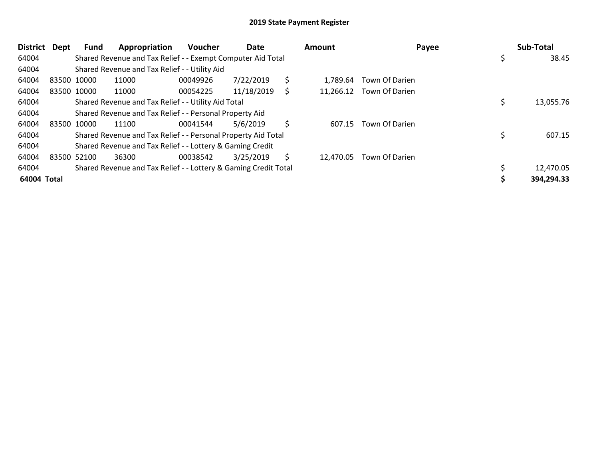| <b>District</b> | Dept | <b>Fund</b> | Appropriation                                                   | <b>Voucher</b> | Date       |    | <b>Amount</b> |                          | Payee | Sub-Total  |
|-----------------|------|-------------|-----------------------------------------------------------------|----------------|------------|----|---------------|--------------------------|-------|------------|
| 64004           |      |             | Shared Revenue and Tax Relief - - Exempt Computer Aid Total     |                |            |    |               |                          | \$    | 38.45      |
| 64004           |      |             | Shared Revenue and Tax Relief - - Utility Aid                   |                |            |    |               |                          |       |            |
| 64004           |      | 83500 10000 | 11000                                                           | 00049926       | 7/22/2019  | \$ | 1.789.64      | Town Of Darien           |       |            |
| 64004           |      | 83500 10000 | 11000                                                           | 00054225       | 11/18/2019 | S  |               | 11,266.12 Town Of Darien |       |            |
| 64004           |      |             | Shared Revenue and Tax Relief - - Utility Aid Total             |                |            |    |               |                          |       | 13,055.76  |
| 64004           |      |             | Shared Revenue and Tax Relief - - Personal Property Aid         |                |            |    |               |                          |       |            |
| 64004           |      | 83500 10000 | 11100                                                           | 00041544       | 5/6/2019   | \$ | 607.15        | Town Of Darien           |       |            |
| 64004           |      |             | Shared Revenue and Tax Relief - - Personal Property Aid Total   |                |            |    |               |                          |       | 607.15     |
| 64004           |      |             | Shared Revenue and Tax Relief - - Lottery & Gaming Credit       |                |            |    |               |                          |       |            |
| 64004           |      | 83500 52100 | 36300                                                           | 00038542       | 3/25/2019  | S  | 12,470.05     | Town Of Darien           |       |            |
| 64004           |      |             | Shared Revenue and Tax Relief - - Lottery & Gaming Credit Total |                |            |    |               |                          |       | 12,470.05  |
| 64004 Total     |      |             |                                                                 |                |            |    |               |                          |       | 394,294.33 |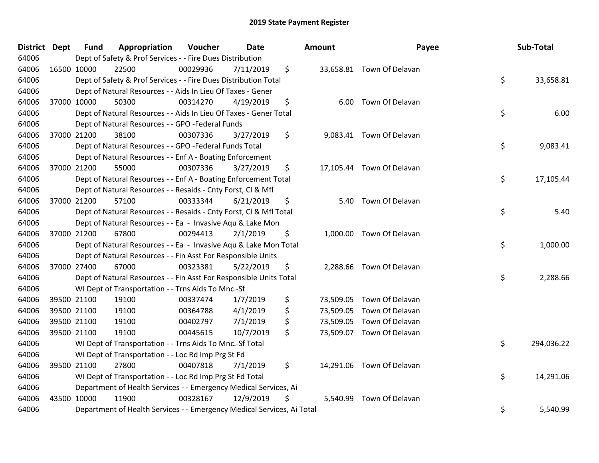| District Dept | <b>Fund</b> | Appropriation                                                          | Voucher  | Date      | Amount         | Payee                     | Sub-Total        |
|---------------|-------------|------------------------------------------------------------------------|----------|-----------|----------------|---------------------------|------------------|
| 64006         |             | Dept of Safety & Prof Services - - Fire Dues Distribution              |          |           |                |                           |                  |
| 64006         | 16500 10000 | 22500                                                                  | 00029936 | 7/11/2019 | \$             | 33,658.81 Town Of Delavan |                  |
| 64006         |             | Dept of Safety & Prof Services - - Fire Dues Distribution Total        |          |           |                |                           | \$<br>33,658.81  |
| 64006         |             | Dept of Natural Resources - - Aids In Lieu Of Taxes - Gener            |          |           |                |                           |                  |
| 64006         | 37000 10000 | 50300                                                                  | 00314270 | 4/19/2019 | \$<br>6.00     | Town Of Delavan           |                  |
| 64006         |             | Dept of Natural Resources - - Aids In Lieu Of Taxes - Gener Total      |          |           |                |                           | \$<br>6.00       |
| 64006         |             | Dept of Natural Resources - - GPO -Federal Funds                       |          |           |                |                           |                  |
| 64006         | 37000 21200 | 38100                                                                  | 00307336 | 3/27/2019 | \$             | 9,083.41 Town Of Delavan  |                  |
| 64006         |             | Dept of Natural Resources - - GPO -Federal Funds Total                 |          |           |                |                           | \$<br>9,083.41   |
| 64006         |             | Dept of Natural Resources - - Enf A - Boating Enforcement              |          |           |                |                           |                  |
| 64006         | 37000 21200 | 55000                                                                  | 00307336 | 3/27/2019 | \$             | 17,105.44 Town Of Delavan |                  |
| 64006         |             | Dept of Natural Resources - - Enf A - Boating Enforcement Total        |          |           |                |                           | \$<br>17,105.44  |
| 64006         |             | Dept of Natural Resources - - Resaids - Cnty Forst, Cl & Mfl           |          |           |                |                           |                  |
| 64006         | 37000 21200 | 57100                                                                  | 00333344 | 6/21/2019 | \$             | 5.40 Town Of Delavan      |                  |
| 64006         |             | Dept of Natural Resources - - Resaids - Cnty Forst, Cl & Mfl Total     |          |           |                |                           | \$<br>5.40       |
| 64006         |             | Dept of Natural Resources - - Ea - Invasive Aqu & Lake Mon             |          |           |                |                           |                  |
| 64006         | 37000 21200 | 67800                                                                  | 00294413 | 2/1/2019  | \$             | 1,000.00 Town Of Delavan  |                  |
| 64006         |             | Dept of Natural Resources - - Ea - Invasive Aqu & Lake Mon Total       |          |           |                |                           | \$<br>1,000.00   |
| 64006         |             | Dept of Natural Resources - - Fin Asst For Responsible Units           |          |           |                |                           |                  |
| 64006         | 37000 27400 | 67000                                                                  | 00323381 | 5/22/2019 | \$             | 2,288.66 Town Of Delavan  |                  |
| 64006         |             | Dept of Natural Resources - - Fin Asst For Responsible Units Total     |          |           |                |                           | \$<br>2,288.66   |
| 64006         |             | WI Dept of Transportation - - Trns Aids To Mnc.-Sf                     |          |           |                |                           |                  |
| 64006         | 39500 21100 | 19100                                                                  | 00337474 | 1/7/2019  | \$             | 73,509.05 Town Of Delavan |                  |
| 64006         | 39500 21100 | 19100                                                                  | 00364788 | 4/1/2019  | \$             | 73,509.05 Town Of Delavan |                  |
| 64006         | 39500 21100 | 19100                                                                  | 00402797 | 7/1/2019  | \$             | 73,509.05 Town Of Delavan |                  |
| 64006         | 39500 21100 | 19100                                                                  | 00445615 | 10/7/2019 | \$             | 73,509.07 Town Of Delavan |                  |
| 64006         |             | WI Dept of Transportation - - Trns Aids To Mnc.-Sf Total               |          |           |                |                           | \$<br>294,036.22 |
| 64006         |             | WI Dept of Transportation - - Loc Rd Imp Prg St Fd                     |          |           |                |                           |                  |
| 64006         | 39500 21100 | 27800                                                                  | 00407818 | 7/1/2019  | \$             | 14,291.06 Town Of Delavan |                  |
| 64006         |             | WI Dept of Transportation - - Loc Rd Imp Prg St Fd Total               |          |           |                |                           | \$<br>14,291.06  |
| 64006         |             | Department of Health Services - - Emergency Medical Services, Ai       |          |           |                |                           |                  |
| 64006         | 43500 10000 | 11900                                                                  | 00328167 | 12/9/2019 | \$<br>5,540.99 | Town Of Delavan           |                  |
| 64006         |             | Department of Health Services - - Emergency Medical Services, Ai Total |          |           |                |                           | \$<br>5,540.99   |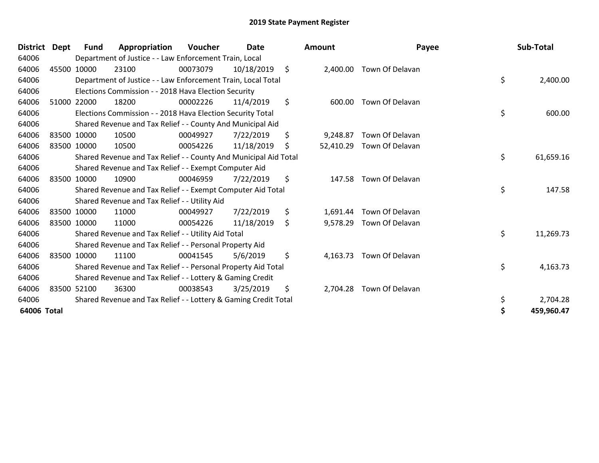| District Dept |       | <b>Fund</b> | Appropriation                                                    | <b>Voucher</b> | Date       | Amount          | Payee           | Sub-Total       |
|---------------|-------|-------------|------------------------------------------------------------------|----------------|------------|-----------------|-----------------|-----------------|
| 64006         |       |             | Department of Justice - - Law Enforcement Train, Local           |                |            |                 |                 |                 |
| 64006         | 45500 | 10000       | 23100                                                            | 00073079       | 10/18/2019 | \$<br>2,400.00  | Town Of Delavan |                 |
| 64006         |       |             | Department of Justice - - Law Enforcement Train, Local Total     |                |            |                 |                 | \$<br>2,400.00  |
| 64006         |       |             | Elections Commission - - 2018 Hava Election Security             |                |            |                 |                 |                 |
| 64006         | 51000 | 22000       | 18200                                                            | 00002226       | 11/4/2019  | \$<br>600.00    | Town Of Delavan |                 |
| 64006         |       |             | Elections Commission - - 2018 Hava Election Security Total       |                |            |                 |                 | \$<br>600.00    |
| 64006         |       |             | Shared Revenue and Tax Relief - - County And Municipal Aid       |                |            |                 |                 |                 |
| 64006         |       | 83500 10000 | 10500                                                            | 00049927       | 7/22/2019  | \$<br>9,248.87  | Town Of Delavan |                 |
| 64006         |       | 83500 10000 | 10500                                                            | 00054226       | 11/18/2019 | \$<br>52,410.29 | Town Of Delavan |                 |
| 64006         |       |             | Shared Revenue and Tax Relief - - County And Municipal Aid Total |                |            |                 |                 | \$<br>61,659.16 |
| 64006         |       |             | Shared Revenue and Tax Relief - - Exempt Computer Aid            |                |            |                 |                 |                 |
| 64006         |       | 83500 10000 | 10900                                                            | 00046959       | 7/22/2019  | \$<br>147.58    | Town Of Delavan |                 |
| 64006         |       |             | Shared Revenue and Tax Relief - - Exempt Computer Aid Total      |                |            |                 |                 | \$<br>147.58    |
| 64006         |       |             | Shared Revenue and Tax Relief - - Utility Aid                    |                |            |                 |                 |                 |
| 64006         |       | 83500 10000 | 11000                                                            | 00049927       | 7/22/2019  | \$<br>1,691.44  | Town Of Delavan |                 |
| 64006         |       | 83500 10000 | 11000                                                            | 00054226       | 11/18/2019 | \$<br>9,578.29  | Town Of Delavan |                 |
| 64006         |       |             | Shared Revenue and Tax Relief - - Utility Aid Total              |                |            |                 |                 | \$<br>11,269.73 |
| 64006         |       |             | Shared Revenue and Tax Relief - - Personal Property Aid          |                |            |                 |                 |                 |
| 64006         |       | 83500 10000 | 11100                                                            | 00041545       | 5/6/2019   | \$<br>4,163.73  | Town Of Delavan |                 |
| 64006         |       |             | Shared Revenue and Tax Relief - - Personal Property Aid Total    |                |            |                 |                 | \$<br>4,163.73  |
| 64006         |       |             | Shared Revenue and Tax Relief - - Lottery & Gaming Credit        |                |            |                 |                 |                 |
| 64006         |       | 83500 52100 | 36300                                                            | 00038543       | 3/25/2019  | \$<br>2,704.28  | Town Of Delavan |                 |
| 64006         |       |             | Shared Revenue and Tax Relief - - Lottery & Gaming Credit Total  |                |            |                 |                 | 2,704.28        |
| 64006 Total   |       |             |                                                                  |                |            |                 |                 | 459,960.47      |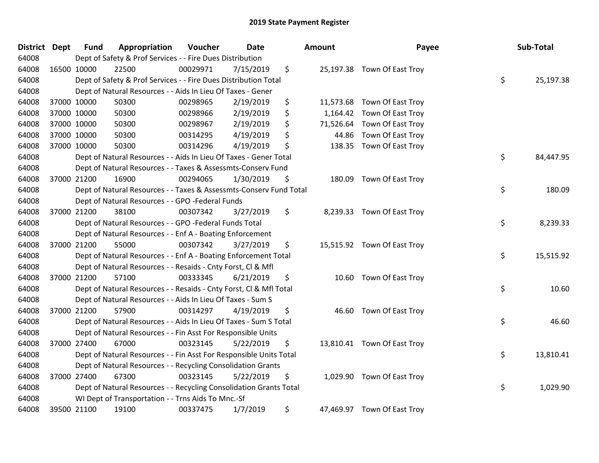| District Dept |             | <b>Fund</b> | Appropriation                                                      | Voucher  | Date      | <b>Amount</b>   | Payee                       | Sub-Total       |
|---------------|-------------|-------------|--------------------------------------------------------------------|----------|-----------|-----------------|-----------------------------|-----------------|
| 64008         |             |             | Dept of Safety & Prof Services - - Fire Dues Distribution          |          |           |                 |                             |                 |
| 64008         | 16500 10000 |             | 22500                                                              | 00029971 | 7/15/2019 | \$              | 25,197.38 Town Of East Troy |                 |
| 64008         |             |             | Dept of Safety & Prof Services - - Fire Dues Distribution Total    |          |           |                 |                             | \$<br>25,197.38 |
| 64008         |             |             | Dept of Natural Resources - - Aids In Lieu Of Taxes - Gener        |          |           |                 |                             |                 |
| 64008         | 37000 10000 |             | 50300                                                              | 00298965 | 2/19/2019 | \$<br>11,573.68 | Town Of East Troy           |                 |
| 64008         |             | 37000 10000 | 50300                                                              | 00298966 | 2/19/2019 | \$<br>1,164.42  | Town Of East Troy           |                 |
| 64008         |             | 37000 10000 | 50300                                                              | 00298967 | 2/19/2019 | \$<br>71,526.64 | Town Of East Troy           |                 |
| 64008         |             | 37000 10000 | 50300                                                              | 00314295 | 4/19/2019 | \$<br>44.86     | Town Of East Troy           |                 |
| 64008         |             | 37000 10000 | 50300                                                              | 00314296 | 4/19/2019 | \$              | 138.35 Town Of East Troy    |                 |
| 64008         |             |             | Dept of Natural Resources - - Aids In Lieu Of Taxes - Gener Total  |          |           |                 |                             | \$<br>84,447.95 |
| 64008         |             |             | Dept of Natural Resources - - Taxes & Assessmts-Conserv Fund       |          |           |                 |                             |                 |
| 64008         |             | 37000 21200 | 16900                                                              | 00294065 | 1/30/2019 | \$<br>180.09    | Town Of East Troy           |                 |
| 64008         |             |             | Dept of Natural Resources - - Taxes & Assessmts-Conserv Fund Total |          |           |                 |                             | \$<br>180.09    |
| 64008         |             |             | Dept of Natural Resources - - GPO -Federal Funds                   |          |           |                 |                             |                 |
| 64008         |             | 37000 21200 | 38100                                                              | 00307342 | 3/27/2019 | \$<br>8,239.33  | Town Of East Troy           |                 |
| 64008         |             |             | Dept of Natural Resources - - GPO -Federal Funds Total             |          |           |                 |                             | \$<br>8,239.33  |
| 64008         |             |             | Dept of Natural Resources - - Enf A - Boating Enforcement          |          |           |                 |                             |                 |
| 64008         |             | 37000 21200 | 55000                                                              | 00307342 | 3/27/2019 | \$              | 15,515.92 Town Of East Troy |                 |
| 64008         |             |             | Dept of Natural Resources - - Enf A - Boating Enforcement Total    |          |           |                 |                             | \$<br>15,515.92 |
| 64008         |             |             | Dept of Natural Resources - - Resaids - Cnty Forst, Cl & Mfl       |          |           |                 |                             |                 |
| 64008         | 37000 21200 |             | 57100                                                              | 00333345 | 6/21/2019 | \$              | 10.60 Town Of East Troy     |                 |
| 64008         |             |             | Dept of Natural Resources - - Resaids - Cnty Forst, Cl & Mfl Total |          |           |                 |                             | \$<br>10.60     |
| 64008         |             |             | Dept of Natural Resources - - Aids In Lieu Of Taxes - Sum S        |          |           |                 |                             |                 |
| 64008         |             | 37000 21200 | 57900                                                              | 00314297 | 4/19/2019 | \$<br>46.60     | Town Of East Troy           |                 |
| 64008         |             |             | Dept of Natural Resources - - Aids In Lieu Of Taxes - Sum S Total  |          |           |                 |                             | \$<br>46.60     |
| 64008         |             |             | Dept of Natural Resources - - Fin Asst For Responsible Units       |          |           |                 |                             |                 |
| 64008         | 37000 27400 |             | 67000                                                              | 00323145 | 5/22/2019 | \$              | 13,810.41 Town Of East Troy |                 |
| 64008         |             |             | Dept of Natural Resources - - Fin Asst For Responsible Units Total |          |           |                 |                             | \$<br>13,810.41 |
| 64008         |             |             | Dept of Natural Resources - - Recycling Consolidation Grants       |          |           |                 |                             |                 |
| 64008         |             | 37000 27400 | 67300                                                              | 00323145 | 5/22/2019 | \$              | 1,029.90 Town Of East Troy  |                 |
| 64008         |             |             | Dept of Natural Resources - - Recycling Consolidation Grants Total |          |           |                 |                             | \$<br>1,029.90  |
| 64008         |             |             | WI Dept of Transportation - - Trns Aids To Mnc.-Sf                 |          |           |                 |                             |                 |
| 64008         |             | 39500 21100 | 19100                                                              | 00337475 | 1/7/2019  | \$              | 47,469.97 Town Of East Troy |                 |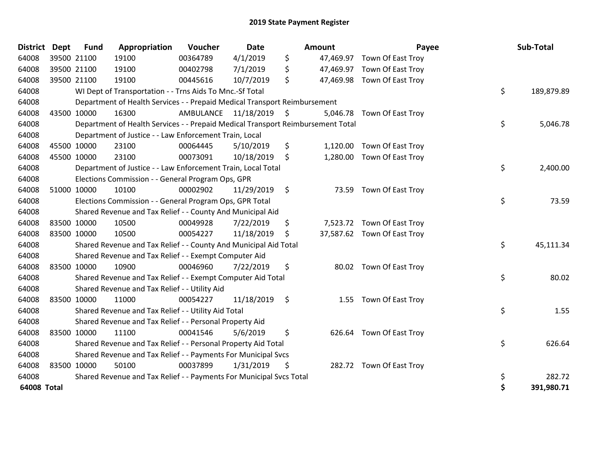| <b>District</b>    | Dept        | <b>Fund</b> | Appropriation                                                                   | Voucher                 | <b>Date</b> |                     | Amount   | Payee                       | Sub-Total        |
|--------------------|-------------|-------------|---------------------------------------------------------------------------------|-------------------------|-------------|---------------------|----------|-----------------------------|------------------|
| 64008              | 39500 21100 |             | 19100                                                                           | 00364789                | 4/1/2019    | \$                  |          | 47,469.97 Town Of East Troy |                  |
| 64008              | 39500 21100 |             | 19100                                                                           | 00402798                | 7/1/2019    | \$                  |          | 47,469.97 Town Of East Troy |                  |
| 64008              | 39500 21100 |             | 19100                                                                           | 00445616                | 10/7/2019   | \$                  |          | 47,469.98 Town Of East Troy |                  |
| 64008              |             |             | WI Dept of Transportation - - Trns Aids To Mnc.-Sf Total                        |                         |             |                     |          |                             | \$<br>189,879.89 |
| 64008              |             |             | Department of Health Services - - Prepaid Medical Transport Reimbursement       |                         |             |                     |          |                             |                  |
| 64008              | 43500 10000 |             | 16300                                                                           | AMBULANCE 11/18/2019 \$ |             |                     | 5,046.78 | Town Of East Troy           |                  |
| 64008              |             |             | Department of Health Services - - Prepaid Medical Transport Reimbursement Total |                         |             |                     |          |                             | \$<br>5,046.78   |
| 64008              |             |             | Department of Justice - - Law Enforcement Train, Local                          |                         |             |                     |          |                             |                  |
| 64008              | 45500 10000 |             | 23100                                                                           | 00064445                | 5/10/2019   | \$                  | 1,120.00 | Town Of East Troy           |                  |
| 64008              | 45500 10000 |             | 23100                                                                           | 00073091                | 10/18/2019  | \$                  |          | 1,280.00 Town Of East Troy  |                  |
| 64008              |             |             | Department of Justice - - Law Enforcement Train, Local Total                    |                         |             |                     |          |                             | \$<br>2,400.00   |
| 64008              |             |             | Elections Commission - - General Program Ops, GPR                               |                         |             |                     |          |                             |                  |
| 64008              | 51000 10000 |             | 10100                                                                           | 00002902                | 11/29/2019  | - \$                |          | 73.59 Town Of East Troy     |                  |
| 64008              |             |             | Elections Commission - - General Program Ops, GPR Total                         |                         |             |                     |          |                             | \$<br>73.59      |
| 64008              |             |             | Shared Revenue and Tax Relief - - County And Municipal Aid                      |                         |             |                     |          |                             |                  |
| 64008              | 83500 10000 |             | 10500                                                                           | 00049928                | 7/22/2019   | \$                  |          | 7,523.72 Town Of East Troy  |                  |
| 64008              | 83500 10000 |             | 10500                                                                           | 00054227                | 11/18/2019  | \$                  |          | 37,587.62 Town Of East Troy |                  |
| 64008              |             |             | Shared Revenue and Tax Relief - - County And Municipal Aid Total                |                         |             |                     |          |                             | \$<br>45,111.34  |
| 64008              |             |             | Shared Revenue and Tax Relief - - Exempt Computer Aid                           |                         |             |                     |          |                             |                  |
| 64008              | 83500 10000 |             | 10900                                                                           | 00046960                | 7/22/2019   | \$                  |          | 80.02 Town Of East Troy     |                  |
| 64008              |             |             | Shared Revenue and Tax Relief - - Exempt Computer Aid Total                     |                         |             |                     |          |                             | \$<br>80.02      |
| 64008              |             |             | Shared Revenue and Tax Relief - - Utility Aid                                   |                         |             |                     |          |                             |                  |
| 64008              | 83500 10000 |             | 11000                                                                           | 00054227                | 11/18/2019  | $\ddot{\mathsf{s}}$ |          | 1.55 Town Of East Troy      |                  |
| 64008              |             |             | Shared Revenue and Tax Relief - - Utility Aid Total                             |                         |             |                     |          |                             | \$<br>1.55       |
| 64008              |             |             | Shared Revenue and Tax Relief - - Personal Property Aid                         |                         |             |                     |          |                             |                  |
| 64008              | 83500 10000 |             | 11100                                                                           | 00041546                | 5/6/2019    | \$                  |          | 626.64 Town Of East Troy    |                  |
| 64008              |             |             | Shared Revenue and Tax Relief - - Personal Property Aid Total                   |                         |             |                     |          |                             | \$<br>626.64     |
| 64008              |             |             | Shared Revenue and Tax Relief - - Payments For Municipal Svcs                   |                         |             |                     |          |                             |                  |
| 64008              | 83500 10000 |             | 50100                                                                           | 00037899                | 1/31/2019   | \$                  |          | 282.72 Town Of East Troy    |                  |
| 64008              |             |             | Shared Revenue and Tax Relief - - Payments For Municipal Svcs Total             |                         |             |                     |          |                             | \$<br>282.72     |
| <b>64008 Total</b> |             |             |                                                                                 |                         |             |                     |          |                             | \$<br>391,980.71 |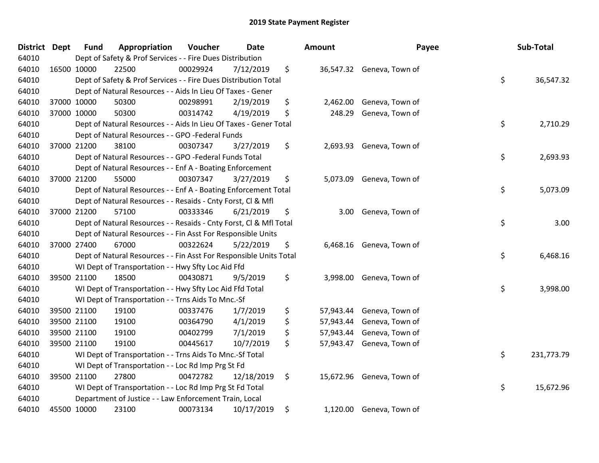| District Dept |             | <b>Fund</b> | Appropriation                                                      | Voucher  | <b>Date</b> | <b>Amount</b>   | Payee                     | Sub-Total        |
|---------------|-------------|-------------|--------------------------------------------------------------------|----------|-------------|-----------------|---------------------------|------------------|
| 64010         |             |             | Dept of Safety & Prof Services - - Fire Dues Distribution          |          |             |                 |                           |                  |
| 64010         | 16500 10000 |             | 22500                                                              | 00029924 | 7/12/2019   | \$              | 36,547.32 Geneva, Town of |                  |
| 64010         |             |             | Dept of Safety & Prof Services - - Fire Dues Distribution Total    |          |             |                 |                           | \$<br>36,547.32  |
| 64010         |             |             | Dept of Natural Resources - - Aids In Lieu Of Taxes - Gener        |          |             |                 |                           |                  |
| 64010         | 37000 10000 |             | 50300                                                              | 00298991 | 2/19/2019   | \$<br>2,462.00  | Geneva, Town of           |                  |
| 64010         |             | 37000 10000 | 50300                                                              | 00314742 | 4/19/2019   | \$<br>248.29    | Geneva, Town of           |                  |
| 64010         |             |             | Dept of Natural Resources - - Aids In Lieu Of Taxes - Gener Total  |          |             |                 |                           | \$<br>2,710.29   |
| 64010         |             |             | Dept of Natural Resources - - GPO -Federal Funds                   |          |             |                 |                           |                  |
| 64010         | 37000 21200 |             | 38100                                                              | 00307347 | 3/27/2019   | \$<br>2,693.93  | Geneva, Town of           |                  |
| 64010         |             |             | Dept of Natural Resources - - GPO -Federal Funds Total             |          |             |                 |                           | \$<br>2,693.93   |
| 64010         |             |             | Dept of Natural Resources - - Enf A - Boating Enforcement          |          |             |                 |                           |                  |
| 64010         |             | 37000 21200 | 55000                                                              | 00307347 | 3/27/2019   | \$              | 5,073.09 Geneva, Town of  |                  |
| 64010         |             |             | Dept of Natural Resources - - Enf A - Boating Enforcement Total    |          |             |                 |                           | \$<br>5,073.09   |
| 64010         |             |             | Dept of Natural Resources - - Resaids - Cnty Forst, Cl & Mfl       |          |             |                 |                           |                  |
| 64010         | 37000 21200 |             | 57100                                                              | 00333346 | 6/21/2019   | \$<br>3.00      | Geneva, Town of           |                  |
| 64010         |             |             | Dept of Natural Resources - - Resaids - Cnty Forst, CI & Mfl Total |          |             |                 |                           | \$<br>3.00       |
| 64010         |             |             | Dept of Natural Resources - - Fin Asst For Responsible Units       |          |             |                 |                           |                  |
| 64010         | 37000 27400 |             | 67000                                                              | 00322624 | 5/22/2019   | \$              | 6,468.16 Geneva, Town of  |                  |
| 64010         |             |             | Dept of Natural Resources - - Fin Asst For Responsible Units Total |          |             |                 |                           | \$<br>6,468.16   |
| 64010         |             |             | WI Dept of Transportation - - Hwy Sfty Loc Aid Ffd                 |          |             |                 |                           |                  |
| 64010         | 39500 21100 |             | 18500                                                              | 00430871 | 9/5/2019    | \$              | 3,998.00 Geneva, Town of  |                  |
| 64010         |             |             | WI Dept of Transportation - - Hwy Sfty Loc Aid Ffd Total           |          |             |                 |                           | \$<br>3,998.00   |
| 64010         |             |             | WI Dept of Transportation - - Trns Aids To Mnc.-Sf                 |          |             |                 |                           |                  |
| 64010         | 39500 21100 |             | 19100                                                              | 00337476 | 1/7/2019    | \$<br>57,943.44 | Geneva, Town of           |                  |
| 64010         |             | 39500 21100 | 19100                                                              | 00364790 | 4/1/2019    | \$<br>57,943.44 | Geneva, Town of           |                  |
| 64010         |             | 39500 21100 | 19100                                                              | 00402799 | 7/1/2019    | \$<br>57,943.44 | Geneva, Town of           |                  |
| 64010         | 39500 21100 |             | 19100                                                              | 00445617 | 10/7/2019   | \$              | 57,943.47 Geneva, Town of |                  |
| 64010         |             |             | WI Dept of Transportation - - Trns Aids To Mnc.-Sf Total           |          |             |                 |                           | \$<br>231,773.79 |
| 64010         |             |             | WI Dept of Transportation - - Loc Rd Imp Prg St Fd                 |          |             |                 |                           |                  |
| 64010         | 39500 21100 |             | 27800                                                              | 00472782 | 12/18/2019  | \$              | 15,672.96 Geneva, Town of |                  |
| 64010         |             |             | WI Dept of Transportation - - Loc Rd Imp Prg St Fd Total           |          |             |                 |                           | \$<br>15,672.96  |
| 64010         |             |             | Department of Justice - - Law Enforcement Train, Local             |          |             |                 |                           |                  |
| 64010         | 45500 10000 |             | 23100                                                              | 00073134 | 10/17/2019  | \$              | 1,120.00 Geneva, Town of  |                  |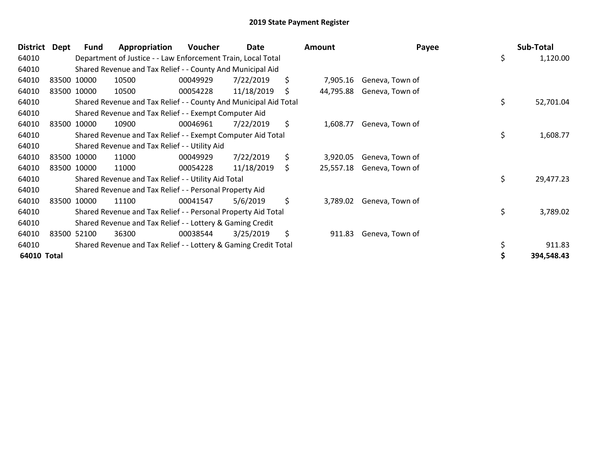| <b>District</b> | Dept | Fund        | Appropriation                                                    | Voucher  | Date       |     | Amount    | Payee           | Sub-Total       |
|-----------------|------|-------------|------------------------------------------------------------------|----------|------------|-----|-----------|-----------------|-----------------|
| 64010           |      |             | Department of Justice - - Law Enforcement Train, Local Total     |          |            |     |           |                 | \$<br>1,120.00  |
| 64010           |      |             | Shared Revenue and Tax Relief - - County And Municipal Aid       |          |            |     |           |                 |                 |
| 64010           |      | 83500 10000 | 10500                                                            | 00049929 | 7/22/2019  | \$  | 7,905.16  | Geneva, Town of |                 |
| 64010           |      | 83500 10000 | 10500                                                            | 00054228 | 11/18/2019 | \$. | 44,795.88 | Geneva, Town of |                 |
| 64010           |      |             | Shared Revenue and Tax Relief - - County And Municipal Aid Total |          |            |     |           |                 | \$<br>52,701.04 |
| 64010           |      |             | Shared Revenue and Tax Relief - - Exempt Computer Aid            |          |            |     |           |                 |                 |
| 64010           |      | 83500 10000 | 10900                                                            | 00046961 | 7/22/2019  | \$. | 1,608.77  | Geneva, Town of |                 |
| 64010           |      |             | Shared Revenue and Tax Relief - - Exempt Computer Aid Total      |          |            |     |           |                 | \$<br>1,608.77  |
| 64010           |      |             | Shared Revenue and Tax Relief - - Utility Aid                    |          |            |     |           |                 |                 |
| 64010           |      | 83500 10000 | 11000                                                            | 00049929 | 7/22/2019  | \$  | 3,920.05  | Geneva, Town of |                 |
| 64010           |      | 83500 10000 | 11000                                                            | 00054228 | 11/18/2019 | \$  | 25,557.18 | Geneva, Town of |                 |
| 64010           |      |             | Shared Revenue and Tax Relief - - Utility Aid Total              |          |            |     |           |                 | \$<br>29,477.23 |
| 64010           |      |             | Shared Revenue and Tax Relief - - Personal Property Aid          |          |            |     |           |                 |                 |
| 64010           |      | 83500 10000 | 11100                                                            | 00041547 | 5/6/2019   | \$  | 3,789.02  | Geneva, Town of |                 |
| 64010           |      |             | Shared Revenue and Tax Relief - - Personal Property Aid Total    |          |            |     |           |                 | \$<br>3,789.02  |
| 64010           |      |             | Shared Revenue and Tax Relief - - Lottery & Gaming Credit        |          |            |     |           |                 |                 |
| 64010           |      | 83500 52100 | 36300                                                            | 00038544 | 3/25/2019  | \$  | 911.83    | Geneva, Town of |                 |
| 64010           |      |             | Shared Revenue and Tax Relief - - Lottery & Gaming Credit Total  |          |            |     |           |                 | \$<br>911.83    |
| 64010 Total     |      |             |                                                                  |          |            |     |           |                 | 394,548.43      |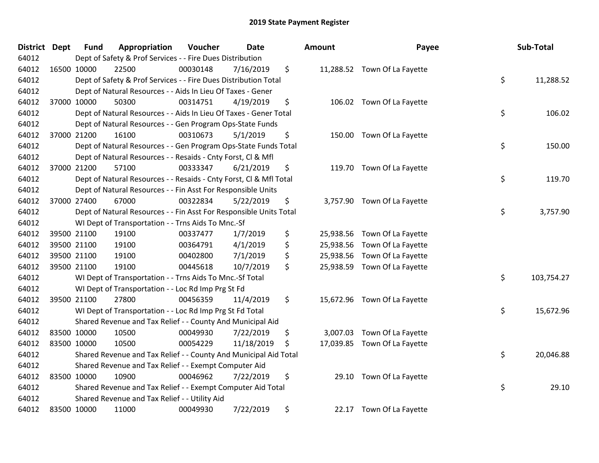| <b>District</b> | <b>Dept</b> | <b>Fund</b> | Appropriation                                                      | Voucher  | <b>Date</b> | Amount          | Payee                        | Sub-Total        |
|-----------------|-------------|-------------|--------------------------------------------------------------------|----------|-------------|-----------------|------------------------------|------------------|
| 64012           |             |             | Dept of Safety & Prof Services - - Fire Dues Distribution          |          |             |                 |                              |                  |
| 64012           | 16500 10000 |             | 22500                                                              | 00030148 | 7/16/2019   | \$              | 11,288.52 Town Of La Fayette |                  |
| 64012           |             |             | Dept of Safety & Prof Services - - Fire Dues Distribution Total    |          |             |                 |                              | \$<br>11,288.52  |
| 64012           |             |             | Dept of Natural Resources - - Aids In Lieu Of Taxes - Gener        |          |             |                 |                              |                  |
| 64012           | 37000 10000 |             | 50300                                                              | 00314751 | 4/19/2019   | \$              | 106.02 Town Of La Fayette    |                  |
| 64012           |             |             | Dept of Natural Resources - - Aids In Lieu Of Taxes - Gener Total  |          |             |                 |                              | \$<br>106.02     |
| 64012           |             |             | Dept of Natural Resources - - Gen Program Ops-State Funds          |          |             |                 |                              |                  |
| 64012           | 37000 21200 |             | 16100                                                              | 00310673 | 5/1/2019    | \$              | 150.00 Town Of La Fayette    |                  |
| 64012           |             |             | Dept of Natural Resources - - Gen Program Ops-State Funds Total    |          |             |                 |                              | \$<br>150.00     |
| 64012           |             |             | Dept of Natural Resources - - Resaids - Cnty Forst, Cl & Mfl       |          |             |                 |                              |                  |
| 64012           | 37000 21200 |             | 57100                                                              | 00333347 | 6/21/2019   | \$              | 119.70 Town Of La Fayette    |                  |
| 64012           |             |             | Dept of Natural Resources - - Resaids - Cnty Forst, Cl & Mfl Total |          |             |                 |                              | \$<br>119.70     |
| 64012           |             |             | Dept of Natural Resources - - Fin Asst For Responsible Units       |          |             |                 |                              |                  |
| 64012           | 37000 27400 |             | 67000                                                              | 00322834 | 5/22/2019   | \$              | 3,757.90 Town Of La Fayette  |                  |
| 64012           |             |             | Dept of Natural Resources - - Fin Asst For Responsible Units Total |          |             |                 |                              | \$<br>3,757.90   |
| 64012           |             |             | WI Dept of Transportation - - Trns Aids To Mnc.-Sf                 |          |             |                 |                              |                  |
| 64012           | 39500 21100 |             | 19100                                                              | 00337477 | 1/7/2019    | \$<br>25,938.56 | Town Of La Fayette           |                  |
| 64012           | 39500 21100 |             | 19100                                                              | 00364791 | 4/1/2019    | \$              | 25,938.56 Town Of La Fayette |                  |
| 64012           | 39500 21100 |             | 19100                                                              | 00402800 | 7/1/2019    | \$              | 25,938.56 Town Of La Fayette |                  |
| 64012           | 39500 21100 |             | 19100                                                              | 00445618 | 10/7/2019   | \$              | 25,938.59 Town Of La Fayette |                  |
| 64012           |             |             | WI Dept of Transportation - - Trns Aids To Mnc.-Sf Total           |          |             |                 |                              | \$<br>103,754.27 |
| 64012           |             |             | WI Dept of Transportation - - Loc Rd Imp Prg St Fd                 |          |             |                 |                              |                  |
| 64012           | 39500 21100 |             | 27800                                                              | 00456359 | 11/4/2019   | \$              | 15,672.96 Town Of La Fayette |                  |
| 64012           |             |             | WI Dept of Transportation - - Loc Rd Imp Prg St Fd Total           |          |             |                 |                              | \$<br>15,672.96  |
| 64012           |             |             | Shared Revenue and Tax Relief - - County And Municipal Aid         |          |             |                 |                              |                  |
| 64012           | 83500 10000 |             | 10500                                                              | 00049930 | 7/22/2019   | \$              | 3,007.03 Town Of La Fayette  |                  |
| 64012           | 83500 10000 |             | 10500                                                              | 00054229 | 11/18/2019  | \$              | 17,039.85 Town Of La Fayette |                  |
| 64012           |             |             | Shared Revenue and Tax Relief - - County And Municipal Aid Total   |          |             |                 |                              | \$<br>20,046.88  |
| 64012           |             |             | Shared Revenue and Tax Relief - - Exempt Computer Aid              |          |             |                 |                              |                  |
| 64012           | 83500 10000 |             | 10900                                                              | 00046962 | 7/22/2019   | \$              | 29.10 Town Of La Fayette     |                  |
| 64012           |             |             | Shared Revenue and Tax Relief - - Exempt Computer Aid Total        |          |             |                 |                              | \$<br>29.10      |
| 64012           |             |             | Shared Revenue and Tax Relief - - Utility Aid                      |          |             |                 |                              |                  |
| 64012           | 83500 10000 |             | 11000                                                              | 00049930 | 7/22/2019   | \$              | 22.17 Town Of La Fayette     |                  |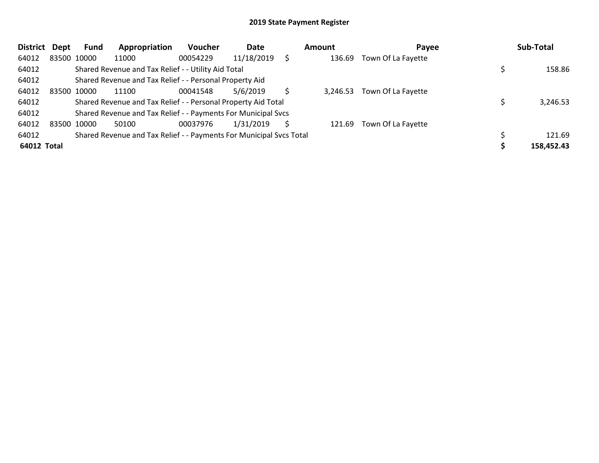| <b>District</b> | <b>Dept</b> | <b>Fund</b> | Appropriation                                                       | Voucher  | Date       |   | Amount   | Payee              | Sub-Total  |
|-----------------|-------------|-------------|---------------------------------------------------------------------|----------|------------|---|----------|--------------------|------------|
| 64012           |             | 83500 10000 | 11000                                                               | 00054229 | 11/18/2019 |   | 136.69   | Town Of La Fayette |            |
| 64012           |             |             | Shared Revenue and Tax Relief - - Utility Aid Total                 |          |            |   |          |                    | 158.86     |
| 64012           |             |             | Shared Revenue and Tax Relief - - Personal Property Aid             |          |            |   |          |                    |            |
| 64012           |             | 83500 10000 | 11100                                                               | 00041548 | 5/6/2019   |   | 3,246.53 | Town Of La Fayette |            |
| 64012           |             |             | Shared Revenue and Tax Relief - - Personal Property Aid Total       |          |            |   |          |                    | 3,246.53   |
| 64012           |             |             | Shared Revenue and Tax Relief - - Payments For Municipal Svcs       |          |            |   |          |                    |            |
| 64012           |             | 83500 10000 | 50100                                                               | 00037976 | 1/31/2019  | S | 121.69   | Town Of La Fayette |            |
| 64012           |             |             | Shared Revenue and Tax Relief - - Payments For Municipal Svcs Total |          |            |   |          |                    | 121.69     |
| 64012 Total     |             |             |                                                                     |          |            |   |          |                    | 158,452.43 |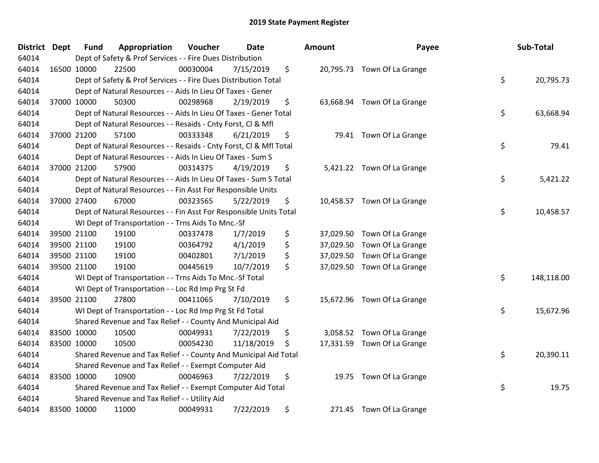| District Dept |             | <b>Fund</b> | Appropriation                                                      | Voucher  | <b>Date</b> | <b>Amount</b>   | Payee                       | Sub-Total        |
|---------------|-------------|-------------|--------------------------------------------------------------------|----------|-------------|-----------------|-----------------------------|------------------|
| 64014         |             |             | Dept of Safety & Prof Services - - Fire Dues Distribution          |          |             |                 |                             |                  |
| 64014         | 16500 10000 |             | 22500                                                              | 00030004 | 7/15/2019   | \$              | 20,795.73 Town Of La Grange |                  |
| 64014         |             |             | Dept of Safety & Prof Services - - Fire Dues Distribution Total    |          |             |                 |                             | \$<br>20,795.73  |
| 64014         |             |             | Dept of Natural Resources - - Aids In Lieu Of Taxes - Gener        |          |             |                 |                             |                  |
| 64014         | 37000 10000 |             | 50300                                                              | 00298968 | 2/19/2019   | \$              | 63,668.94 Town Of La Grange |                  |
| 64014         |             |             | Dept of Natural Resources - - Aids In Lieu Of Taxes - Gener Total  |          |             |                 |                             | \$<br>63,668.94  |
| 64014         |             |             | Dept of Natural Resources - - Resaids - Cnty Forst, Cl & Mfl       |          |             |                 |                             |                  |
| 64014         | 37000 21200 |             | 57100                                                              | 00333348 | 6/21/2019   | \$              | 79.41 Town Of La Grange     |                  |
| 64014         |             |             | Dept of Natural Resources - - Resaids - Cnty Forst, Cl & Mfl Total |          |             |                 |                             | \$<br>79.41      |
| 64014         |             |             | Dept of Natural Resources - - Aids In Lieu Of Taxes - Sum S        |          |             |                 |                             |                  |
| 64014         | 37000 21200 |             | 57900                                                              | 00314375 | 4/19/2019   | \$              | 5,421.22 Town Of La Grange  |                  |
| 64014         |             |             | Dept of Natural Resources - - Aids In Lieu Of Taxes - Sum S Total  |          |             |                 |                             | \$<br>5,421.22   |
| 64014         |             |             | Dept of Natural Resources - - Fin Asst For Responsible Units       |          |             |                 |                             |                  |
| 64014         | 37000 27400 |             | 67000                                                              | 00323565 | 5/22/2019   | \$              | 10,458.57 Town Of La Grange |                  |
| 64014         |             |             | Dept of Natural Resources - - Fin Asst For Responsible Units Total |          |             |                 |                             | \$<br>10,458.57  |
| 64014         |             |             | WI Dept of Transportation - - Trns Aids To Mnc.-Sf                 |          |             |                 |                             |                  |
| 64014         | 39500 21100 |             | 19100                                                              | 00337478 | 1/7/2019    | \$<br>37,029.50 | Town Of La Grange           |                  |
| 64014         | 39500 21100 |             | 19100                                                              | 00364792 | 4/1/2019    | \$<br>37,029.50 | Town Of La Grange           |                  |
| 64014         | 39500 21100 |             | 19100                                                              | 00402801 | 7/1/2019    | \$<br>37,029.50 | Town Of La Grange           |                  |
| 64014         | 39500 21100 |             | 19100                                                              | 00445619 | 10/7/2019   | \$<br>37,029.50 | Town Of La Grange           |                  |
| 64014         |             |             | WI Dept of Transportation - - Trns Aids To Mnc.-Sf Total           |          |             |                 |                             | \$<br>148,118.00 |
| 64014         |             |             | WI Dept of Transportation - - Loc Rd Imp Prg St Fd                 |          |             |                 |                             |                  |
| 64014         | 39500 21100 |             | 27800                                                              | 00411065 | 7/10/2019   | \$              | 15,672.96 Town Of La Grange |                  |
| 64014         |             |             | WI Dept of Transportation - - Loc Rd Imp Prg St Fd Total           |          |             |                 |                             | \$<br>15,672.96  |
| 64014         |             |             | Shared Revenue and Tax Relief - - County And Municipal Aid         |          |             |                 |                             |                  |
| 64014         | 83500 10000 |             | 10500                                                              | 00049931 | 7/22/2019   | \$<br>3,058.52  | Town Of La Grange           |                  |
| 64014         | 83500 10000 |             | 10500                                                              | 00054230 | 11/18/2019  | \$              | 17,331.59 Town Of La Grange |                  |
| 64014         |             |             | Shared Revenue and Tax Relief - - County And Municipal Aid Total   |          |             |                 |                             | \$<br>20,390.11  |
| 64014         |             |             | Shared Revenue and Tax Relief - - Exempt Computer Aid              |          |             |                 |                             |                  |
| 64014         | 83500 10000 |             | 10900                                                              | 00046963 | 7/22/2019   | \$              | 19.75 Town Of La Grange     |                  |
| 64014         |             |             | Shared Revenue and Tax Relief - - Exempt Computer Aid Total        |          |             |                 |                             | \$<br>19.75      |
| 64014         |             |             | Shared Revenue and Tax Relief - - Utility Aid                      |          |             |                 |                             |                  |
| 64014         | 83500 10000 |             | 11000                                                              | 00049931 | 7/22/2019   | \$<br>271.45    | Town Of La Grange           |                  |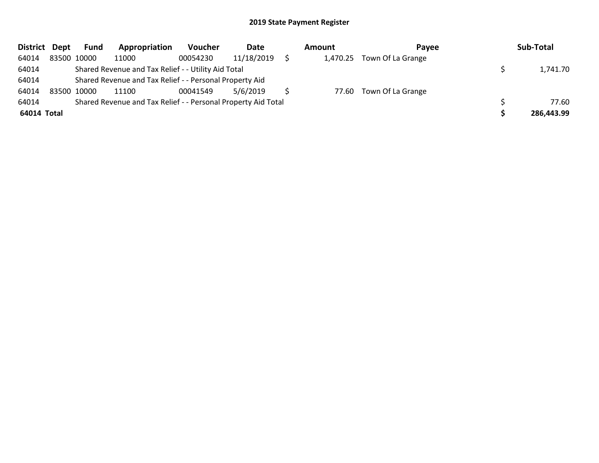| District Dept | <b>Fund</b> | Appropriation                                                 | Voucher  | Date       | Amount | <b>Pavee</b>               | Sub-Total  |
|---------------|-------------|---------------------------------------------------------------|----------|------------|--------|----------------------------|------------|
| 64014         | 83500 10000 | 11000                                                         | 00054230 | 11/18/2019 |        | 1,470.25 Town Of La Grange |            |
| 64014         |             | Shared Revenue and Tax Relief - - Utility Aid Total           |          |            |        |                            | 1,741.70   |
| 64014         |             | Shared Revenue and Tax Relief - - Personal Property Aid       |          |            |        |                            |            |
| 64014         | 83500 10000 | 11100                                                         | 00041549 | 5/6/2019   |        | 77.60 Town Of La Grange    |            |
| 64014         |             | Shared Revenue and Tax Relief - - Personal Property Aid Total |          |            |        |                            | 77.60      |
| 64014 Total   |             |                                                               |          |            |        |                            | 286,443.99 |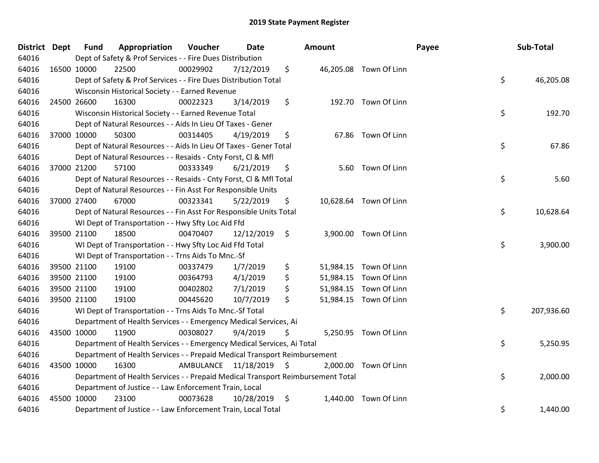| District Dept |             | <b>Fund</b> | Appropriation                                                                   | Voucher                 | <b>Date</b> | <b>Amount</b> |                        | Payee | Sub-Total  |
|---------------|-------------|-------------|---------------------------------------------------------------------------------|-------------------------|-------------|---------------|------------------------|-------|------------|
| 64016         |             |             | Dept of Safety & Prof Services - - Fire Dues Distribution                       |                         |             |               |                        |       |            |
| 64016         | 16500 10000 |             | 22500                                                                           | 00029902                | 7/12/2019   | \$            | 46,205.08 Town Of Linn |       |            |
| 64016         |             |             | Dept of Safety & Prof Services - - Fire Dues Distribution Total                 |                         |             |               |                        | \$    | 46,205.08  |
| 64016         |             |             | Wisconsin Historical Society - - Earned Revenue                                 |                         |             |               |                        |       |            |
| 64016         |             | 24500 26600 | 16300                                                                           | 00022323                | 3/14/2019   | \$            | 192.70 Town Of Linn    |       |            |
| 64016         |             |             | Wisconsin Historical Society - - Earned Revenue Total                           |                         |             |               |                        | \$    | 192.70     |
| 64016         |             |             | Dept of Natural Resources - - Aids In Lieu Of Taxes - Gener                     |                         |             |               |                        |       |            |
| 64016         |             | 37000 10000 | 50300                                                                           | 00314405                | 4/19/2019   | \$            | 67.86 Town Of Linn     |       |            |
| 64016         |             |             | Dept of Natural Resources - - Aids In Lieu Of Taxes - Gener Total               |                         |             |               |                        | \$    | 67.86      |
| 64016         |             |             | Dept of Natural Resources - - Resaids - Cnty Forst, CI & Mfl                    |                         |             |               |                        |       |            |
| 64016         |             | 37000 21200 | 57100                                                                           | 00333349                | 6/21/2019   | \$            | 5.60 Town Of Linn      |       |            |
| 64016         |             |             | Dept of Natural Resources - - Resaids - Cnty Forst, Cl & Mfl Total              |                         |             |               |                        | \$    | 5.60       |
| 64016         |             |             | Dept of Natural Resources - - Fin Asst For Responsible Units                    |                         |             |               |                        |       |            |
| 64016         |             | 37000 27400 | 67000                                                                           | 00323341                | 5/22/2019   | \$            | 10,628.64 Town Of Linn |       |            |
| 64016         |             |             | Dept of Natural Resources - - Fin Asst For Responsible Units Total              |                         |             |               |                        | \$    | 10,628.64  |
| 64016         |             |             | WI Dept of Transportation - - Hwy Sfty Loc Aid Ffd                              |                         |             |               |                        |       |            |
| 64016         |             | 39500 21100 | 18500                                                                           | 00470407                | 12/12/2019  | \$            | 3,900.00 Town Of Linn  |       |            |
| 64016         |             |             | WI Dept of Transportation - - Hwy Sfty Loc Aid Ffd Total                        |                         |             |               |                        | \$    | 3,900.00   |
| 64016         |             |             | WI Dept of Transportation - - Trns Aids To Mnc.-Sf                              |                         |             |               |                        |       |            |
| 64016         |             | 39500 21100 | 19100                                                                           | 00337479                | 1/7/2019    | \$            | 51,984.15 Town Of Linn |       |            |
| 64016         |             | 39500 21100 | 19100                                                                           | 00364793                | 4/1/2019    | \$            | 51,984.15 Town Of Linn |       |            |
| 64016         |             | 39500 21100 | 19100                                                                           | 00402802                | 7/1/2019    | \$            | 51,984.15 Town Of Linn |       |            |
| 64016         |             | 39500 21100 | 19100                                                                           | 00445620                | 10/7/2019   | \$            | 51,984.15 Town Of Linn |       |            |
| 64016         |             |             | WI Dept of Transportation - - Trns Aids To Mnc.-Sf Total                        |                         |             |               |                        | \$    | 207,936.60 |
| 64016         |             |             | Department of Health Services - - Emergency Medical Services, Ai                |                         |             |               |                        |       |            |
| 64016         | 43500 10000 |             | 11900                                                                           | 00308027                | 9/4/2019    | \$            | 5,250.95 Town Of Linn  |       |            |
| 64016         |             |             | Department of Health Services - - Emergency Medical Services, Ai Total          |                         |             |               |                        | \$    | 5,250.95   |
| 64016         |             |             | Department of Health Services - - Prepaid Medical Transport Reimbursement       |                         |             |               |                        |       |            |
| 64016         | 43500 10000 |             | 16300                                                                           | AMBULANCE 11/18/2019 \$ |             |               | 2,000.00 Town Of Linn  |       |            |
| 64016         |             |             | Department of Health Services - - Prepaid Medical Transport Reimbursement Total |                         |             |               |                        | \$    | 2,000.00   |
| 64016         |             |             | Department of Justice - - Law Enforcement Train, Local                          |                         |             |               |                        |       |            |
| 64016         |             | 45500 10000 | 23100                                                                           | 00073628                | 10/28/2019  | \$            | 1,440.00 Town Of Linn  |       |            |
| 64016         |             |             | Department of Justice - - Law Enforcement Train, Local Total                    |                         |             |               |                        | \$    | 1,440.00   |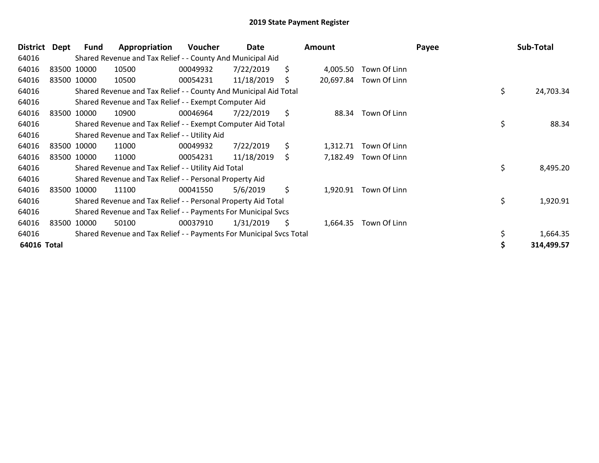| District    | Dept | Fund        | Appropriation                                                       | <b>Voucher</b> | Date       | Amount          |                       | Payee |     | Sub-Total  |
|-------------|------|-------------|---------------------------------------------------------------------|----------------|------------|-----------------|-----------------------|-------|-----|------------|
| 64016       |      |             | Shared Revenue and Tax Relief - - County And Municipal Aid          |                |            |                 |                       |       |     |            |
| 64016       |      | 83500 10000 | 10500                                                               | 00049932       | 7/22/2019  | \$<br>4,005.50  | Town Of Linn          |       |     |            |
| 64016       |      | 83500 10000 | 10500                                                               | 00054231       | 11/18/2019 | \$<br>20,697.84 | Town Of Linn          |       |     |            |
| 64016       |      |             | Shared Revenue and Tax Relief - - County And Municipal Aid Total    |                |            |                 |                       |       | \$  | 24,703.34  |
| 64016       |      |             | Shared Revenue and Tax Relief - - Exempt Computer Aid               |                |            |                 |                       |       |     |            |
| 64016       |      | 83500 10000 | 10900                                                               | 00046964       | 7/22/2019  | \$<br>88.34     | Town Of Linn          |       |     |            |
| 64016       |      |             | Shared Revenue and Tax Relief - - Exempt Computer Aid Total         |                |            |                 |                       |       | \$  | 88.34      |
| 64016       |      |             | Shared Revenue and Tax Relief - - Utility Aid                       |                |            |                 |                       |       |     |            |
| 64016       |      | 83500 10000 | 11000                                                               | 00049932       | 7/22/2019  | \$<br>1,312.71  | Town Of Linn          |       |     |            |
| 64016       |      | 83500 10000 | 11000                                                               | 00054231       | 11/18/2019 | \$<br>7,182.49  | Town Of Linn          |       |     |            |
| 64016       |      |             | Shared Revenue and Tax Relief - - Utility Aid Total                 |                |            |                 |                       |       | \$. | 8,495.20   |
| 64016       |      |             | Shared Revenue and Tax Relief - - Personal Property Aid             |                |            |                 |                       |       |     |            |
| 64016       |      | 83500 10000 | 11100                                                               | 00041550       | 5/6/2019   | \$              | 1,920.91 Town Of Linn |       |     |            |
| 64016       |      |             | Shared Revenue and Tax Relief - - Personal Property Aid Total       |                |            |                 |                       |       | \$  | 1,920.91   |
| 64016       |      |             | Shared Revenue and Tax Relief - - Payments For Municipal Svcs       |                |            |                 |                       |       |     |            |
| 64016       |      | 83500 10000 | 50100                                                               | 00037910       | 1/31/2019  | \$<br>1,664.35  | Town Of Linn          |       |     |            |
| 64016       |      |             | Shared Revenue and Tax Relief - - Payments For Municipal Svcs Total |                |            |                 |                       |       | \$  | 1,664.35   |
| 64016 Total |      |             |                                                                     |                |            |                 |                       |       |     | 314,499.57 |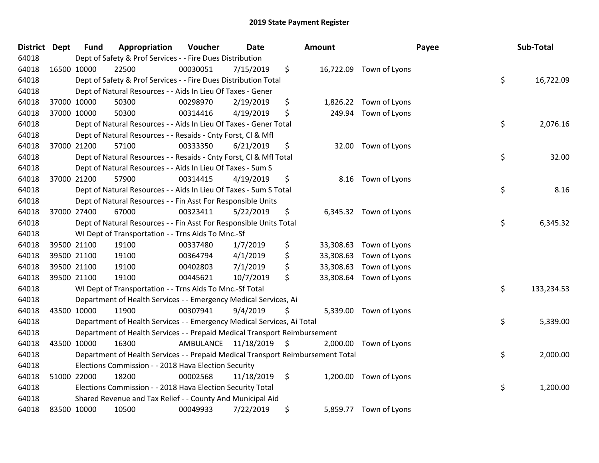| <b>District</b> | <b>Dept</b> | <b>Fund</b> | Appropriation                                                                   | Voucher                 | <b>Date</b> | Amount          |                         | Payee | Sub-Total  |
|-----------------|-------------|-------------|---------------------------------------------------------------------------------|-------------------------|-------------|-----------------|-------------------------|-------|------------|
| 64018           |             |             | Dept of Safety & Prof Services - - Fire Dues Distribution                       |                         |             |                 |                         |       |            |
| 64018           | 16500 10000 |             | 22500                                                                           | 00030051                | 7/15/2019   | \$              | 16,722.09 Town of Lyons |       |            |
| 64018           |             |             | Dept of Safety & Prof Services - - Fire Dues Distribution Total                 |                         |             |                 |                         | \$    | 16,722.09  |
| 64018           |             |             | Dept of Natural Resources - - Aids In Lieu Of Taxes - Gener                     |                         |             |                 |                         |       |            |
| 64018           |             | 37000 10000 | 50300                                                                           | 00298970                | 2/19/2019   | \$<br>1,826.22  | Town of Lyons           |       |            |
| 64018           |             | 37000 10000 | 50300                                                                           | 00314416                | 4/19/2019   | \$<br>249.94    | Town of Lyons           |       |            |
| 64018           |             |             | Dept of Natural Resources - - Aids In Lieu Of Taxes - Gener Total               |                         |             |                 |                         | \$    | 2,076.16   |
| 64018           |             |             | Dept of Natural Resources - - Resaids - Cnty Forst, CI & Mfl                    |                         |             |                 |                         |       |            |
| 64018           |             | 37000 21200 | 57100                                                                           | 00333350                | 6/21/2019   | \$<br>32.00     | Town of Lyons           |       |            |
| 64018           |             |             | Dept of Natural Resources - - Resaids - Cnty Forst, Cl & Mfl Total              |                         |             |                 |                         | \$    | 32.00      |
| 64018           |             |             | Dept of Natural Resources - - Aids In Lieu Of Taxes - Sum S                     |                         |             |                 |                         |       |            |
| 64018           |             | 37000 21200 | 57900                                                                           | 00314415                | 4/19/2019   | \$<br>8.16      | Town of Lyons           |       |            |
| 64018           |             |             | Dept of Natural Resources - - Aids In Lieu Of Taxes - Sum S Total               |                         |             |                 |                         | \$    | 8.16       |
| 64018           |             |             | Dept of Natural Resources - - Fin Asst For Responsible Units                    |                         |             |                 |                         |       |            |
| 64018           |             | 37000 27400 | 67000                                                                           | 00323411                | 5/22/2019   | \$<br>6,345.32  | Town of Lyons           |       |            |
| 64018           |             |             | Dept of Natural Resources - - Fin Asst For Responsible Units Total              |                         |             |                 |                         | \$    | 6,345.32   |
| 64018           |             |             | WI Dept of Transportation - - Trns Aids To Mnc.-Sf                              |                         |             |                 |                         |       |            |
| 64018           |             | 39500 21100 | 19100                                                                           | 00337480                | 1/7/2019    | \$              | 33,308.63 Town of Lyons |       |            |
| 64018           |             | 39500 21100 | 19100                                                                           | 00364794                | 4/1/2019    | \$<br>33,308.63 | Town of Lyons           |       |            |
| 64018           |             | 39500 21100 | 19100                                                                           | 00402803                | 7/1/2019    | \$<br>33,308.63 | Town of Lyons           |       |            |
| 64018           |             | 39500 21100 | 19100                                                                           | 00445621                | 10/7/2019   | \$              | 33,308.64 Town of Lyons |       |            |
| 64018           |             |             | WI Dept of Transportation - - Trns Aids To Mnc.-Sf Total                        |                         |             |                 |                         | \$    | 133,234.53 |
| 64018           |             |             | Department of Health Services - - Emergency Medical Services, Ai                |                         |             |                 |                         |       |            |
| 64018           | 43500 10000 |             | 11900                                                                           | 00307941                | 9/4/2019    | \$              | 5,339.00 Town of Lyons  |       |            |
| 64018           |             |             | Department of Health Services - - Emergency Medical Services, Ai Total          |                         |             |                 |                         | \$    | 5,339.00   |
| 64018           |             |             | Department of Health Services - - Prepaid Medical Transport Reimbursement       |                         |             |                 |                         |       |            |
| 64018           |             | 43500 10000 | 16300                                                                           | AMBULANCE 11/18/2019 \$ |             | 2,000.00        | Town of Lyons           |       |            |
| 64018           |             |             | Department of Health Services - - Prepaid Medical Transport Reimbursement Total |                         |             |                 |                         | \$    | 2,000.00   |
| 64018           |             |             | Elections Commission - - 2018 Hava Election Security                            |                         |             |                 |                         |       |            |
| 64018           |             | 51000 22000 | 18200                                                                           | 00002568                | 11/18/2019  | \$<br>1,200.00  | Town of Lyons           |       |            |
| 64018           |             |             | Elections Commission - - 2018 Hava Election Security Total                      |                         |             |                 |                         | \$    | 1,200.00   |
| 64018           |             |             | Shared Revenue and Tax Relief - - County And Municipal Aid                      |                         |             |                 |                         |       |            |
| 64018           | 83500 10000 |             | 10500                                                                           | 00049933                | 7/22/2019   | \$<br>5,859.77  | Town of Lyons           |       |            |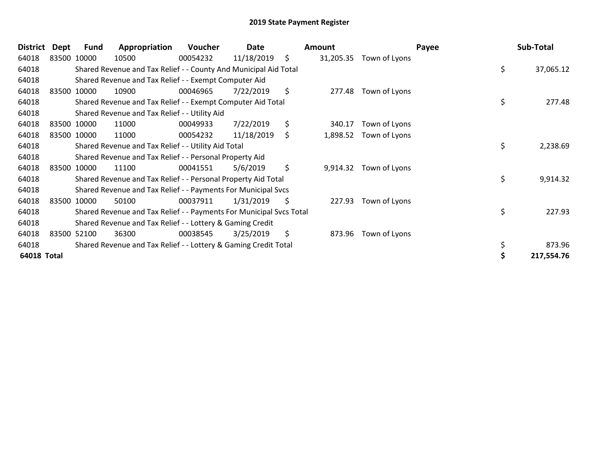| <b>District</b> | Dept | Fund        | Appropriation                                                       | Voucher  | Date       |     | Amount    |               | Payee | Sub-Total  |
|-----------------|------|-------------|---------------------------------------------------------------------|----------|------------|-----|-----------|---------------|-------|------------|
| 64018           |      | 83500 10000 | 10500                                                               | 00054232 | 11/18/2019 | \$  | 31,205.35 | Town of Lyons |       |            |
| 64018           |      |             | Shared Revenue and Tax Relief - - County And Municipal Aid Total    |          |            |     |           |               | \$    | 37,065.12  |
| 64018           |      |             | Shared Revenue and Tax Relief - - Exempt Computer Aid               |          |            |     |           |               |       |            |
| 64018           |      | 83500 10000 | 10900                                                               | 00046965 | 7/22/2019  | \$. | 277.48    | Town of Lyons |       |            |
| 64018           |      |             | Shared Revenue and Tax Relief - - Exempt Computer Aid Total         |          |            |     |           |               | \$    | 277.48     |
| 64018           |      |             | Shared Revenue and Tax Relief - - Utility Aid                       |          |            |     |           |               |       |            |
| 64018           |      | 83500 10000 | 11000                                                               | 00049933 | 7/22/2019  | \$  | 340.17    | Town of Lyons |       |            |
| 64018           |      | 83500 10000 | 11000                                                               | 00054232 | 11/18/2019 | \$  | 1,898.52  | Town of Lyons |       |            |
| 64018           |      |             | Shared Revenue and Tax Relief - - Utility Aid Total                 |          |            |     |           |               | \$    | 2,238.69   |
| 64018           |      |             | Shared Revenue and Tax Relief - - Personal Property Aid             |          |            |     |           |               |       |            |
| 64018           |      | 83500 10000 | 11100                                                               | 00041551 | 5/6/2019   | \$  | 9,914.32  | Town of Lyons |       |            |
| 64018           |      |             | Shared Revenue and Tax Relief - - Personal Property Aid Total       |          |            |     |           |               | \$    | 9,914.32   |
| 64018           |      |             | Shared Revenue and Tax Relief - - Payments For Municipal Svcs       |          |            |     |           |               |       |            |
| 64018           |      | 83500 10000 | 50100                                                               | 00037911 | 1/31/2019  | \$  | 227.93    | Town of Lyons |       |            |
| 64018           |      |             | Shared Revenue and Tax Relief - - Payments For Municipal Svcs Total |          |            |     |           |               | \$    | 227.93     |
| 64018           |      |             | Shared Revenue and Tax Relief - - Lottery & Gaming Credit           |          |            |     |           |               |       |            |
| 64018           |      | 83500 52100 | 36300                                                               | 00038545 | 3/25/2019  | \$  | 873.96    | Town of Lyons |       |            |
| 64018           |      |             | Shared Revenue and Tax Relief - - Lottery & Gaming Credit Total     |          |            |     |           |               |       | 873.96     |
| 64018 Total     |      |             |                                                                     |          |            |     |           |               |       | 217,554.76 |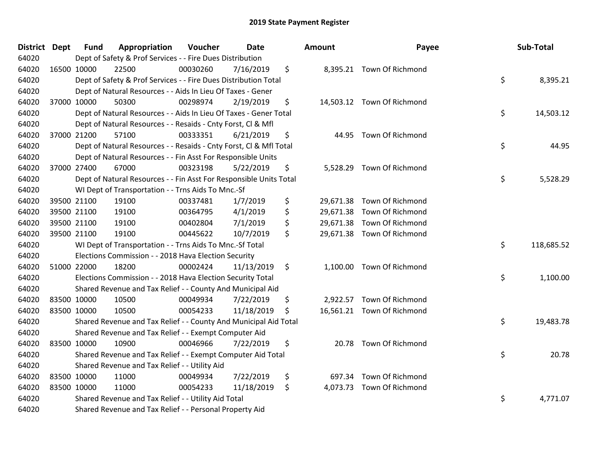| District Dept |             | <b>Fund</b> | Appropriation                                                      | Voucher  | Date       | Amount      | Payee                      | Sub-Total        |
|---------------|-------------|-------------|--------------------------------------------------------------------|----------|------------|-------------|----------------------------|------------------|
| 64020         |             |             | Dept of Safety & Prof Services - - Fire Dues Distribution          |          |            |             |                            |                  |
| 64020         | 16500 10000 |             | 22500                                                              | 00030260 | 7/16/2019  | \$          | 8,395.21 Town Of Richmond  |                  |
| 64020         |             |             | Dept of Safety & Prof Services - - Fire Dues Distribution Total    |          |            |             |                            | \$<br>8,395.21   |
| 64020         |             |             | Dept of Natural Resources - - Aids In Lieu Of Taxes - Gener        |          |            |             |                            |                  |
| 64020         | 37000 10000 |             | 50300                                                              | 00298974 | 2/19/2019  | \$          | 14,503.12 Town Of Richmond |                  |
| 64020         |             |             | Dept of Natural Resources - - Aids In Lieu Of Taxes - Gener Total  |          |            |             |                            | \$<br>14,503.12  |
| 64020         |             |             | Dept of Natural Resources - - Resaids - Cnty Forst, Cl & Mfl       |          |            |             |                            |                  |
| 64020         |             | 37000 21200 | 57100                                                              | 00333351 | 6/21/2019  | \$<br>44.95 | Town Of Richmond           |                  |
| 64020         |             |             | Dept of Natural Resources - - Resaids - Cnty Forst, Cl & Mfl Total |          |            |             |                            | \$<br>44.95      |
| 64020         |             |             | Dept of Natural Resources - - Fin Asst For Responsible Units       |          |            |             |                            |                  |
| 64020         | 37000 27400 |             | 67000                                                              | 00323198 | 5/22/2019  | \$          | 5,528.29 Town Of Richmond  |                  |
| 64020         |             |             | Dept of Natural Resources - - Fin Asst For Responsible Units Total |          |            |             |                            | \$<br>5,528.29   |
| 64020         |             |             | WI Dept of Transportation - - Trns Aids To Mnc.-Sf                 |          |            |             |                            |                  |
| 64020         | 39500 21100 |             | 19100                                                              | 00337481 | 1/7/2019   | \$          | 29,671.38 Town Of Richmond |                  |
| 64020         | 39500 21100 |             | 19100                                                              | 00364795 | 4/1/2019   | \$          | 29,671.38 Town Of Richmond |                  |
| 64020         |             | 39500 21100 | 19100                                                              | 00402804 | 7/1/2019   | \$          | 29,671.38 Town Of Richmond |                  |
| 64020         | 39500 21100 |             | 19100                                                              | 00445622 | 10/7/2019  | \$          | 29,671.38 Town Of Richmond |                  |
| 64020         |             |             | WI Dept of Transportation - - Trns Aids To Mnc.-Sf Total           |          |            |             |                            | \$<br>118,685.52 |
| 64020         |             |             | Elections Commission - - 2018 Hava Election Security               |          |            |             |                            |                  |
| 64020         | 51000 22000 |             | 18200                                                              | 00002424 | 11/13/2019 | \$          | 1,100.00 Town Of Richmond  |                  |
| 64020         |             |             | Elections Commission - - 2018 Hava Election Security Total         |          |            |             |                            | \$<br>1,100.00   |
| 64020         |             |             | Shared Revenue and Tax Relief - - County And Municipal Aid         |          |            |             |                            |                  |
| 64020         | 83500 10000 |             | 10500                                                              | 00049934 | 7/22/2019  | \$          | 2,922.57 Town Of Richmond  |                  |
| 64020         | 83500 10000 |             | 10500                                                              | 00054233 | 11/18/2019 | \$          | 16,561.21 Town Of Richmond |                  |
| 64020         |             |             | Shared Revenue and Tax Relief - - County And Municipal Aid Total   |          |            |             |                            | \$<br>19,483.78  |
| 64020         |             |             | Shared Revenue and Tax Relief - - Exempt Computer Aid              |          |            |             |                            |                  |
| 64020         | 83500 10000 |             | 10900                                                              | 00046966 | 7/22/2019  | \$<br>20.78 | Town Of Richmond           |                  |
| 64020         |             |             | Shared Revenue and Tax Relief - - Exempt Computer Aid Total        |          |            |             |                            | \$<br>20.78      |
| 64020         |             |             | Shared Revenue and Tax Relief - - Utility Aid                      |          |            |             |                            |                  |
| 64020         | 83500 10000 |             | 11000                                                              | 00049934 | 7/22/2019  | \$          | 697.34 Town Of Richmond    |                  |
| 64020         | 83500 10000 |             | 11000                                                              | 00054233 | 11/18/2019 | \$          | 4,073.73 Town Of Richmond  |                  |
| 64020         |             |             | Shared Revenue and Tax Relief - - Utility Aid Total                |          |            |             |                            | \$<br>4,771.07   |
| 64020         |             |             | Shared Revenue and Tax Relief - - Personal Property Aid            |          |            |             |                            |                  |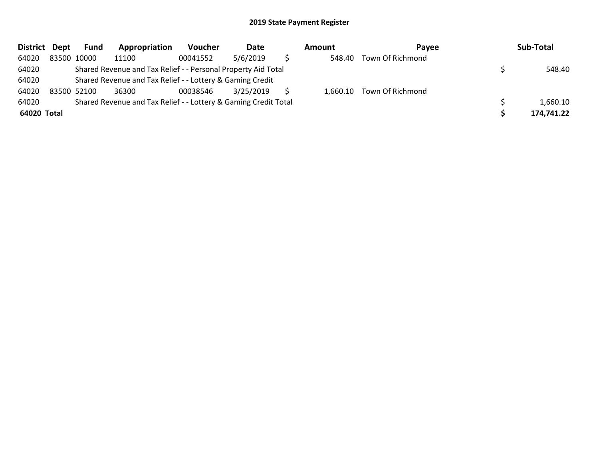| District Dept | <b>Fund</b> | Appropriation                                                   | <b>Voucher</b> | Date      | Amount | <b>Pavee</b>              | Sub-Total  |
|---------------|-------------|-----------------------------------------------------------------|----------------|-----------|--------|---------------------------|------------|
| 64020         | 83500 10000 | 11100                                                           | 00041552       | 5/6/2019  | 548.40 | Town Of Richmond          |            |
| 64020         |             | Shared Revenue and Tax Relief - - Personal Property Aid Total   |                |           |        |                           | 548.40     |
| 64020         |             | Shared Revenue and Tax Relief - - Lottery & Gaming Credit       |                |           |        |                           |            |
| 64020         | 83500 52100 | 36300                                                           | 00038546       | 3/25/2019 |        | 1,660.10 Town Of Richmond |            |
| 64020         |             | Shared Revenue and Tax Relief - - Lottery & Gaming Credit Total |                |           |        |                           | 1,660.10   |
| 64020 Total   |             |                                                                 |                |           |        |                           | 174,741.22 |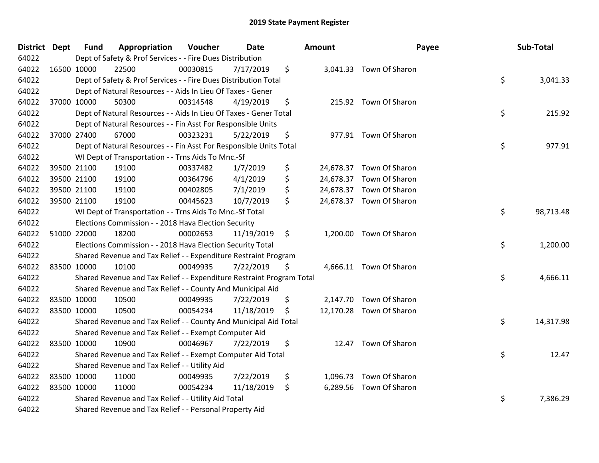| District Dept |             | <b>Fund</b> | Appropriation                                                         | Voucher  | <b>Date</b> |     | Amount |                          | Payee | Sub-Total |
|---------------|-------------|-------------|-----------------------------------------------------------------------|----------|-------------|-----|--------|--------------------------|-------|-----------|
| 64022         |             |             | Dept of Safety & Prof Services - - Fire Dues Distribution             |          |             |     |        |                          |       |           |
| 64022         |             | 16500 10000 | 22500                                                                 | 00030815 | 7/17/2019   | \$  |        | 3,041.33 Town Of Sharon  |       |           |
| 64022         |             |             | Dept of Safety & Prof Services - - Fire Dues Distribution Total       |          |             |     |        |                          | \$    | 3,041.33  |
| 64022         |             |             | Dept of Natural Resources - - Aids In Lieu Of Taxes - Gener           |          |             |     |        |                          |       |           |
| 64022         | 37000 10000 |             | 50300                                                                 | 00314548 | 4/19/2019   | \$  |        | 215.92 Town Of Sharon    |       |           |
| 64022         |             |             | Dept of Natural Resources - - Aids In Lieu Of Taxes - Gener Total     |          |             |     |        |                          | \$    | 215.92    |
| 64022         |             |             | Dept of Natural Resources - - Fin Asst For Responsible Units          |          |             |     |        |                          |       |           |
| 64022         | 37000 27400 |             | 67000                                                                 | 00323231 | 5/22/2019   | \$  |        | 977.91 Town Of Sharon    |       |           |
| 64022         |             |             | Dept of Natural Resources - - Fin Asst For Responsible Units Total    |          |             |     |        |                          | \$    | 977.91    |
| 64022         |             |             | WI Dept of Transportation - - Trns Aids To Mnc.-Sf                    |          |             |     |        |                          |       |           |
| 64022         |             | 39500 21100 | 19100                                                                 | 00337482 | 1/7/2019    | \$  |        | 24,678.37 Town Of Sharon |       |           |
| 64022         |             | 39500 21100 | 19100                                                                 | 00364796 | 4/1/2019    | \$  |        | 24,678.37 Town Of Sharon |       |           |
| 64022         |             | 39500 21100 | 19100                                                                 | 00402805 | 7/1/2019    | \$  |        | 24,678.37 Town Of Sharon |       |           |
| 64022         | 39500 21100 |             | 19100                                                                 | 00445623 | 10/7/2019   | \$  |        | 24,678.37 Town Of Sharon |       |           |
| 64022         |             |             | WI Dept of Transportation - - Trns Aids To Mnc.-Sf Total              |          |             |     |        |                          | \$    | 98,713.48 |
| 64022         |             |             | Elections Commission - - 2018 Hava Election Security                  |          |             |     |        |                          |       |           |
| 64022         |             | 51000 22000 | 18200                                                                 | 00002653 | 11/19/2019  | \$  |        | 1,200.00 Town Of Sharon  |       |           |
| 64022         |             |             | Elections Commission - - 2018 Hava Election Security Total            |          |             |     |        |                          | \$    | 1,200.00  |
| 64022         |             |             | Shared Revenue and Tax Relief - - Expenditure Restraint Program       |          |             |     |        |                          |       |           |
| 64022         |             | 83500 10000 | 10100                                                                 | 00049935 | 7/22/2019   | S   |        | 4,666.11 Town Of Sharon  |       |           |
| 64022         |             |             | Shared Revenue and Tax Relief - - Expenditure Restraint Program Total |          |             |     |        |                          | \$    | 4,666.11  |
| 64022         |             |             | Shared Revenue and Tax Relief - - County And Municipal Aid            |          |             |     |        |                          |       |           |
| 64022         |             | 83500 10000 | 10500                                                                 | 00049935 | 7/22/2019   | \$  |        | 2,147.70 Town Of Sharon  |       |           |
| 64022         | 83500 10000 |             | 10500                                                                 | 00054234 | 11/18/2019  | -\$ |        | 12,170.28 Town Of Sharon |       |           |
| 64022         |             |             | Shared Revenue and Tax Relief - - County And Municipal Aid Total      |          |             |     |        |                          | \$    | 14,317.98 |
| 64022         |             |             | Shared Revenue and Tax Relief - - Exempt Computer Aid                 |          |             |     |        |                          |       |           |
| 64022         |             | 83500 10000 | 10900                                                                 | 00046967 | 7/22/2019   | \$  |        | 12.47 Town Of Sharon     |       |           |
| 64022         |             |             | Shared Revenue and Tax Relief - - Exempt Computer Aid Total           |          |             |     |        |                          | \$    | 12.47     |
| 64022         |             |             | Shared Revenue and Tax Relief - - Utility Aid                         |          |             |     |        |                          |       |           |
| 64022         |             | 83500 10000 | 11000                                                                 | 00049935 | 7/22/2019   | \$  |        | 1,096.73 Town Of Sharon  |       |           |
| 64022         | 83500 10000 |             | 11000                                                                 | 00054234 | 11/18/2019  | \$  |        | 6,289.56 Town Of Sharon  |       |           |
| 64022         |             |             | Shared Revenue and Tax Relief - - Utility Aid Total                   |          |             |     |        |                          | \$    | 7,386.29  |
| 64022         |             |             | Shared Revenue and Tax Relief - - Personal Property Aid               |          |             |     |        |                          |       |           |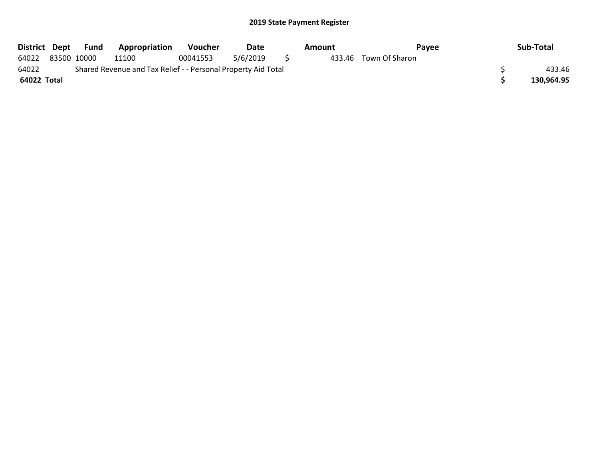| District Dept |                                                               | Fund | <b>Appropriation</b> | <b>Voucher</b> | Date     |  | Amount | Pavee                 |  | Sub-Total  |
|---------------|---------------------------------------------------------------|------|----------------------|----------------|----------|--|--------|-----------------------|--|------------|
| 64022         | 83500 10000                                                   |      | 11100                | 00041553       | 5/6/2019 |  |        | 433.46 Town Of Sharon |  |            |
| 64022         | Shared Revenue and Tax Relief - - Personal Property Aid Total |      |                      |                |          |  |        |                       |  | 433.46     |
| 64022 Total   |                                                               |      |                      |                |          |  |        |                       |  | 130,964.95 |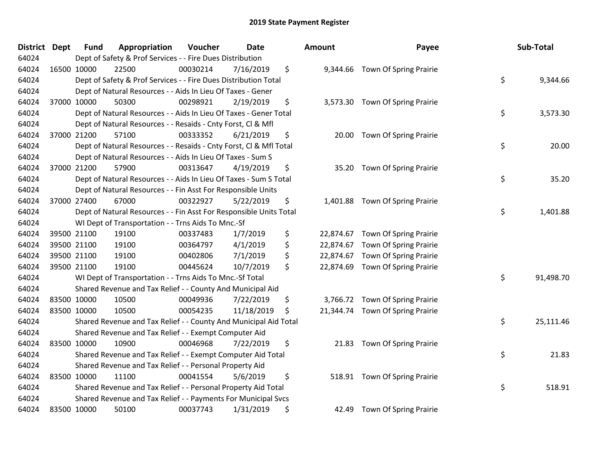| District Dept |             | <b>Fund</b> | Appropriation                                                      | Voucher  | <b>Date</b> | Amount          | Payee                           | Sub-Total       |
|---------------|-------------|-------------|--------------------------------------------------------------------|----------|-------------|-----------------|---------------------------------|-----------------|
| 64024         |             |             | Dept of Safety & Prof Services - - Fire Dues Distribution          |          |             |                 |                                 |                 |
| 64024         |             | 16500 10000 | 22500                                                              | 00030214 | 7/16/2019   | \$              | 9,344.66 Town Of Spring Prairie |                 |
| 64024         |             |             | Dept of Safety & Prof Services - - Fire Dues Distribution Total    |          |             |                 |                                 | \$<br>9,344.66  |
| 64024         |             |             | Dept of Natural Resources - - Aids In Lieu Of Taxes - Gener        |          |             |                 |                                 |                 |
| 64024         |             | 37000 10000 | 50300                                                              | 00298921 | 2/19/2019   | \$              | 3,573.30 Town Of Spring Prairie |                 |
| 64024         |             |             | Dept of Natural Resources - - Aids In Lieu Of Taxes - Gener Total  |          |             |                 |                                 | \$<br>3,573.30  |
| 64024         |             |             | Dept of Natural Resources - - Resaids - Cnty Forst, Cl & Mfl       |          |             |                 |                                 |                 |
| 64024         |             | 37000 21200 | 57100                                                              | 00333352 | 6/21/2019   | \$<br>20.00     | <b>Town Of Spring Prairie</b>   |                 |
| 64024         |             |             | Dept of Natural Resources - - Resaids - Cnty Forst, Cl & Mfl Total |          |             |                 |                                 | \$<br>20.00     |
| 64024         |             |             | Dept of Natural Resources - - Aids In Lieu Of Taxes - Sum S        |          |             |                 |                                 |                 |
| 64024         |             | 37000 21200 | 57900                                                              | 00313647 | 4/19/2019   | \$              | 35.20 Town Of Spring Prairie    |                 |
| 64024         |             |             | Dept of Natural Resources - - Aids In Lieu Of Taxes - Sum S Total  |          |             |                 |                                 | \$<br>35.20     |
| 64024         |             |             | Dept of Natural Resources - - Fin Asst For Responsible Units       |          |             |                 |                                 |                 |
| 64024         |             | 37000 27400 | 67000                                                              | 00322927 | 5/22/2019   | \$<br>1,401.88  | <b>Town Of Spring Prairie</b>   |                 |
| 64024         |             |             | Dept of Natural Resources - - Fin Asst For Responsible Units Total |          |             |                 |                                 | \$<br>1,401.88  |
| 64024         |             |             | WI Dept of Transportation - - Trns Aids To Mnc.-Sf                 |          |             |                 |                                 |                 |
| 64024         |             | 39500 21100 | 19100                                                              | 00337483 | 1/7/2019    | \$<br>22,874.67 | Town Of Spring Prairie          |                 |
| 64024         | 39500 21100 |             | 19100                                                              | 00364797 | 4/1/2019    | \$<br>22,874.67 | <b>Town Of Spring Prairie</b>   |                 |
| 64024         |             | 39500 21100 | 19100                                                              | 00402806 | 7/1/2019    | \$<br>22,874.67 | Town Of Spring Prairie          |                 |
| 64024         |             | 39500 21100 | 19100                                                              | 00445624 | 10/7/2019   | \$<br>22,874.69 | <b>Town Of Spring Prairie</b>   |                 |
| 64024         |             |             | WI Dept of Transportation - - Trns Aids To Mnc.-Sf Total           |          |             |                 |                                 | \$<br>91,498.70 |
| 64024         |             |             | Shared Revenue and Tax Relief - - County And Municipal Aid         |          |             |                 |                                 |                 |
| 64024         |             | 83500 10000 | 10500                                                              | 00049936 | 7/22/2019   | \$              | 3,766.72 Town Of Spring Prairie |                 |
| 64024         | 83500 10000 |             | 10500                                                              | 00054235 | 11/18/2019  | \$<br>21,344.74 | <b>Town Of Spring Prairie</b>   |                 |
| 64024         |             |             | Shared Revenue and Tax Relief - - County And Municipal Aid Total   |          |             |                 |                                 | \$<br>25,111.46 |
| 64024         |             |             | Shared Revenue and Tax Relief - - Exempt Computer Aid              |          |             |                 |                                 |                 |
| 64024         | 83500 10000 |             | 10900                                                              | 00046968 | 7/22/2019   | \$<br>21.83     | <b>Town Of Spring Prairie</b>   |                 |
| 64024         |             |             | Shared Revenue and Tax Relief - - Exempt Computer Aid Total        |          |             |                 |                                 | \$<br>21.83     |
| 64024         |             |             | Shared Revenue and Tax Relief - - Personal Property Aid            |          |             |                 |                                 |                 |
| 64024         | 83500 10000 |             | 11100                                                              | 00041554 | 5/6/2019    | \$              | 518.91 Town Of Spring Prairie   |                 |
| 64024         |             |             | Shared Revenue and Tax Relief - - Personal Property Aid Total      |          |             |                 |                                 | \$<br>518.91    |
| 64024         |             |             | Shared Revenue and Tax Relief - - Payments For Municipal Svcs      |          |             |                 |                                 |                 |
| 64024         | 83500 10000 |             | 50100                                                              | 00037743 | 1/31/2019   | \$<br>42.49     | <b>Town Of Spring Prairie</b>   |                 |

| nount     | Payee                  | Sub-Total       |
|-----------|------------------------|-----------------|
| 9,344.66  | Town Of Spring Prairie | \$<br>9,344.66  |
| 3,573.30  | Town Of Spring Prairie | \$<br>3,573.30  |
| 20.00     | Town Of Spring Prairie | \$<br>20.00     |
| 35.20     | Town Of Spring Prairie | \$<br>35.20     |
| 1,401.88  | Town Of Spring Prairie | \$<br>1,401.88  |
| 22,874.67 | Town Of Spring Prairie |                 |
| 22,874.67 | Town Of Spring Prairie |                 |
| 22,874.67 | Town Of Spring Prairie |                 |
| 22,874.69 | Town Of Spring Prairie |                 |
|           |                        | \$<br>91,498.70 |
| 3,766.72  | Town Of Spring Prairie |                 |
| 21,344.74 | Town Of Spring Prairie | \$<br>25,111.46 |
| 21.83     | Town Of Spring Prairie | \$<br>21.83     |
| 518.91    | Town Of Spring Prairie | \$<br>518.91    |
| 42.49     | Town Of Spring Prairie |                 |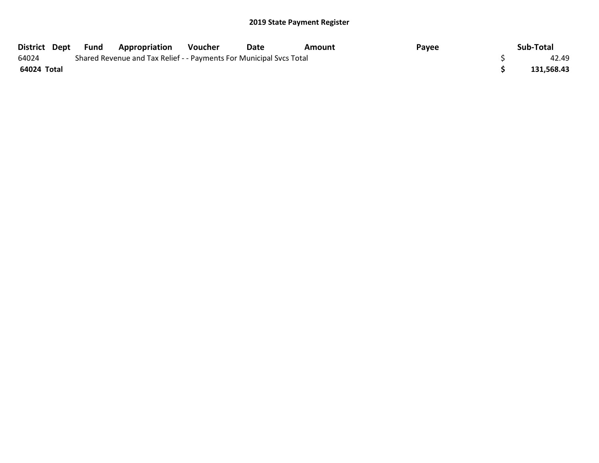| District Dept Fund |  | <b>Appropriation</b>                                                | Voucher | Date | Amount | Payee | Sub-Total  |
|--------------------|--|---------------------------------------------------------------------|---------|------|--------|-------|------------|
| 64024              |  | Shared Revenue and Tax Relief - - Payments For Municipal Svcs Total |         |      |        |       | 42.49      |
| 64024 Total        |  |                                                                     |         |      |        |       | 131,568.43 |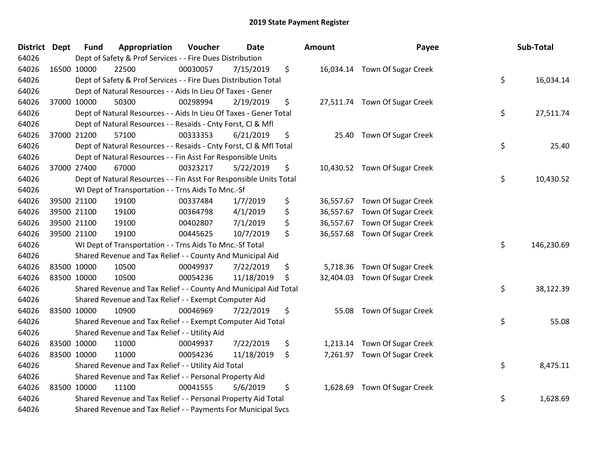| District Dept | <b>Fund</b> | Appropriation                                                      | Voucher  | <b>Date</b> | Amount          | Payee                         | Sub-Total        |
|---------------|-------------|--------------------------------------------------------------------|----------|-------------|-----------------|-------------------------------|------------------|
| 64026         |             | Dept of Safety & Prof Services - - Fire Dues Distribution          |          |             |                 |                               |                  |
| 64026         | 16500 10000 | 22500                                                              | 00030057 | 7/15/2019   | \$              | 16,034.14 Town Of Sugar Creek |                  |
| 64026         |             | Dept of Safety & Prof Services - - Fire Dues Distribution Total    |          |             |                 |                               | \$<br>16,034.14  |
| 64026         |             | Dept of Natural Resources - - Aids In Lieu Of Taxes - Gener        |          |             |                 |                               |                  |
| 64026         | 37000 10000 | 50300                                                              | 00298994 | 2/19/2019   | \$              | 27,511.74 Town Of Sugar Creek |                  |
| 64026         |             | Dept of Natural Resources - - Aids In Lieu Of Taxes - Gener Total  |          |             |                 |                               | \$<br>27,511.74  |
| 64026         |             | Dept of Natural Resources - - Resaids - Cnty Forst, Cl & Mfl       |          |             |                 |                               |                  |
| 64026         | 37000 21200 | 57100                                                              | 00333353 | 6/21/2019   | \$<br>25.40     | <b>Town Of Sugar Creek</b>    |                  |
| 64026         |             | Dept of Natural Resources - - Resaids - Cnty Forst, Cl & Mfl Total |          |             |                 |                               | \$<br>25.40      |
| 64026         |             | Dept of Natural Resources - - Fin Asst For Responsible Units       |          |             |                 |                               |                  |
| 64026         | 37000 27400 | 67000                                                              | 00323217 | 5/22/2019   | \$              | 10,430.52 Town Of Sugar Creek |                  |
| 64026         |             | Dept of Natural Resources - - Fin Asst For Responsible Units Total |          |             |                 |                               | \$<br>10,430.52  |
| 64026         |             | WI Dept of Transportation - - Trns Aids To Mnc.-Sf                 |          |             |                 |                               |                  |
| 64026         | 39500 21100 | 19100                                                              | 00337484 | 1/7/2019    | \$<br>36,557.67 | Town Of Sugar Creek           |                  |
| 64026         | 39500 21100 | 19100                                                              | 00364798 | 4/1/2019    | \$<br>36,557.67 | Town Of Sugar Creek           |                  |
| 64026         | 39500 21100 | 19100                                                              | 00402807 | 7/1/2019    | \$<br>36,557.67 | Town Of Sugar Creek           |                  |
| 64026         | 39500 21100 | 19100                                                              | 00445625 | 10/7/2019   | \$<br>36,557.68 | <b>Town Of Sugar Creek</b>    |                  |
| 64026         |             | WI Dept of Transportation - - Trns Aids To Mnc.-Sf Total           |          |             |                 |                               | \$<br>146,230.69 |
| 64026         |             | Shared Revenue and Tax Relief - - County And Municipal Aid         |          |             |                 |                               |                  |
| 64026         | 83500 10000 | 10500                                                              | 00049937 | 7/22/2019   | \$<br>5,718.36  | Town Of Sugar Creek           |                  |
| 64026         | 83500 10000 | 10500                                                              | 00054236 | 11/18/2019  | \$<br>32,404.03 | <b>Town Of Sugar Creek</b>    |                  |
| 64026         |             | Shared Revenue and Tax Relief - - County And Municipal Aid Total   |          |             |                 |                               | \$<br>38,122.39  |
| 64026         |             | Shared Revenue and Tax Relief - - Exempt Computer Aid              |          |             |                 |                               |                  |
| 64026         | 83500 10000 | 10900                                                              | 00046969 | 7/22/2019   | \$<br>55.08     | <b>Town Of Sugar Creek</b>    |                  |
| 64026         |             | Shared Revenue and Tax Relief - - Exempt Computer Aid Total        |          |             |                 |                               | \$<br>55.08      |
| 64026         |             | Shared Revenue and Tax Relief - - Utility Aid                      |          |             |                 |                               |                  |
| 64026         | 83500 10000 | 11000                                                              | 00049937 | 7/22/2019   | \$<br>1,213.14  | <b>Town Of Sugar Creek</b>    |                  |
| 64026         | 83500 10000 | 11000                                                              | 00054236 | 11/18/2019  | \$              | 7,261.97 Town Of Sugar Creek  |                  |
| 64026         |             | Shared Revenue and Tax Relief - - Utility Aid Total                |          |             |                 |                               | \$<br>8,475.11   |
| 64026         |             | Shared Revenue and Tax Relief - - Personal Property Aid            |          |             |                 |                               |                  |
| 64026         | 83500 10000 | 11100                                                              | 00041555 | 5/6/2019    | \$<br>1,628.69  | <b>Town Of Sugar Creek</b>    |                  |
| 64026         |             | Shared Revenue and Tax Relief - - Personal Property Aid Total      |          |             |                 |                               | \$<br>1,628.69   |
| 64026         |             | Shared Revenue and Tax Relief - - Payments For Municipal Svcs      |          |             |                 |                               |                  |

| ount                                | Payee                                                                    | Sub-Total        |
|-------------------------------------|--------------------------------------------------------------------------|------------------|
| 16,034.14                           | Town Of Sugar Creek                                                      | \$<br>16,034.14  |
| 27,511.74                           | Town Of Sugar Creek                                                      | \$<br>27,511.74  |
| 25.40                               | <b>Town Of Sugar Creek</b>                                               | \$<br>25.40      |
| 10,430.52                           | Town Of Sugar Creek                                                      | \$<br>10,430.52  |
| 36,557.67<br>36,557.67<br>36,557.67 | Town Of Sugar Creek<br>Town Of Sugar Creek<br><b>Town Of Sugar Creek</b> |                  |
| 36,557.68                           | <b>Town Of Sugar Creek</b>                                               | \$<br>146,230.69 |
| 5,718.36<br>32,404.03               | Town Of Sugar Creek<br><b>Town Of Sugar Creek</b>                        | \$<br>38,122.39  |
| 55.08                               | Town Of Sugar Creek                                                      | \$<br>55.08      |
| 1,213.14<br>7,261.97                | Town Of Sugar Creek<br>Town Of Sugar Creek                               | \$<br>8,475.11   |
| 1,628.69                            | <b>Town Of Sugar Creek</b>                                               | \$<br>1,628.69   |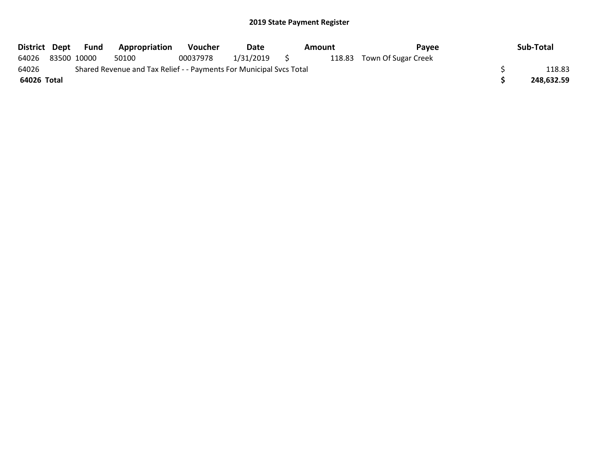| District Dept |                                                                     | Fund        | Appropriation | <b>Voucher</b> | Date      |     | Amount | Payee                      |  | Sub-Total  |
|---------------|---------------------------------------------------------------------|-------------|---------------|----------------|-----------|-----|--------|----------------------------|--|------------|
| 64026         |                                                                     | 83500 10000 | 50100         | 00037978       | 1/31/2019 | S S |        | 118.83 Town Of Sugar Creek |  |            |
| 64026         | Shared Revenue and Tax Relief - - Payments For Municipal Svcs Total |             |               |                |           |     |        |                            |  | 118.83     |
| 64026 Total   |                                                                     |             |               |                |           |     |        |                            |  | 248,632.59 |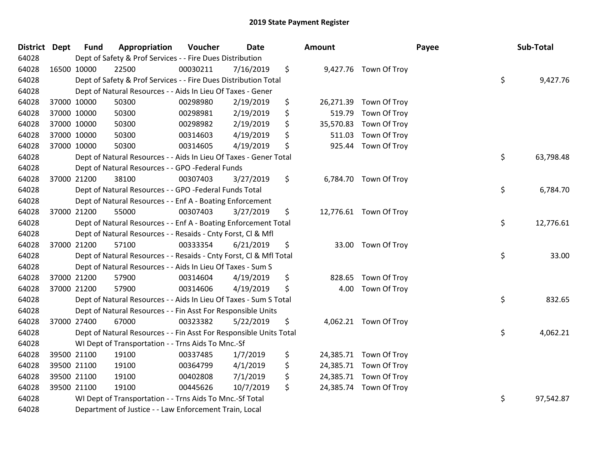| District Dept |             | <b>Fund</b> | Appropriation                                                      | Voucher  | Date      | Amount          |                        | Payee | Sub-Total |           |
|---------------|-------------|-------------|--------------------------------------------------------------------|----------|-----------|-----------------|------------------------|-------|-----------|-----------|
| 64028         |             |             | Dept of Safety & Prof Services - - Fire Dues Distribution          |          |           |                 |                        |       |           |           |
| 64028         | 16500 10000 |             | 22500                                                              | 00030211 | 7/16/2019 | \$              | 9,427.76 Town Of Troy  |       |           |           |
| 64028         |             |             | Dept of Safety & Prof Services - - Fire Dues Distribution Total    |          |           |                 |                        | \$    |           | 9,427.76  |
| 64028         |             |             | Dept of Natural Resources - - Aids In Lieu Of Taxes - Gener        |          |           |                 |                        |       |           |           |
| 64028         | 37000 10000 |             | 50300                                                              | 00298980 | 2/19/2019 | \$              | 26,271.39 Town Of Troy |       |           |           |
| 64028         |             | 37000 10000 | 50300                                                              | 00298981 | 2/19/2019 | \$<br>519.79    | Town Of Troy           |       |           |           |
| 64028         |             | 37000 10000 | 50300                                                              | 00298982 | 2/19/2019 | \$<br>35,570.83 | Town Of Troy           |       |           |           |
| 64028         |             | 37000 10000 | 50300                                                              | 00314603 | 4/19/2019 | \$<br>511.03    | Town Of Troy           |       |           |           |
| 64028         | 37000 10000 |             | 50300                                                              | 00314605 | 4/19/2019 | \$<br>925.44    | Town Of Troy           |       |           |           |
| 64028         |             |             | Dept of Natural Resources - - Aids In Lieu Of Taxes - Gener Total  |          |           |                 |                        | \$    |           | 63,798.48 |
| 64028         |             |             | Dept of Natural Resources - - GPO -Federal Funds                   |          |           |                 |                        |       |           |           |
| 64028         | 37000 21200 |             | 38100                                                              | 00307403 | 3/27/2019 | \$              | 6,784.70 Town Of Troy  |       |           |           |
| 64028         |             |             | Dept of Natural Resources - - GPO -Federal Funds Total             |          |           |                 |                        | \$    |           | 6,784.70  |
| 64028         |             |             | Dept of Natural Resources - - Enf A - Boating Enforcement          |          |           |                 |                        |       |           |           |
| 64028         | 37000 21200 |             | 55000                                                              | 00307403 | 3/27/2019 | \$              | 12,776.61 Town Of Troy |       |           |           |
| 64028         |             |             | Dept of Natural Resources - - Enf A - Boating Enforcement Total    |          |           |                 |                        | \$    |           | 12,776.61 |
| 64028         |             |             | Dept of Natural Resources - - Resaids - Cnty Forst, Cl & Mfl       |          |           |                 |                        |       |           |           |
| 64028         | 37000 21200 |             | 57100                                                              | 00333354 | 6/21/2019 | \$              | 33.00 Town Of Troy     |       |           |           |
| 64028         |             |             | Dept of Natural Resources - - Resaids - Cnty Forst, CI & Mfl Total |          |           |                 |                        | \$    |           | 33.00     |
| 64028         |             |             | Dept of Natural Resources - - Aids In Lieu Of Taxes - Sum S        |          |           |                 |                        |       |           |           |
| 64028         |             | 37000 21200 | 57900                                                              | 00314604 | 4/19/2019 | \$<br>828.65    | Town Of Troy           |       |           |           |
| 64028         | 37000 21200 |             | 57900                                                              | 00314606 | 4/19/2019 | \$<br>4.00      | Town Of Troy           |       |           |           |
| 64028         |             |             | Dept of Natural Resources - - Aids In Lieu Of Taxes - Sum S Total  |          |           |                 |                        | \$    |           | 832.65    |
| 64028         |             |             | Dept of Natural Resources - - Fin Asst For Responsible Units       |          |           |                 |                        |       |           |           |
| 64028         | 37000 27400 |             | 67000                                                              | 00323382 | 5/22/2019 | \$              | 4,062.21 Town Of Troy  |       |           |           |
| 64028         |             |             | Dept of Natural Resources - - Fin Asst For Responsible Units Total |          |           |                 |                        | \$    |           | 4,062.21  |
| 64028         |             |             | WI Dept of Transportation - - Trns Aids To Mnc.-Sf                 |          |           |                 |                        |       |           |           |
| 64028         |             | 39500 21100 | 19100                                                              | 00337485 | 1/7/2019  | \$              | 24,385.71 Town Of Troy |       |           |           |
| 64028         | 39500 21100 |             | 19100                                                              | 00364799 | 4/1/2019  | \$              | 24,385.71 Town Of Troy |       |           |           |
| 64028         |             | 39500 21100 | 19100                                                              | 00402808 | 7/1/2019  | \$              | 24,385.71 Town Of Troy |       |           |           |
| 64028         | 39500 21100 |             | 19100                                                              | 00445626 | 10/7/2019 | \$              | 24,385.74 Town Of Troy |       |           |           |
| 64028         |             |             | WI Dept of Transportation - - Trns Aids To Mnc.-Sf Total           |          |           |                 |                        | \$    |           | 97,542.87 |
| 64028         |             |             | Department of Justice - - Law Enforcement Train, Local             |          |           |                 |                        |       |           |           |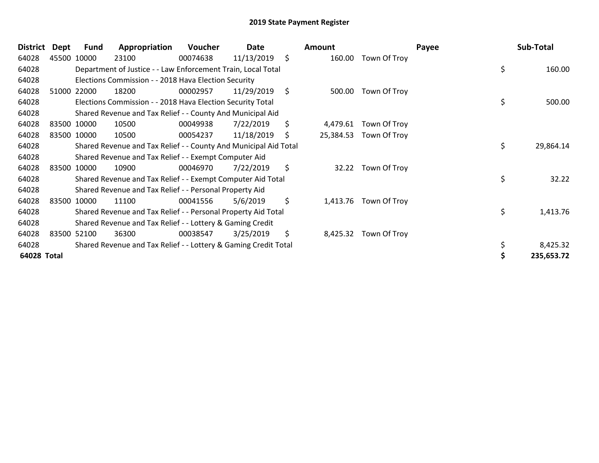| Dept | Fund                           | Appropriation                                                                                         | Voucher  | Date       |                                                                                                                                                                                                                                                                                                                                                                   | <b>Amount</b>                                                                                                                                                                                                                                                                                                                       |              | Payee                                                   | Sub-Total                  |
|------|--------------------------------|-------------------------------------------------------------------------------------------------------|----------|------------|-------------------------------------------------------------------------------------------------------------------------------------------------------------------------------------------------------------------------------------------------------------------------------------------------------------------------------------------------------------------|-------------------------------------------------------------------------------------------------------------------------------------------------------------------------------------------------------------------------------------------------------------------------------------------------------------------------------------|--------------|---------------------------------------------------------|----------------------------|
|      |                                | 23100                                                                                                 | 00074638 | 11/13/2019 | \$                                                                                                                                                                                                                                                                                                                                                                | 160.00                                                                                                                                                                                                                                                                                                                              | Town Of Troy |                                                         |                            |
|      |                                |                                                                                                       |          |            |                                                                                                                                                                                                                                                                                                                                                                   |                                                                                                                                                                                                                                                                                                                                     |              |                                                         | 160.00                     |
|      |                                |                                                                                                       |          |            |                                                                                                                                                                                                                                                                                                                                                                   |                                                                                                                                                                                                                                                                                                                                     |              |                                                         |                            |
|      |                                | 18200                                                                                                 | 00002957 | 11/29/2019 | \$                                                                                                                                                                                                                                                                                                                                                                | 500.00                                                                                                                                                                                                                                                                                                                              | Town Of Troy |                                                         |                            |
|      |                                |                                                                                                       |          |            |                                                                                                                                                                                                                                                                                                                                                                   |                                                                                                                                                                                                                                                                                                                                     |              |                                                         | 500.00                     |
|      |                                |                                                                                                       |          |            |                                                                                                                                                                                                                                                                                                                                                                   |                                                                                                                                                                                                                                                                                                                                     |              |                                                         |                            |
|      |                                | 10500                                                                                                 | 00049938 | 7/22/2019  | \$                                                                                                                                                                                                                                                                                                                                                                | 4,479.61                                                                                                                                                                                                                                                                                                                            | Town Of Troy |                                                         |                            |
|      |                                | 10500                                                                                                 | 00054237 | 11/18/2019 | \$                                                                                                                                                                                                                                                                                                                                                                |                                                                                                                                                                                                                                                                                                                                     | Town Of Troy |                                                         |                            |
|      |                                |                                                                                                       |          |            |                                                                                                                                                                                                                                                                                                                                                                   |                                                                                                                                                                                                                                                                                                                                     |              |                                                         | 29,864.14                  |
|      |                                |                                                                                                       |          |            |                                                                                                                                                                                                                                                                                                                                                                   |                                                                                                                                                                                                                                                                                                                                     |              |                                                         |                            |
|      |                                | 10900                                                                                                 | 00046970 | 7/22/2019  | \$                                                                                                                                                                                                                                                                                                                                                                |                                                                                                                                                                                                                                                                                                                                     | Town Of Troy |                                                         |                            |
|      |                                |                                                                                                       |          |            |                                                                                                                                                                                                                                                                                                                                                                   |                                                                                                                                                                                                                                                                                                                                     |              |                                                         | 32.22                      |
|      |                                |                                                                                                       |          |            |                                                                                                                                                                                                                                                                                                                                                                   |                                                                                                                                                                                                                                                                                                                                     |              |                                                         |                            |
|      |                                | 11100                                                                                                 | 00041556 | 5/6/2019   | \$                                                                                                                                                                                                                                                                                                                                                                |                                                                                                                                                                                                                                                                                                                                     |              |                                                         |                            |
|      |                                |                                                                                                       |          |            |                                                                                                                                                                                                                                                                                                                                                                   |                                                                                                                                                                                                                                                                                                                                     |              |                                                         | 1,413.76                   |
|      |                                |                                                                                                       |          |            |                                                                                                                                                                                                                                                                                                                                                                   |                                                                                                                                                                                                                                                                                                                                     |              |                                                         |                            |
|      |                                | 36300                                                                                                 | 00038547 | 3/25/2019  | \$                                                                                                                                                                                                                                                                                                                                                                |                                                                                                                                                                                                                                                                                                                                     | Town Of Troy |                                                         |                            |
|      |                                |                                                                                                       |          |            |                                                                                                                                                                                                                                                                                                                                                                   |                                                                                                                                                                                                                                                                                                                                     |              |                                                         | 8,425.32                   |
|      |                                |                                                                                                       |          |            |                                                                                                                                                                                                                                                                                                                                                                   |                                                                                                                                                                                                                                                                                                                                     |              |                                                         | 235,653.72                 |
|      | <b>District</b><br>64028 Total | 45500 10000<br>51000 22000<br>83500 10000<br>83500 10000<br>83500 10000<br>83500 10000<br>83500 52100 |          |            | Elections Commission - - 2018 Hava Election Security<br>Elections Commission - - 2018 Hava Election Security Total<br>Shared Revenue and Tax Relief - - County And Municipal Aid<br>Shared Revenue and Tax Relief - - Exempt Computer Aid<br>Shared Revenue and Tax Relief - - Personal Property Aid<br>Shared Revenue and Tax Relief - - Lottery & Gaming Credit | Department of Justice - - Law Enforcement Train, Local Total<br>Shared Revenue and Tax Relief - - County And Municipal Aid Total<br>Shared Revenue and Tax Relief - - Exempt Computer Aid Total<br>Shared Revenue and Tax Relief - - Personal Property Aid Total<br>Shared Revenue and Tax Relief - - Lottery & Gaming Credit Total |              | 25,384.53<br>32.22<br>1,413.76 Town Of Troy<br>8,425.32 | \$<br>\$<br>\$<br>\$<br>\$ |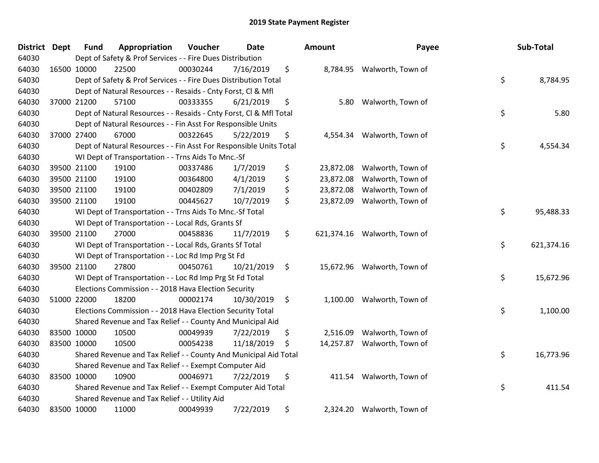| District Dept |             | <b>Fund</b> | Appropriation                                                      | Voucher  | <b>Date</b> |                    | Amount     | Payee             | Sub-Total        |
|---------------|-------------|-------------|--------------------------------------------------------------------|----------|-------------|--------------------|------------|-------------------|------------------|
| 64030         |             |             | Dept of Safety & Prof Services - - Fire Dues Distribution          |          |             |                    |            |                   |                  |
| 64030         | 16500 10000 |             | 22500                                                              | 00030244 | 7/16/2019   | \$                 | 8,784.95   | Walworth, Town of |                  |
| 64030         |             |             | Dept of Safety & Prof Services - - Fire Dues Distribution Total    |          |             |                    |            |                   | \$<br>8,784.95   |
| 64030         |             |             | Dept of Natural Resources - - Resaids - Cnty Forst, CI & Mfl       |          |             |                    |            |                   |                  |
| 64030         | 37000 21200 |             | 57100                                                              | 00333355 | 6/21/2019   | \$                 | 5.80       | Walworth, Town of |                  |
| 64030         |             |             | Dept of Natural Resources - - Resaids - Cnty Forst, Cl & Mfl Total |          |             |                    |            |                   | \$<br>5.80       |
| 64030         |             |             | Dept of Natural Resources - - Fin Asst For Responsible Units       |          |             |                    |            |                   |                  |
| 64030         | 37000 27400 |             | 67000                                                              | 00322645 | 5/22/2019   | \$                 | 4,554.34   | Walworth, Town of |                  |
| 64030         |             |             | Dept of Natural Resources - - Fin Asst For Responsible Units Total |          |             |                    |            |                   | \$<br>4,554.34   |
| 64030         |             |             | WI Dept of Transportation - - Trns Aids To Mnc.-Sf                 |          |             |                    |            |                   |                  |
| 64030         |             | 39500 21100 | 19100                                                              | 00337486 | 1/7/2019    | \$                 | 23,872.08  | Walworth, Town of |                  |
| 64030         | 39500 21100 |             | 19100                                                              | 00364800 | 4/1/2019    | \$                 | 23,872.08  | Walworth, Town of |                  |
| 64030         | 39500 21100 |             | 19100                                                              | 00402809 | 7/1/2019    | \$                 | 23,872.08  | Walworth, Town of |                  |
| 64030         | 39500 21100 |             | 19100                                                              | 00445627 | 10/7/2019   | \$                 | 23,872.09  | Walworth, Town of |                  |
| 64030         |             |             | WI Dept of Transportation - - Trns Aids To Mnc.-Sf Total           |          |             |                    |            |                   | \$<br>95,488.33  |
| 64030         |             |             | WI Dept of Transportation - - Local Rds, Grants Sf                 |          |             |                    |            |                   |                  |
| 64030         | 39500 21100 |             | 27000                                                              | 00458836 | 11/7/2019   | \$                 | 621,374.16 | Walworth, Town of |                  |
| 64030         |             |             | WI Dept of Transportation - - Local Rds, Grants Sf Total           |          |             |                    |            |                   | \$<br>621,374.16 |
| 64030         |             |             | WI Dept of Transportation - - Loc Rd Imp Prg St Fd                 |          |             |                    |            |                   |                  |
| 64030         | 39500 21100 |             | 27800                                                              | 00450761 | 10/21/2019  | \$                 | 15,672.96  | Walworth, Town of |                  |
| 64030         |             |             | WI Dept of Transportation - - Loc Rd Imp Prg St Fd Total           |          |             |                    |            |                   | \$<br>15,672.96  |
| 64030         |             |             | Elections Commission - - 2018 Hava Election Security               |          |             |                    |            |                   |                  |
| 64030         | 51000 22000 |             | 18200                                                              | 00002174 | 10/30/2019  | $\ddot{\varsigma}$ | 1,100.00   | Walworth, Town of |                  |
| 64030         |             |             | Elections Commission - - 2018 Hava Election Security Total         |          |             |                    |            |                   | \$<br>1,100.00   |
| 64030         |             |             | Shared Revenue and Tax Relief - - County And Municipal Aid         |          |             |                    |            |                   |                  |
| 64030         | 83500 10000 |             | 10500                                                              | 00049939 | 7/22/2019   | \$                 | 2,516.09   | Walworth, Town of |                  |
| 64030         | 83500 10000 |             | 10500                                                              | 00054238 | 11/18/2019  | \$                 | 14,257.87  | Walworth, Town of |                  |
| 64030         |             |             | Shared Revenue and Tax Relief - - County And Municipal Aid Total   |          |             |                    |            |                   | \$<br>16,773.96  |
| 64030         |             |             | Shared Revenue and Tax Relief - - Exempt Computer Aid              |          |             |                    |            |                   |                  |
| 64030         | 83500 10000 |             | 10900                                                              | 00046971 | 7/22/2019   | \$                 | 411.54     | Walworth, Town of |                  |
| 64030         |             |             | Shared Revenue and Tax Relief - - Exempt Computer Aid Total        |          |             |                    |            |                   | \$<br>411.54     |
| 64030         |             |             | Shared Revenue and Tax Relief - - Utility Aid                      |          |             |                    |            |                   |                  |
| 64030         | 83500 10000 |             | 11000                                                              | 00049939 | 7/22/2019   | \$                 | 2,324.20   | Walworth, Town of |                  |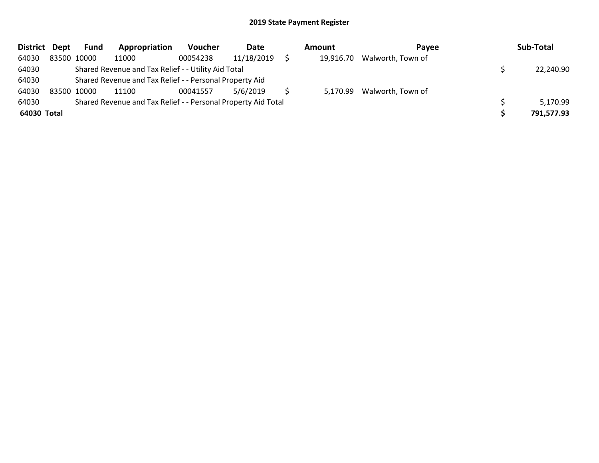| District Dept |             | Fund        | Appropriation                                                 | <b>Voucher</b> | Date       | Amount |           | Payee             | Sub-Total  |
|---------------|-------------|-------------|---------------------------------------------------------------|----------------|------------|--------|-----------|-------------------|------------|
| 64030         |             | 83500 10000 | 11000                                                         | 00054238       | 11/18/2019 |        | 19,916.70 | Walworth, Town of |            |
| 64030         |             |             | Shared Revenue and Tax Relief - - Utility Aid Total           |                |            |        |           |                   | 22,240.90  |
| 64030         |             |             | Shared Revenue and Tax Relief - - Personal Property Aid       |                |            |        |           |                   |            |
| 64030         | 83500 10000 |             | 11100                                                         | 00041557       | 5/6/2019   |        | 5,170.99  | Walworth, Town of |            |
| 64030         |             |             | Shared Revenue and Tax Relief - - Personal Property Aid Total |                |            |        |           |                   | 5,170.99   |
| 64030 Total   |             |             |                                                               |                |            |        |           |                   | 791,577.93 |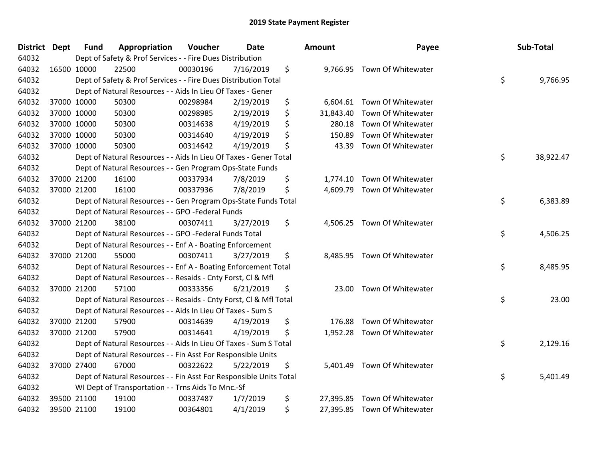| <b>District Dept</b> | <b>Fund</b> | Appropriation                                                      | Voucher  | Date      | <b>Amount</b>   | Payee                        | Sub-Total       |
|----------------------|-------------|--------------------------------------------------------------------|----------|-----------|-----------------|------------------------------|-----------------|
| 64032                |             | Dept of Safety & Prof Services - - Fire Dues Distribution          |          |           |                 |                              |                 |
| 64032                | 16500 10000 | 22500                                                              | 00030196 | 7/16/2019 | \$              | 9,766.95 Town Of Whitewater  |                 |
| 64032                |             | Dept of Safety & Prof Services - - Fire Dues Distribution Total    |          |           |                 |                              | \$<br>9,766.95  |
| 64032                |             | Dept of Natural Resources - - Aids In Lieu Of Taxes - Gener        |          |           |                 |                              |                 |
| 64032                | 37000 10000 | 50300                                                              | 00298984 | 2/19/2019 | \$              | 6,604.61 Town Of Whitewater  |                 |
| 64032                | 37000 10000 | 50300                                                              | 00298985 | 2/19/2019 | \$<br>31,843.40 | Town Of Whitewater           |                 |
| 64032                | 37000 10000 | 50300                                                              | 00314638 | 4/19/2019 | \$<br>280.18    | Town Of Whitewater           |                 |
| 64032                | 37000 10000 | 50300                                                              | 00314640 | 4/19/2019 | \$<br>150.89    | Town Of Whitewater           |                 |
| 64032                | 37000 10000 | 50300                                                              | 00314642 | 4/19/2019 | \$<br>43.39     | Town Of Whitewater           |                 |
| 64032                |             | Dept of Natural Resources - - Aids In Lieu Of Taxes - Gener Total  |          |           |                 |                              | \$<br>38,922.47 |
| 64032                |             | Dept of Natural Resources - - Gen Program Ops-State Funds          |          |           |                 |                              |                 |
| 64032                | 37000 21200 | 16100                                                              | 00337934 | 7/8/2019  | \$<br>1,774.10  | Town Of Whitewater           |                 |
| 64032                | 37000 21200 | 16100                                                              | 00337936 | 7/8/2019  | \$<br>4,609.79  | Town Of Whitewater           |                 |
| 64032                |             | Dept of Natural Resources - - Gen Program Ops-State Funds Total    |          |           |                 |                              | \$<br>6,383.89  |
| 64032                |             | Dept of Natural Resources - - GPO -Federal Funds                   |          |           |                 |                              |                 |
| 64032                | 37000 21200 | 38100                                                              | 00307411 | 3/27/2019 | \$<br>4,506.25  | Town Of Whitewater           |                 |
| 64032                |             | Dept of Natural Resources - - GPO -Federal Funds Total             |          |           |                 |                              | \$<br>4,506.25  |
| 64032                |             | Dept of Natural Resources - - Enf A - Boating Enforcement          |          |           |                 |                              |                 |
| 64032                | 37000 21200 | 55000                                                              | 00307411 | 3/27/2019 | \$<br>8,485.95  | Town Of Whitewater           |                 |
| 64032                |             | Dept of Natural Resources - - Enf A - Boating Enforcement Total    |          |           |                 |                              | \$<br>8,485.95  |
| 64032                |             | Dept of Natural Resources - - Resaids - Cnty Forst, Cl & Mfl       |          |           |                 |                              |                 |
| 64032                | 37000 21200 | 57100                                                              | 00333356 | 6/21/2019 | \$<br>23.00     | Town Of Whitewater           |                 |
| 64032                |             | Dept of Natural Resources - - Resaids - Cnty Forst, Cl & Mfl Total |          |           |                 |                              | \$<br>23.00     |
| 64032                |             | Dept of Natural Resources - - Aids In Lieu Of Taxes - Sum S        |          |           |                 |                              |                 |
| 64032                | 37000 21200 | 57900                                                              | 00314639 | 4/19/2019 | \$<br>176.88    | Town Of Whitewater           |                 |
| 64032                | 37000 21200 | 57900                                                              | 00314641 | 4/19/2019 | \$              | 1,952.28 Town Of Whitewater  |                 |
| 64032                |             | Dept of Natural Resources - - Aids In Lieu Of Taxes - Sum S Total  |          |           |                 |                              | \$<br>2,129.16  |
| 64032                |             | Dept of Natural Resources - - Fin Asst For Responsible Units       |          |           |                 |                              |                 |
| 64032                | 37000 27400 | 67000                                                              | 00322622 | 5/22/2019 | \$<br>5,401.49  | Town Of Whitewater           |                 |
| 64032                |             | Dept of Natural Resources - - Fin Asst For Responsible Units Total |          |           |                 |                              | \$<br>5,401.49  |
| 64032                |             | WI Dept of Transportation - - Trns Aids To Mnc.-Sf                 |          |           |                 |                              |                 |
| 64032                | 39500 21100 | 19100                                                              | 00337487 | 1/7/2019  | \$<br>27,395.85 | Town Of Whitewater           |                 |
| 64032                | 39500 21100 | 19100                                                              | 00364801 | 4/1/2019  | \$              | 27,395.85 Town Of Whitewater |                 |
|                      |             |                                                                    |          |           |                 |                              |                 |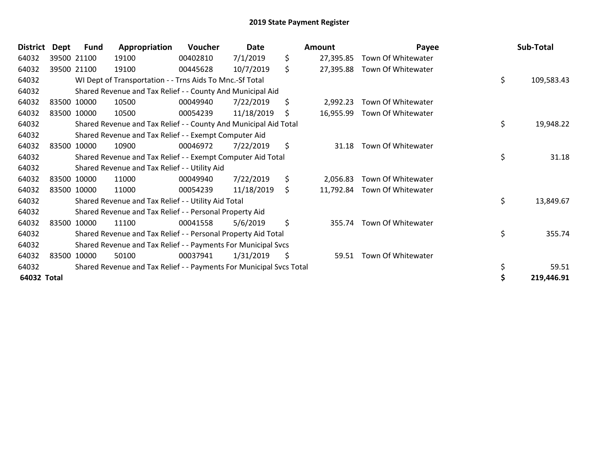| <b>District</b> | <b>Dept</b> | <b>Fund</b> | Appropriation                                                       | Voucher  | Date       | <b>Amount</b>   | Payee                        | Sub-Total        |
|-----------------|-------------|-------------|---------------------------------------------------------------------|----------|------------|-----------------|------------------------------|------------------|
| 64032           |             | 39500 21100 | 19100                                                               | 00402810 | 7/1/2019   | \$<br>27,395.85 | Town Of Whitewater           |                  |
| 64032           |             | 39500 21100 | 19100                                                               | 00445628 | 10/7/2019  | \$<br>27,395.88 | Town Of Whitewater           |                  |
| 64032           |             |             | WI Dept of Transportation - - Trns Aids To Mnc.-Sf Total            |          |            |                 |                              | \$<br>109,583.43 |
| 64032           |             |             | Shared Revenue and Tax Relief - - County And Municipal Aid          |          |            |                 |                              |                  |
| 64032           |             | 83500 10000 | 10500                                                               | 00049940 | 7/22/2019  | \$<br>2,992.23  | Town Of Whitewater           |                  |
| 64032           |             | 83500 10000 | 10500                                                               | 00054239 | 11/18/2019 | \$<br>16,955.99 | Town Of Whitewater           |                  |
| 64032           |             |             | Shared Revenue and Tax Relief - - County And Municipal Aid Total    |          |            |                 |                              | \$<br>19,948.22  |
| 64032           |             |             | Shared Revenue and Tax Relief - - Exempt Computer Aid               |          |            |                 |                              |                  |
| 64032           |             | 83500 10000 | 10900                                                               | 00046972 | 7/22/2019  | \$<br>31.18     | Town Of Whitewater           |                  |
| 64032           |             |             | Shared Revenue and Tax Relief - - Exempt Computer Aid Total         |          |            |                 |                              | \$<br>31.18      |
| 64032           |             |             | Shared Revenue and Tax Relief - - Utility Aid                       |          |            |                 |                              |                  |
| 64032           |             | 83500 10000 | 11000                                                               | 00049940 | 7/22/2019  | \$<br>2,056.83  | Town Of Whitewater           |                  |
| 64032           |             | 83500 10000 | 11000                                                               | 00054239 | 11/18/2019 | \$              | 11,792.84 Town Of Whitewater |                  |
| 64032           |             |             | Shared Revenue and Tax Relief - - Utility Aid Total                 |          |            |                 |                              | \$<br>13,849.67  |
| 64032           |             |             | Shared Revenue and Tax Relief - - Personal Property Aid             |          |            |                 |                              |                  |
| 64032           |             | 83500 10000 | 11100                                                               | 00041558 | 5/6/2019   | \$<br>355.74    | Town Of Whitewater           |                  |
| 64032           |             |             | Shared Revenue and Tax Relief - - Personal Property Aid Total       |          |            |                 |                              | \$<br>355.74     |
| 64032           |             |             | Shared Revenue and Tax Relief - - Payments For Municipal Svcs       |          |            |                 |                              |                  |
| 64032           |             | 83500 10000 | 50100                                                               | 00037941 | 1/31/2019  | \$<br>59.51     | Town Of Whitewater           |                  |
| 64032           |             |             | Shared Revenue and Tax Relief - - Payments For Municipal Svcs Total |          |            |                 |                              | 59.51            |
| 64032 Total     |             |             |                                                                     |          |            |                 |                              | 219,446.91       |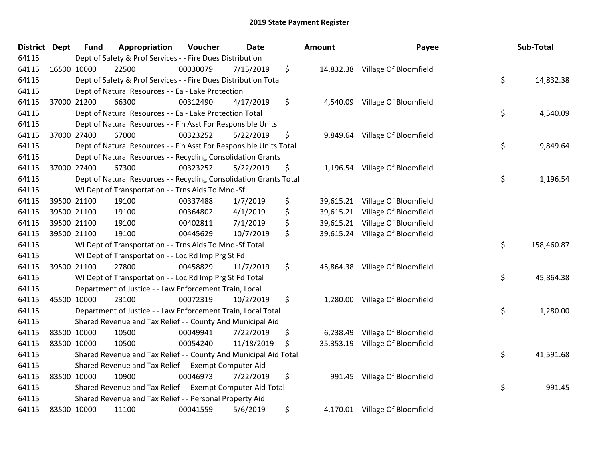| District Dept | <b>Fund</b> | Appropriation                                                      | Voucher  | <b>Date</b> | Amount          | Payee                           | Sub-Total        |
|---------------|-------------|--------------------------------------------------------------------|----------|-------------|-----------------|---------------------------------|------------------|
| 64115         |             | Dept of Safety & Prof Services - - Fire Dues Distribution          |          |             |                 |                                 |                  |
| 64115         | 16500 10000 | 22500                                                              | 00030079 | 7/15/2019   | \$              | 14,832.38 Village Of Bloomfield |                  |
| 64115         |             | Dept of Safety & Prof Services - - Fire Dues Distribution Total    |          |             |                 |                                 | \$<br>14,832.38  |
| 64115         |             | Dept of Natural Resources - - Ea - Lake Protection                 |          |             |                 |                                 |                  |
| 64115         | 37000 21200 | 66300                                                              | 00312490 | 4/17/2019   | \$<br>4,540.09  | Village Of Bloomfield           |                  |
| 64115         |             | Dept of Natural Resources - - Ea - Lake Protection Total           |          |             |                 |                                 | \$<br>4,540.09   |
| 64115         |             | Dept of Natural Resources - - Fin Asst For Responsible Units       |          |             |                 |                                 |                  |
| 64115         | 37000 27400 | 67000                                                              | 00323252 | 5/22/2019   | \$<br>9,849.64  | Village Of Bloomfield           |                  |
| 64115         |             | Dept of Natural Resources - - Fin Asst For Responsible Units Total |          |             |                 |                                 | \$<br>9,849.64   |
| 64115         |             | Dept of Natural Resources - - Recycling Consolidation Grants       |          |             |                 |                                 |                  |
| 64115         | 37000 27400 | 67300                                                              | 00323252 | 5/22/2019   | \$              | 1,196.54 Village Of Bloomfield  |                  |
| 64115         |             | Dept of Natural Resources - - Recycling Consolidation Grants Total |          |             |                 |                                 | \$<br>1,196.54   |
| 64115         |             | WI Dept of Transportation - - Trns Aids To Mnc.-Sf                 |          |             |                 |                                 |                  |
| 64115         | 39500 21100 | 19100                                                              | 00337488 | 1/7/2019    | \$              | 39,615.21 Village Of Bloomfield |                  |
| 64115         | 39500 21100 | 19100                                                              | 00364802 | 4/1/2019    | \$<br>39,615.21 | Village Of Bloomfield           |                  |
| 64115         | 39500 21100 | 19100                                                              | 00402811 | 7/1/2019    | \$<br>39,615.21 | Village Of Bloomfield           |                  |
| 64115         | 39500 21100 | 19100                                                              | 00445629 | 10/7/2019   | \$              | 39,615.24 Village Of Bloomfield |                  |
| 64115         |             | WI Dept of Transportation - - Trns Aids To Mnc.-Sf Total           |          |             |                 |                                 | \$<br>158,460.87 |
| 64115         |             | WI Dept of Transportation - - Loc Rd Imp Prg St Fd                 |          |             |                 |                                 |                  |
| 64115         | 39500 21100 | 27800                                                              | 00458829 | 11/7/2019   | \$<br>45,864.38 | Village Of Bloomfield           |                  |
| 64115         |             | WI Dept of Transportation - - Loc Rd Imp Prg St Fd Total           |          |             |                 |                                 | \$<br>45,864.38  |
| 64115         |             | Department of Justice - - Law Enforcement Train, Local             |          |             |                 |                                 |                  |
| 64115         | 45500 10000 | 23100                                                              | 00072319 | 10/2/2019   | \$              | 1,280.00 Village Of Bloomfield  |                  |
| 64115         |             | Department of Justice - - Law Enforcement Train, Local Total       |          |             |                 |                                 | \$<br>1,280.00   |
| 64115         |             | Shared Revenue and Tax Relief - - County And Municipal Aid         |          |             |                 |                                 |                  |
| 64115         | 83500 10000 | 10500                                                              | 00049941 | 7/22/2019   | \$<br>6,238.49  | Village Of Bloomfield           |                  |
| 64115         | 83500 10000 | 10500                                                              | 00054240 | 11/18/2019  | \$<br>35,353.19 | Village Of Bloomfield           |                  |
| 64115         |             | Shared Revenue and Tax Relief - - County And Municipal Aid Total   |          |             |                 |                                 | \$<br>41,591.68  |
| 64115         |             | Shared Revenue and Tax Relief - - Exempt Computer Aid              |          |             |                 |                                 |                  |
| 64115         | 83500 10000 | 10900                                                              | 00046973 | 7/22/2019   | \$<br>991.45    | Village Of Bloomfield           |                  |
| 64115         |             | Shared Revenue and Tax Relief - - Exempt Computer Aid Total        |          |             |                 |                                 | \$<br>991.45     |
| 64115         |             | Shared Revenue and Tax Relief - - Personal Property Aid            |          |             |                 |                                 |                  |
| 64115         | 83500 10000 | 11100                                                              | 00041559 | 5/6/2019    | \$              | 4,170.01 Village Of Bloomfield  |                  |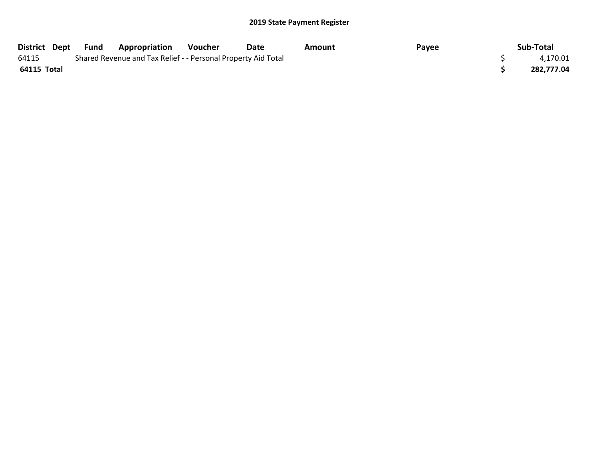|             | District Dept Fund | <b>Appropriation</b>                                          | Voucher | Date | Amount | Payee | Sub-Total  |
|-------------|--------------------|---------------------------------------------------------------|---------|------|--------|-------|------------|
| 64115       |                    | Shared Revenue and Tax Relief - - Personal Property Aid Total |         |      |        |       | 4,170.01   |
| 64115 Total |                    |                                                               |         |      |        |       | 282.777.04 |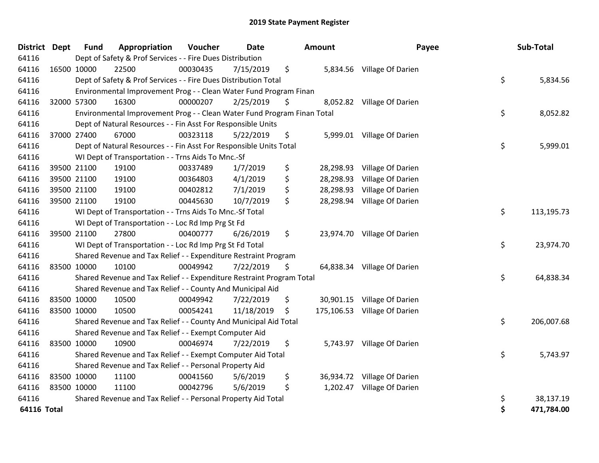| <b>District</b> | <b>Dept</b> | <b>Fund</b> | Appropriation                                                           | Voucher  | <b>Date</b> | <b>Amount</b>   | Payee                        | Sub-Total        |
|-----------------|-------------|-------------|-------------------------------------------------------------------------|----------|-------------|-----------------|------------------------------|------------------|
| 64116           |             |             | Dept of Safety & Prof Services - - Fire Dues Distribution               |          |             |                 |                              |                  |
| 64116           |             | 16500 10000 | 22500                                                                   | 00030435 | 7/15/2019   | \$              | 5,834.56 Village Of Darien   |                  |
| 64116           |             |             | Dept of Safety & Prof Services - - Fire Dues Distribution Total         |          |             |                 |                              | \$<br>5,834.56   |
| 64116           |             |             | Environmental Improvement Prog - - Clean Water Fund Program Finan       |          |             |                 |                              |                  |
| 64116           |             | 32000 57300 | 16300                                                                   | 00000207 | 2/25/2019   | \$              | 8,052.82 Village Of Darien   |                  |
| 64116           |             |             | Environmental Improvement Prog - - Clean Water Fund Program Finan Total |          |             |                 |                              | \$<br>8,052.82   |
| 64116           |             |             | Dept of Natural Resources - - Fin Asst For Responsible Units            |          |             |                 |                              |                  |
| 64116           |             | 37000 27400 | 67000                                                                   | 00323118 | 5/22/2019   | \$              | 5,999.01 Village Of Darien   |                  |
| 64116           |             |             | Dept of Natural Resources - - Fin Asst For Responsible Units Total      |          |             |                 |                              | \$<br>5,999.01   |
| 64116           |             |             | WI Dept of Transportation - - Trns Aids To Mnc.-Sf                      |          |             |                 |                              |                  |
| 64116           |             | 39500 21100 | 19100                                                                   | 00337489 | 1/7/2019    | \$<br>28,298.93 | Village Of Darien            |                  |
| 64116           |             | 39500 21100 | 19100                                                                   | 00364803 | 4/1/2019    | \$<br>28,298.93 | Village Of Darien            |                  |
| 64116           |             | 39500 21100 | 19100                                                                   | 00402812 | 7/1/2019    | \$              | 28,298.93 Village Of Darien  |                  |
| 64116           |             | 39500 21100 | 19100                                                                   | 00445630 | 10/7/2019   | \$              | 28,298.94 Village Of Darien  |                  |
| 64116           |             |             | WI Dept of Transportation - - Trns Aids To Mnc.-Sf Total                |          |             |                 |                              | \$<br>113,195.73 |
| 64116           |             |             | WI Dept of Transportation - - Loc Rd Imp Prg St Fd                      |          |             |                 |                              |                  |
| 64116           |             | 39500 21100 | 27800                                                                   | 00400777 | 6/26/2019   | \$              | 23,974.70 Village Of Darien  |                  |
| 64116           |             |             | WI Dept of Transportation - - Loc Rd Imp Prg St Fd Total                |          |             |                 |                              | \$<br>23,974.70  |
| 64116           |             |             | Shared Revenue and Tax Relief - - Expenditure Restraint Program         |          |             |                 |                              |                  |
| 64116           |             | 83500 10000 | 10100                                                                   | 00049942 | 7/22/2019   | \$              | 64,838.34 Village Of Darien  |                  |
| 64116           |             |             | Shared Revenue and Tax Relief - - Expenditure Restraint Program Total   |          |             |                 |                              | \$<br>64,838.34  |
| 64116           |             |             | Shared Revenue and Tax Relief - - County And Municipal Aid              |          |             |                 |                              |                  |
| 64116           |             | 83500 10000 | 10500                                                                   | 00049942 | 7/22/2019   | \$              | 30,901.15 Village Of Darien  |                  |
| 64116           |             | 83500 10000 | 10500                                                                   | 00054241 | 11/18/2019  | \$              | 175,106.53 Village Of Darien |                  |
| 64116           |             |             | Shared Revenue and Tax Relief - - County And Municipal Aid Total        |          |             |                 |                              | \$<br>206,007.68 |
| 64116           |             |             | Shared Revenue and Tax Relief - - Exempt Computer Aid                   |          |             |                 |                              |                  |
| 64116           |             | 83500 10000 | 10900                                                                   | 00046974 | 7/22/2019   | \$              | 5,743.97 Village Of Darien   |                  |
| 64116           |             |             | Shared Revenue and Tax Relief - - Exempt Computer Aid Total             |          |             |                 |                              | \$<br>5,743.97   |
| 64116           |             |             | Shared Revenue and Tax Relief - - Personal Property Aid                 |          |             |                 |                              |                  |
| 64116           |             | 83500 10000 | 11100                                                                   | 00041560 | 5/6/2019    | \$              | 36,934.72 Village Of Darien  |                  |
| 64116           |             | 83500 10000 | 11100                                                                   | 00042796 | 5/6/2019    | \$              | 1,202.47 Village Of Darien   |                  |
| 64116           |             |             | Shared Revenue and Tax Relief - - Personal Property Aid Total           |          |             |                 |                              | \$<br>38,137.19  |
| 64116 Total     |             |             |                                                                         |          |             |                 |                              | \$<br>471,784.00 |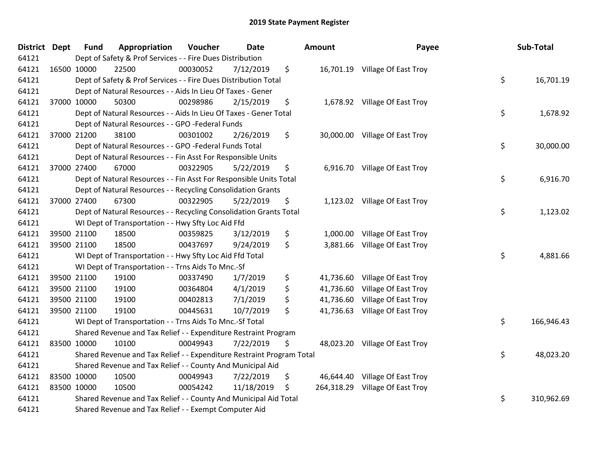| District Dept | <b>Fund</b> | Appropriation                                                         | Voucher  | <b>Date</b> | Amount          | Payee                           | Sub-Total        |
|---------------|-------------|-----------------------------------------------------------------------|----------|-------------|-----------------|---------------------------------|------------------|
| 64121         |             | Dept of Safety & Prof Services - - Fire Dues Distribution             |          |             |                 |                                 |                  |
| 64121         | 16500 10000 | 22500                                                                 | 00030052 | 7/12/2019   | \$              | 16,701.19 Village Of East Troy  |                  |
| 64121         |             | Dept of Safety & Prof Services - - Fire Dues Distribution Total       |          |             |                 |                                 | \$<br>16,701.19  |
| 64121         |             | Dept of Natural Resources - - Aids In Lieu Of Taxes - Gener           |          |             |                 |                                 |                  |
| 64121         | 37000 10000 | 50300                                                                 | 00298986 | 2/15/2019   | \$              | 1,678.92 Village Of East Troy   |                  |
| 64121         |             | Dept of Natural Resources - - Aids In Lieu Of Taxes - Gener Total     |          |             |                 |                                 | \$<br>1,678.92   |
| 64121         |             | Dept of Natural Resources - - GPO -Federal Funds                      |          |             |                 |                                 |                  |
| 64121         | 37000 21200 | 38100                                                                 | 00301002 | 2/26/2019   | \$              | 30,000.00 Village Of East Troy  |                  |
| 64121         |             | Dept of Natural Resources - - GPO -Federal Funds Total                |          |             |                 |                                 | \$<br>30,000.00  |
| 64121         |             | Dept of Natural Resources - - Fin Asst For Responsible Units          |          |             |                 |                                 |                  |
| 64121         | 37000 27400 | 67000                                                                 | 00322905 | 5/22/2019   | \$              | 6,916.70 Village Of East Troy   |                  |
| 64121         |             | Dept of Natural Resources - - Fin Asst For Responsible Units Total    |          |             |                 |                                 | \$<br>6,916.70   |
| 64121         |             | Dept of Natural Resources - - Recycling Consolidation Grants          |          |             |                 |                                 |                  |
| 64121         | 37000 27400 | 67300                                                                 | 00322905 | 5/22/2019   | \$              | 1,123.02 Village Of East Troy   |                  |
| 64121         |             | Dept of Natural Resources - - Recycling Consolidation Grants Total    |          |             |                 |                                 | \$<br>1,123.02   |
| 64121         |             | WI Dept of Transportation - - Hwy Sfty Loc Aid Ffd                    |          |             |                 |                                 |                  |
| 64121         | 39500 21100 | 18500                                                                 | 00359825 | 3/12/2019   | \$              | 1,000.00 Village Of East Troy   |                  |
| 64121         | 39500 21100 | 18500                                                                 | 00437697 | 9/24/2019   | \$              | 3,881.66 Village Of East Troy   |                  |
| 64121         |             | WI Dept of Transportation - - Hwy Sfty Loc Aid Ffd Total              |          |             |                 |                                 | \$<br>4,881.66   |
| 64121         |             | WI Dept of Transportation - - Trns Aids To Mnc.-Sf                    |          |             |                 |                                 |                  |
| 64121         | 39500 21100 | 19100                                                                 | 00337490 | 1/7/2019    | \$              | 41,736.60 Village Of East Troy  |                  |
| 64121         | 39500 21100 | 19100                                                                 | 00364804 | 4/1/2019    | \$              | 41,736.60 Village Of East Troy  |                  |
| 64121         | 39500 21100 | 19100                                                                 | 00402813 | 7/1/2019    | \$              | 41,736.60 Village Of East Troy  |                  |
| 64121         | 39500 21100 | 19100                                                                 | 00445631 | 10/7/2019   | \$<br>41,736.63 | Village Of East Troy            |                  |
| 64121         |             | WI Dept of Transportation - - Trns Aids To Mnc.-Sf Total              |          |             |                 |                                 | \$<br>166,946.43 |
| 64121         |             | Shared Revenue and Tax Relief - - Expenditure Restraint Program       |          |             |                 |                                 |                  |
| 64121         | 83500 10000 | 10100                                                                 | 00049943 | 7/22/2019   | \$              | 48,023.20 Village Of East Troy  |                  |
| 64121         |             | Shared Revenue and Tax Relief - - Expenditure Restraint Program Total |          |             |                 |                                 | \$<br>48,023.20  |
| 64121         |             | Shared Revenue and Tax Relief - - County And Municipal Aid            |          |             |                 |                                 |                  |
| 64121         | 83500 10000 | 10500                                                                 | 00049943 | 7/22/2019   | \$              | 46,644.40 Village Of East Troy  |                  |
| 64121         | 83500 10000 | 10500                                                                 | 00054242 | 11/18/2019  | \$              | 264,318.29 Village Of East Troy |                  |
| 64121         |             | Shared Revenue and Tax Relief - - County And Municipal Aid Total      |          |             |                 |                                 | \$<br>310,962.69 |
| 64121         |             | Shared Revenue and Tax Relief - - Exempt Computer Aid                 |          |             |                 |                                 |                  |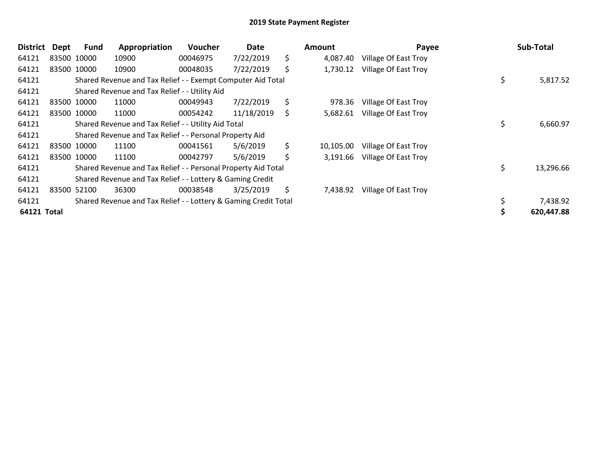| <b>District</b> | Dept | <b>Fund</b> | Appropriation                                                   | <b>Voucher</b> | Date       |     | Amount    | Payee                       | Sub-Total       |
|-----------------|------|-------------|-----------------------------------------------------------------|----------------|------------|-----|-----------|-----------------------------|-----------------|
| 64121           |      | 83500 10000 | 10900                                                           | 00046975       | 7/22/2019  | \$  | 4,087.40  | Village Of East Troy        |                 |
| 64121           |      | 83500 10000 | 10900                                                           | 00048035       | 7/22/2019  | \$  | 1,730.12  | <b>Village Of East Troy</b> |                 |
| 64121           |      |             | Shared Revenue and Tax Relief - - Exempt Computer Aid Total     |                |            |     |           |                             | \$<br>5,817.52  |
| 64121           |      |             | Shared Revenue and Tax Relief - - Utility Aid                   |                |            |     |           |                             |                 |
| 64121           |      | 83500 10000 | 11000                                                           | 00049943       | 7/22/2019  | \$  | 978.36    | Village Of East Troy        |                 |
| 64121           |      | 83500 10000 | 11000                                                           | 00054242       | 11/18/2019 | \$. | 5,682.61  | Village Of East Troy        |                 |
| 64121           |      |             | Shared Revenue and Tax Relief - - Utility Aid Total             |                |            |     |           |                             | \$<br>6,660.97  |
| 64121           |      |             | Shared Revenue and Tax Relief - - Personal Property Aid         |                |            |     |           |                             |                 |
| 64121           |      | 83500 10000 | 11100                                                           | 00041561       | 5/6/2019   | \$  | 10,105.00 | Village Of East Troy        |                 |
| 64121           |      | 83500 10000 | 11100                                                           | 00042797       | 5/6/2019   | \$  | 3,191.66  | Village Of East Troy        |                 |
| 64121           |      |             | Shared Revenue and Tax Relief - - Personal Property Aid Total   |                |            |     |           |                             | \$<br>13,296.66 |
| 64121           |      |             | Shared Revenue and Tax Relief - - Lottery & Gaming Credit       |                |            |     |           |                             |                 |
| 64121           |      | 83500 52100 | 36300                                                           | 00038548       | 3/25/2019  | \$  | 7,438.92  | Village Of East Troy        |                 |
| 64121           |      |             | Shared Revenue and Tax Relief - - Lottery & Gaming Credit Total |                |            |     |           |                             | 7,438.92        |
| 64121 Total     |      |             |                                                                 |                |            |     |           |                             | 620,447.88      |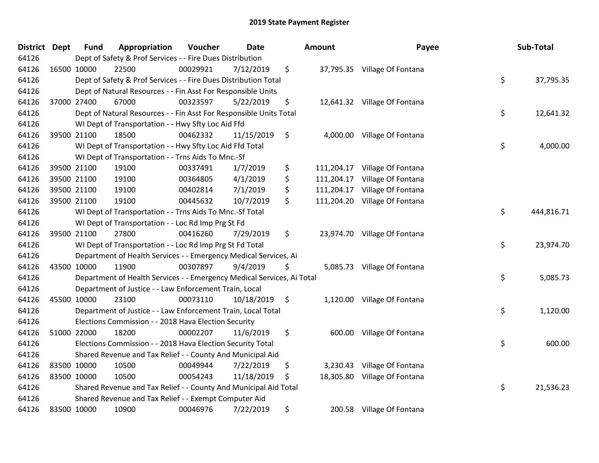| <b>District</b> | <b>Dept</b> | <b>Fund</b> | Appropriation                                                          | Voucher  | <b>Date</b>   | Amount           | Payee                         | Sub-Total        |
|-----------------|-------------|-------------|------------------------------------------------------------------------|----------|---------------|------------------|-------------------------------|------------------|
| 64126           |             |             | Dept of Safety & Prof Services - - Fire Dues Distribution              |          |               |                  |                               |                  |
| 64126           |             | 16500 10000 | 22500                                                                  | 00029921 | 7/12/2019     | \$               | 37,795.35 Village Of Fontana  |                  |
| 64126           |             |             | Dept of Safety & Prof Services - - Fire Dues Distribution Total        |          |               |                  |                               | \$<br>37,795.35  |
| 64126           |             |             | Dept of Natural Resources - - Fin Asst For Responsible Units           |          |               |                  |                               |                  |
| 64126           |             | 37000 27400 | 67000                                                                  | 00323597 | 5/22/2019     | \$               | 12,641.32 Village Of Fontana  |                  |
| 64126           |             |             | Dept of Natural Resources - - Fin Asst For Responsible Units Total     |          |               |                  |                               | \$<br>12,641.32  |
| 64126           |             |             | WI Dept of Transportation - - Hwy Sfty Loc Aid Ffd                     |          |               |                  |                               |                  |
| 64126           |             | 39500 21100 | 18500                                                                  | 00462332 | 11/15/2019    | \$               | 4,000.00 Village Of Fontana   |                  |
| 64126           |             |             | WI Dept of Transportation - - Hwy Sfty Loc Aid Ffd Total               |          |               |                  |                               | \$<br>4,000.00   |
| 64126           |             |             | WI Dept of Transportation - - Trns Aids To Mnc.-Sf                     |          |               |                  |                               |                  |
| 64126           |             | 39500 21100 | 19100                                                                  | 00337491 | 1/7/2019      | \$               | 111,204.17 Village Of Fontana |                  |
| 64126           |             | 39500 21100 | 19100                                                                  | 00364805 | 4/1/2019      | \$               | 111,204.17 Village Of Fontana |                  |
| 64126           |             | 39500 21100 | 19100                                                                  | 00402814 | 7/1/2019      | \$               | 111,204.17 Village Of Fontana |                  |
| 64126           |             | 39500 21100 | 19100                                                                  | 00445632 | 10/7/2019     | \$<br>111,204.20 | Village Of Fontana            |                  |
| 64126           |             |             | WI Dept of Transportation - - Trns Aids To Mnc.-Sf Total               |          |               |                  |                               | \$<br>444,816.71 |
| 64126           |             |             | WI Dept of Transportation - - Loc Rd Imp Prg St Fd                     |          |               |                  |                               |                  |
| 64126           |             | 39500 21100 | 27800                                                                  | 00416260 | 7/29/2019     | \$               | 23,974.70 Village Of Fontana  |                  |
| 64126           |             |             | WI Dept of Transportation - - Loc Rd Imp Prg St Fd Total               |          |               |                  |                               | \$<br>23,974.70  |
| 64126           |             |             | Department of Health Services - - Emergency Medical Services, Ai       |          |               |                  |                               |                  |
| 64126           |             | 43500 10000 | 11900                                                                  | 00307897 | 9/4/2019      | \$               | 5,085.73 Village Of Fontana   |                  |
| 64126           |             |             | Department of Health Services - - Emergency Medical Services, Ai Total |          |               |                  |                               | \$<br>5,085.73   |
| 64126           |             |             | Department of Justice - - Law Enforcement Train, Local                 |          |               |                  |                               |                  |
| 64126           |             | 45500 10000 | 23100                                                                  | 00073110 | 10/18/2019 \$ |                  | 1,120.00 Village Of Fontana   |                  |
| 64126           |             |             | Department of Justice - - Law Enforcement Train, Local Total           |          |               |                  |                               | \$<br>1,120.00   |
| 64126           |             |             | Elections Commission - - 2018 Hava Election Security                   |          |               |                  |                               |                  |
| 64126           |             | 51000 22000 | 18200                                                                  | 00002207 | 11/6/2019     | \$<br>600.00     | Village Of Fontana            |                  |
| 64126           |             |             | Elections Commission - - 2018 Hava Election Security Total             |          |               |                  |                               | \$<br>600.00     |
| 64126           |             |             | Shared Revenue and Tax Relief - - County And Municipal Aid             |          |               |                  |                               |                  |
| 64126           |             | 83500 10000 | 10500                                                                  | 00049944 | 7/22/2019     | \$               | 3,230.43 Village Of Fontana   |                  |
| 64126           | 83500 10000 |             | 10500                                                                  | 00054243 | 11/18/2019    | \$               | 18,305.80 Village Of Fontana  |                  |
| 64126           |             |             | Shared Revenue and Tax Relief - - County And Municipal Aid Total       |          |               |                  |                               | \$<br>21,536.23  |
| 64126           |             |             | Shared Revenue and Tax Relief - - Exempt Computer Aid                  |          |               |                  |                               |                  |
| 64126           |             | 83500 10000 | 10900                                                                  | 00046976 | 7/22/2019     | \$               | 200.58 Village Of Fontana     |                  |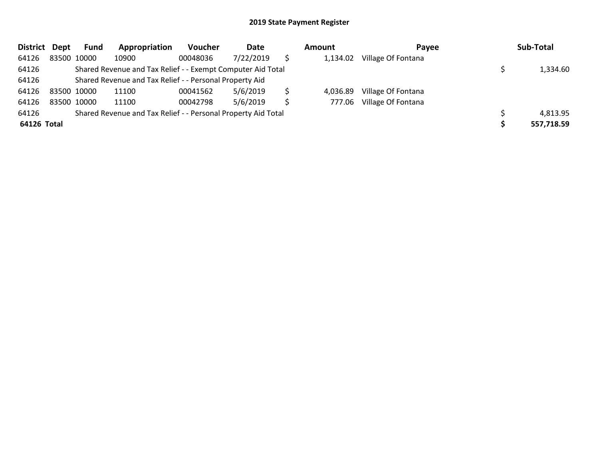| <b>District</b> | Dept        | Fund | Appropriation                                                 | Voucher  | Date      |   | Amount   | Payee              | Sub-Total  |
|-----------------|-------------|------|---------------------------------------------------------------|----------|-----------|---|----------|--------------------|------------|
| 64126           | 83500 10000 |      | 10900                                                         | 00048036 | 7/22/2019 |   | 1,134.02 | Village Of Fontana |            |
| 64126           |             |      | Shared Revenue and Tax Relief - - Exempt Computer Aid Total   |          |           |   |          |                    | 1,334.60   |
| 64126           |             |      | Shared Revenue and Tax Relief - - Personal Property Aid       |          |           |   |          |                    |            |
| 64126           | 83500 10000 |      | 11100                                                         | 00041562 | 5/6/2019  |   | 4,036.89 | Village Of Fontana |            |
| 64126           | 83500 10000 |      | 11100                                                         | 00042798 | 5/6/2019  | S | 777.06   | Village Of Fontana |            |
| 64126           |             |      | Shared Revenue and Tax Relief - - Personal Property Aid Total |          |           |   |          |                    | 4,813.95   |
| 64126 Total     |             |      |                                                               |          |           |   |          |                    | 557,718.59 |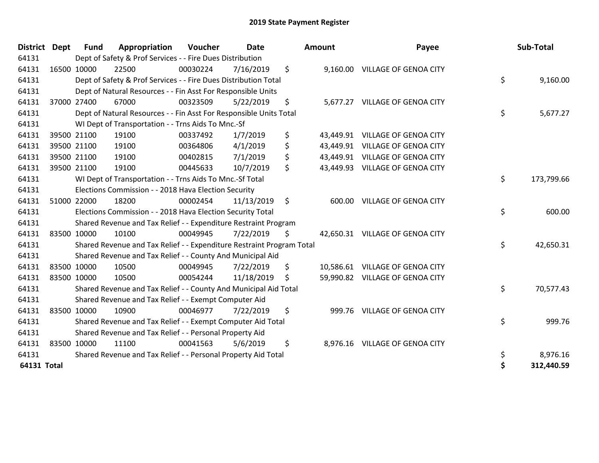| <b>District</b> | <b>Dept</b> | <b>Fund</b> | Appropriation                                                         | <b>Voucher</b> | <b>Date</b> |         | Amount | Payee                           | Sub-Total        |
|-----------------|-------------|-------------|-----------------------------------------------------------------------|----------------|-------------|---------|--------|---------------------------------|------------------|
| 64131           |             |             | Dept of Safety & Prof Services - - Fire Dues Distribution             |                |             |         |        |                                 |                  |
| 64131           |             | 16500 10000 | 22500                                                                 | 00030224       | 7/16/2019   | \$      |        | 9,160.00 VILLAGE OF GENOA CITY  |                  |
| 64131           |             |             | Dept of Safety & Prof Services - - Fire Dues Distribution Total       |                |             |         |        |                                 | \$<br>9,160.00   |
| 64131           |             |             | Dept of Natural Resources - - Fin Asst For Responsible Units          |                |             |         |        |                                 |                  |
| 64131           |             | 37000 27400 | 67000                                                                 | 00323509       | 5/22/2019   | \$      |        | 5,677.27 VILLAGE OF GENOA CITY  |                  |
| 64131           |             |             | Dept of Natural Resources - - Fin Asst For Responsible Units Total    |                |             |         |        |                                 | \$<br>5,677.27   |
| 64131           |             |             | WI Dept of Transportation - - Trns Aids To Mnc.-Sf                    |                |             |         |        |                                 |                  |
| 64131           |             | 39500 21100 | 19100                                                                 | 00337492       | 1/7/2019    | \$      |        | 43,449.91 VILLAGE OF GENOA CITY |                  |
| 64131           |             | 39500 21100 | 19100                                                                 | 00364806       | 4/1/2019    | \$      |        | 43,449.91 VILLAGE OF GENOA CITY |                  |
| 64131           |             | 39500 21100 | 19100                                                                 | 00402815       | 7/1/2019    | \$      |        | 43,449.91 VILLAGE OF GENOA CITY |                  |
| 64131           |             | 39500 21100 | 19100                                                                 | 00445633       | 10/7/2019   | \$      |        | 43,449.93 VILLAGE OF GENOA CITY |                  |
| 64131           |             |             | WI Dept of Transportation - - Trns Aids To Mnc.-Sf Total              |                |             |         |        |                                 | \$<br>173,799.66 |
| 64131           |             |             | Elections Commission - - 2018 Hava Election Security                  |                |             |         |        |                                 |                  |
| 64131           |             | 51000 22000 | 18200                                                                 | 00002454       | 11/13/2019  | $\zeta$ | 600.00 | <b>VILLAGE OF GENOA CITY</b>    |                  |
| 64131           |             |             | Elections Commission - - 2018 Hava Election Security Total            |                |             |         |        |                                 | \$<br>600.00     |
| 64131           |             |             | Shared Revenue and Tax Relief - - Expenditure Restraint Program       |                |             |         |        |                                 |                  |
| 64131           |             | 83500 10000 | 10100                                                                 | 00049945       | 7/22/2019   | \$      |        | 42,650.31 VILLAGE OF GENOA CITY |                  |
| 64131           |             |             | Shared Revenue and Tax Relief - - Expenditure Restraint Program Total |                |             |         |        |                                 | \$<br>42,650.31  |
| 64131           |             |             | Shared Revenue and Tax Relief - - County And Municipal Aid            |                |             |         |        |                                 |                  |
| 64131           |             | 83500 10000 | 10500                                                                 | 00049945       | 7/22/2019   | \$      |        | 10,586.61 VILLAGE OF GENOA CITY |                  |
| 64131           | 83500 10000 |             | 10500                                                                 | 00054244       | 11/18/2019  | \$      |        | 59,990.82 VILLAGE OF GENOA CITY |                  |
| 64131           |             |             | Shared Revenue and Tax Relief - - County And Municipal Aid Total      |                |             |         |        |                                 | \$<br>70,577.43  |
| 64131           |             |             | Shared Revenue and Tax Relief - - Exempt Computer Aid                 |                |             |         |        |                                 |                  |
| 64131           |             | 83500 10000 | 10900                                                                 | 00046977       | 7/22/2019   | \$      | 999.76 | <b>VILLAGE OF GENOA CITY</b>    |                  |
| 64131           |             |             | Shared Revenue and Tax Relief - - Exempt Computer Aid Total           |                |             |         |        |                                 | \$<br>999.76     |
| 64131           |             |             | Shared Revenue and Tax Relief - - Personal Property Aid               |                |             |         |        |                                 |                  |
| 64131           |             | 83500 10000 | 11100                                                                 | 00041563       | 5/6/2019    | \$      |        | 8,976.16 VILLAGE OF GENOA CITY  |                  |
| 64131           |             |             | Shared Revenue and Tax Relief - - Personal Property Aid Total         |                |             |         |        |                                 | \$<br>8,976.16   |
| 64131 Total     |             |             |                                                                       |                |             |         |        |                                 | \$<br>312,440.59 |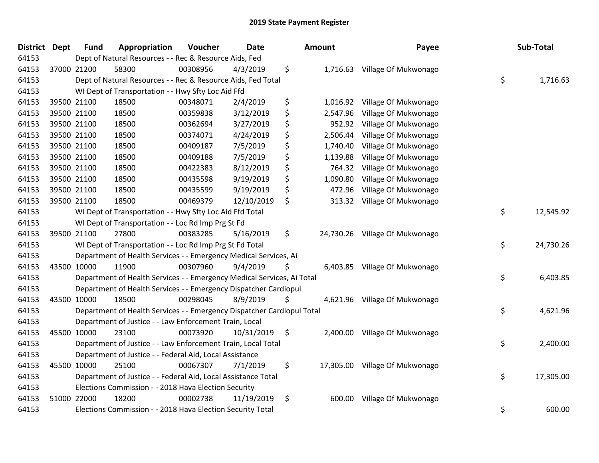| <b>District</b> | <b>Dept</b> | <b>Fund</b> | Appropriation                                                          | Voucher  | <b>Date</b> |    | Amount   | Payee                          | Sub-Total       |
|-----------------|-------------|-------------|------------------------------------------------------------------------|----------|-------------|----|----------|--------------------------------|-----------------|
| 64153           |             |             | Dept of Natural Resources - - Rec & Resource Aids, Fed                 |          |             |    |          |                                |                 |
| 64153           |             | 37000 21200 | 58300                                                                  | 00308956 | 4/3/2019    | \$ |          | 1,716.63 Village Of Mukwonago  |                 |
| 64153           |             |             | Dept of Natural Resources - - Rec & Resource Aids, Fed Total           |          |             |    |          |                                | \$<br>1,716.63  |
| 64153           |             |             | WI Dept of Transportation - - Hwy Sfty Loc Aid Ffd                     |          |             |    |          |                                |                 |
| 64153           |             | 39500 21100 | 18500                                                                  | 00348071 | 2/4/2019    | \$ | 1,016.92 | Village Of Mukwonago           |                 |
| 64153           |             | 39500 21100 | 18500                                                                  | 00359838 | 3/12/2019   | \$ | 2,547.96 | Village Of Mukwonago           |                 |
| 64153           |             | 39500 21100 | 18500                                                                  | 00362694 | 3/27/2019   | \$ | 952.92   | Village Of Mukwonago           |                 |
| 64153           |             | 39500 21100 | 18500                                                                  | 00374071 | 4/24/2019   | \$ | 2,506.44 | Village Of Mukwonago           |                 |
| 64153           |             | 39500 21100 | 18500                                                                  | 00409187 | 7/5/2019    | \$ | 1,740.40 | Village Of Mukwonago           |                 |
| 64153           |             | 39500 21100 | 18500                                                                  | 00409188 | 7/5/2019    | \$ | 1,139.88 | Village Of Mukwonago           |                 |
| 64153           |             | 39500 21100 | 18500                                                                  | 00422383 | 8/12/2019   | \$ | 764.32   | Village Of Mukwonago           |                 |
| 64153           |             | 39500 21100 | 18500                                                                  | 00435598 | 9/19/2019   | \$ | 1,090.80 | Village Of Mukwonago           |                 |
| 64153           |             | 39500 21100 | 18500                                                                  | 00435599 | 9/19/2019   | \$ | 472.96   | Village Of Mukwonago           |                 |
| 64153           |             | 39500 21100 | 18500                                                                  | 00469379 | 12/10/2019  | \$ | 313.32   | Village Of Mukwonago           |                 |
| 64153           |             |             | WI Dept of Transportation - - Hwy Sfty Loc Aid Ffd Total               |          |             |    |          |                                | \$<br>12,545.92 |
| 64153           |             |             | WI Dept of Transportation - - Loc Rd Imp Prg St Fd                     |          |             |    |          |                                |                 |
| 64153           |             | 39500 21100 | 27800                                                                  | 00383285 | 5/16/2019   | \$ |          | 24,730.26 Village Of Mukwonago |                 |
| 64153           |             |             | WI Dept of Transportation - - Loc Rd Imp Prg St Fd Total               |          |             |    |          |                                | \$<br>24,730.26 |
| 64153           |             |             | Department of Health Services - - Emergency Medical Services, Ai       |          |             |    |          |                                |                 |
| 64153           |             | 43500 10000 | 11900                                                                  | 00307960 | 9/4/2019    | Ş  |          | 6,403.85 Village Of Mukwonago  |                 |
| 64153           |             |             | Department of Health Services - - Emergency Medical Services, Ai Total |          |             |    |          |                                | \$<br>6,403.85  |
| 64153           |             |             | Department of Health Services - - Emergency Dispatcher Cardiopul       |          |             |    |          |                                |                 |
| 64153           |             | 43500 10000 | 18500                                                                  | 00298045 | 8/9/2019    | \$ |          | 4,621.96 Village Of Mukwonago  |                 |
| 64153           |             |             | Department of Health Services - - Emergency Dispatcher Cardiopul Total |          |             |    |          |                                | \$<br>4,621.96  |
| 64153           |             |             | Department of Justice - - Law Enforcement Train, Local                 |          |             |    |          |                                |                 |
| 64153           |             | 45500 10000 | 23100                                                                  | 00073920 | 10/31/2019  | \$ |          | 2,400.00 Village Of Mukwonago  |                 |
| 64153           |             |             | Department of Justice - - Law Enforcement Train, Local Total           |          |             |    |          |                                | \$<br>2,400.00  |
| 64153           |             |             | Department of Justice - - Federal Aid, Local Assistance                |          |             |    |          |                                |                 |
| 64153           |             | 45500 10000 | 25100                                                                  | 00067307 | 7/1/2019    | \$ |          | 17,305.00 Village Of Mukwonago |                 |
| 64153           |             |             | Department of Justice - - Federal Aid, Local Assistance Total          |          |             |    |          |                                | \$<br>17,305.00 |
| 64153           |             |             | Elections Commission - - 2018 Hava Election Security                   |          |             |    |          |                                |                 |
| 64153           |             | 51000 22000 | 18200                                                                  | 00002738 | 11/19/2019  | \$ | 600.00   | Village Of Mukwonago           |                 |
| 64153           |             |             | Elections Commission - - 2018 Hava Election Security Total             |          |             |    |          |                                | \$<br>600.00    |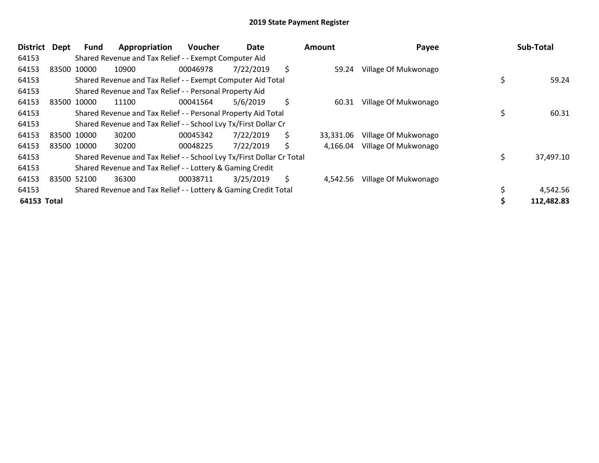| <b>District</b> | Dept | <b>Fund</b> | Appropriation                                                         | <b>Voucher</b> | Date      | <b>Amount</b>   | Payee                |    | Sub-Total  |
|-----------------|------|-------------|-----------------------------------------------------------------------|----------------|-----------|-----------------|----------------------|----|------------|
| 64153           |      |             | Shared Revenue and Tax Relief - - Exempt Computer Aid                 |                |           |                 |                      |    |            |
| 64153           |      | 83500 10000 | 10900                                                                 | 00046978       | 7/22/2019 | \$<br>59.24     | Village Of Mukwonago |    |            |
| 64153           |      |             | Shared Revenue and Tax Relief - - Exempt Computer Aid Total           |                |           |                 |                      | \$ | 59.24      |
| 64153           |      |             | Shared Revenue and Tax Relief - - Personal Property Aid               |                |           |                 |                      |    |            |
| 64153           |      | 83500 10000 | 11100                                                                 | 00041564       | 5/6/2019  | \$<br>60.31     | Village Of Mukwonago |    |            |
| 64153           |      |             | Shared Revenue and Tax Relief - - Personal Property Aid Total         |                |           |                 |                      | \$ | 60.31      |
| 64153           |      |             | Shared Revenue and Tax Relief - - School Lvy Tx/First Dollar Cr       |                |           |                 |                      |    |            |
| 64153           |      | 83500 10000 | 30200                                                                 | 00045342       | 7/22/2019 | \$<br>33,331.06 | Village Of Mukwonago |    |            |
| 64153           |      | 83500 10000 | 30200                                                                 | 00048225       | 7/22/2019 | \$<br>4,166.04  | Village Of Mukwonago |    |            |
| 64153           |      |             | Shared Revenue and Tax Relief - - School Lvy Tx/First Dollar Cr Total |                |           |                 |                      | Ś  | 37,497.10  |
| 64153           |      |             | Shared Revenue and Tax Relief - - Lottery & Gaming Credit             |                |           |                 |                      |    |            |
| 64153           |      | 83500 52100 | 36300                                                                 | 00038711       | 3/25/2019 | \$<br>4,542.56  | Village Of Mukwonago |    |            |
| 64153           |      |             | Shared Revenue and Tax Relief - - Lottery & Gaming Credit Total       |                |           |                 |                      |    | 4,542.56   |
| 64153 Total     |      |             |                                                                       |                |           |                 |                      |    | 112,482.83 |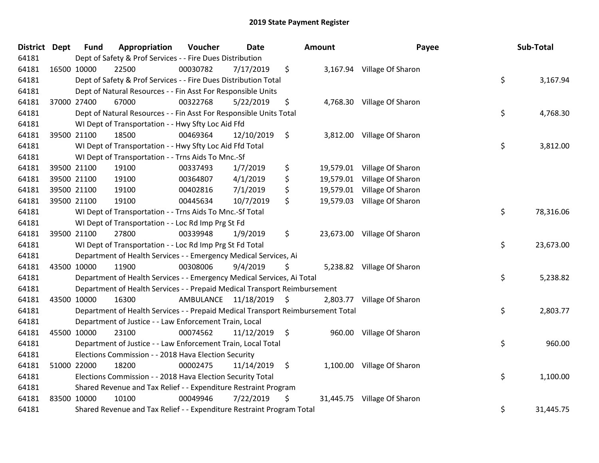| <b>District</b> | <b>Dept</b> | <b>Fund</b> | Appropriation                                                                   | Voucher  | <b>Date</b>             |                    | Amount    | Payee                       | Sub-Total       |
|-----------------|-------------|-------------|---------------------------------------------------------------------------------|----------|-------------------------|--------------------|-----------|-----------------------------|-----------------|
| 64181           |             |             | Dept of Safety & Prof Services - - Fire Dues Distribution                       |          |                         |                    |           |                             |                 |
| 64181           |             | 16500 10000 | 22500                                                                           | 00030782 | 7/17/2019               | \$                 |           | 3,167.94 Village Of Sharon  |                 |
| 64181           |             |             | Dept of Safety & Prof Services - - Fire Dues Distribution Total                 |          |                         |                    |           |                             | \$<br>3,167.94  |
| 64181           |             |             | Dept of Natural Resources - - Fin Asst For Responsible Units                    |          |                         |                    |           |                             |                 |
| 64181           |             | 37000 27400 | 67000                                                                           | 00322768 | 5/22/2019               | \$                 |           | 4,768.30 Village Of Sharon  |                 |
| 64181           |             |             | Dept of Natural Resources - - Fin Asst For Responsible Units Total              |          |                         |                    |           |                             | \$<br>4,768.30  |
| 64181           |             |             | WI Dept of Transportation - - Hwy Sfty Loc Aid Ffd                              |          |                         |                    |           |                             |                 |
| 64181           |             | 39500 21100 | 18500                                                                           | 00469364 | 12/10/2019              | \$                 |           | 3,812.00 Village Of Sharon  |                 |
| 64181           |             |             | WI Dept of Transportation - - Hwy Sfty Loc Aid Ffd Total                        |          |                         |                    |           |                             | \$<br>3,812.00  |
| 64181           |             |             | WI Dept of Transportation - - Trns Aids To Mnc.-Sf                              |          |                         |                    |           |                             |                 |
| 64181           |             | 39500 21100 | 19100                                                                           | 00337493 | 1/7/2019                | \$                 |           | 19,579.01 Village Of Sharon |                 |
| 64181           |             | 39500 21100 | 19100                                                                           | 00364807 | 4/1/2019                | \$                 | 19,579.01 | Village Of Sharon           |                 |
| 64181           |             | 39500 21100 | 19100                                                                           | 00402816 | 7/1/2019                | \$                 |           | 19,579.01 Village Of Sharon |                 |
| 64181           |             | 39500 21100 | 19100                                                                           | 00445634 | 10/7/2019               | \$                 |           | 19,579.03 Village Of Sharon |                 |
| 64181           |             |             | WI Dept of Transportation - - Trns Aids To Mnc.-Sf Total                        |          |                         |                    |           |                             | \$<br>78,316.06 |
| 64181           |             |             | WI Dept of Transportation - - Loc Rd Imp Prg St Fd                              |          |                         |                    |           |                             |                 |
| 64181           |             | 39500 21100 | 27800                                                                           | 00339948 | 1/9/2019                | \$                 |           | 23,673.00 Village Of Sharon |                 |
| 64181           |             |             | WI Dept of Transportation - - Loc Rd Imp Prg St Fd Total                        |          |                         |                    |           |                             | \$<br>23,673.00 |
| 64181           |             |             | Department of Health Services - - Emergency Medical Services, Ai                |          |                         |                    |           |                             |                 |
| 64181           |             | 43500 10000 | 11900                                                                           | 00308006 | 9/4/2019                | S                  |           | 5,238.82 Village Of Sharon  |                 |
| 64181           |             |             | Department of Health Services - - Emergency Medical Services, Ai Total          |          |                         |                    |           |                             | \$<br>5,238.82  |
| 64181           |             |             | Department of Health Services - - Prepaid Medical Transport Reimbursement       |          |                         |                    |           |                             |                 |
| 64181           |             | 43500 10000 | 16300                                                                           |          | AMBULANCE 11/18/2019 \$ |                    |           | 2,803.77 Village Of Sharon  |                 |
| 64181           |             |             | Department of Health Services - - Prepaid Medical Transport Reimbursement Total |          |                         |                    |           |                             | \$<br>2,803.77  |
| 64181           |             |             | Department of Justice - - Law Enforcement Train, Local                          |          |                         |                    |           |                             |                 |
| 64181           |             | 45500 10000 | 23100                                                                           | 00074562 | 11/12/2019              | $\ddot{\varsigma}$ | 960.00    | Village Of Sharon           |                 |
| 64181           |             |             | Department of Justice - - Law Enforcement Train, Local Total                    |          |                         |                    |           |                             | \$<br>960.00    |
| 64181           |             |             | Elections Commission - - 2018 Hava Election Security                            |          |                         |                    |           |                             |                 |
| 64181           |             | 51000 22000 | 18200                                                                           | 00002475 | 11/14/2019              | \$                 |           | 1,100.00 Village Of Sharon  |                 |
| 64181           |             |             | Elections Commission - - 2018 Hava Election Security Total                      |          |                         |                    |           |                             | \$<br>1,100.00  |
| 64181           |             |             | Shared Revenue and Tax Relief - - Expenditure Restraint Program                 |          |                         |                    |           |                             |                 |
| 64181           |             | 83500 10000 | 10100                                                                           | 00049946 | 7/22/2019               | \$                 |           | 31,445.75 Village Of Sharon |                 |
| 64181           |             |             | Shared Revenue and Tax Relief - - Expenditure Restraint Program Total           |          |                         |                    |           |                             | \$<br>31,445.75 |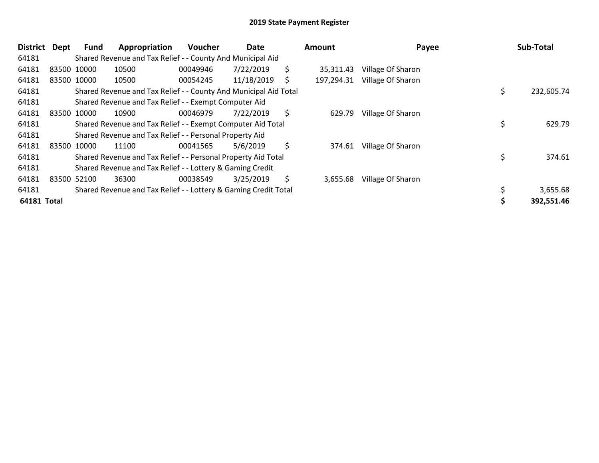| <b>District</b> | Dept | Fund        | Appropriation                                                    | <b>Voucher</b> | Date       |    | Amount     | Payee             | Sub-Total        |
|-----------------|------|-------------|------------------------------------------------------------------|----------------|------------|----|------------|-------------------|------------------|
| 64181           |      |             | Shared Revenue and Tax Relief - - County And Municipal Aid       |                |            |    |            |                   |                  |
| 64181           |      | 83500 10000 | 10500                                                            | 00049946       | 7/22/2019  | \$ | 35,311.43  | Village Of Sharon |                  |
| 64181           |      | 83500 10000 | 10500                                                            | 00054245       | 11/18/2019 | S  | 197,294.31 | Village Of Sharon |                  |
| 64181           |      |             | Shared Revenue and Tax Relief - - County And Municipal Aid Total |                |            |    |            |                   | \$<br>232,605.74 |
| 64181           |      |             | Shared Revenue and Tax Relief - - Exempt Computer Aid            |                |            |    |            |                   |                  |
| 64181           |      | 83500 10000 | 10900                                                            | 00046979       | 7/22/2019  | \$ | 629.79     | Village Of Sharon |                  |
| 64181           |      |             | Shared Revenue and Tax Relief - - Exempt Computer Aid Total      |                |            |    |            |                   | \$<br>629.79     |
| 64181           |      |             | Shared Revenue and Tax Relief - - Personal Property Aid          |                |            |    |            |                   |                  |
| 64181           |      | 83500 10000 | 11100                                                            | 00041565       | 5/6/2019   | \$ | 374.61     | Village Of Sharon |                  |
| 64181           |      |             | Shared Revenue and Tax Relief - - Personal Property Aid Total    |                |            |    |            |                   | 374.61           |
| 64181           |      |             | Shared Revenue and Tax Relief - - Lottery & Gaming Credit        |                |            |    |            |                   |                  |
| 64181           |      | 83500 52100 | 36300                                                            | 00038549       | 3/25/2019  | \$ | 3,655.68   | Village Of Sharon |                  |
| 64181           |      |             | Shared Revenue and Tax Relief - - Lottery & Gaming Credit Total  |                |            |    |            |                   | 3,655.68         |
| 64181 Total     |      |             |                                                                  |                |            |    |            |                   | 392,551.46       |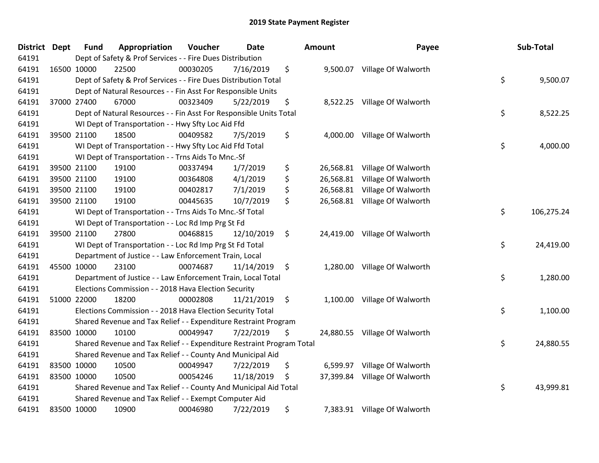| <b>District</b> | <b>Dept</b> | <b>Fund</b> | Appropriation                                                         | Voucher  | <b>Date</b>     |               | <b>Amount</b> | Payee                         | Sub-Total        |
|-----------------|-------------|-------------|-----------------------------------------------------------------------|----------|-----------------|---------------|---------------|-------------------------------|------------------|
| 64191           |             |             | Dept of Safety & Prof Services - - Fire Dues Distribution             |          |                 |               |               |                               |                  |
| 64191           |             | 16500 10000 | 22500                                                                 | 00030205 | 7/16/2019       | \$            |               | 9,500.07 Village Of Walworth  |                  |
| 64191           |             |             | Dept of Safety & Prof Services - - Fire Dues Distribution Total       |          |                 |               |               |                               | \$<br>9,500.07   |
| 64191           |             |             | Dept of Natural Resources - - Fin Asst For Responsible Units          |          |                 |               |               |                               |                  |
| 64191           | 37000 27400 |             | 67000                                                                 | 00323409 | 5/22/2019       | \$            |               | 8,522.25 Village Of Walworth  |                  |
| 64191           |             |             | Dept of Natural Resources - - Fin Asst For Responsible Units Total    |          |                 |               |               |                               | \$<br>8,522.25   |
| 64191           |             |             | WI Dept of Transportation - - Hwy Sfty Loc Aid Ffd                    |          |                 |               |               |                               |                  |
| 64191           |             | 39500 21100 | 18500                                                                 | 00409582 | 7/5/2019        | \$            |               | 4,000.00 Village Of Walworth  |                  |
| 64191           |             |             | WI Dept of Transportation - - Hwy Sfty Loc Aid Ffd Total              |          |                 |               |               |                               | \$<br>4,000.00   |
| 64191           |             |             | WI Dept of Transportation - - Trns Aids To Mnc.-Sf                    |          |                 |               |               |                               |                  |
| 64191           |             | 39500 21100 | 19100                                                                 | 00337494 | 1/7/2019        | \$            |               | 26,568.81 Village Of Walworth |                  |
| 64191           |             | 39500 21100 | 19100                                                                 | 00364808 | 4/1/2019        | \$            |               | 26,568.81 Village Of Walworth |                  |
| 64191           |             | 39500 21100 | 19100                                                                 | 00402817 | 7/1/2019        | \$            |               | 26,568.81 Village Of Walworth |                  |
| 64191           |             | 39500 21100 | 19100                                                                 | 00445635 | 10/7/2019       | \$            |               | 26,568.81 Village Of Walworth |                  |
| 64191           |             |             | WI Dept of Transportation - - Trns Aids To Mnc.-Sf Total              |          |                 |               |               |                               | \$<br>106,275.24 |
| 64191           |             |             | WI Dept of Transportation - - Loc Rd Imp Prg St Fd                    |          |                 |               |               |                               |                  |
| 64191           |             | 39500 21100 | 27800                                                                 | 00468815 | 12/10/2019      | \$            |               | 24,419.00 Village Of Walworth |                  |
| 64191           |             |             | WI Dept of Transportation - - Loc Rd Imp Prg St Fd Total              |          |                 |               |               |                               | \$<br>24,419.00  |
| 64191           |             |             | Department of Justice - - Law Enforcement Train, Local                |          |                 |               |               |                               |                  |
| 64191           | 45500 10000 |             | 23100                                                                 | 00074687 | 11/14/2019      | $\ddot{\phi}$ |               | 1,280.00 Village Of Walworth  |                  |
| 64191           |             |             | Department of Justice - - Law Enforcement Train, Local Total          |          |                 |               |               |                               | \$<br>1,280.00   |
| 64191           |             |             | Elections Commission - - 2018 Hava Election Security                  |          |                 |               |               |                               |                  |
| 64191           |             | 51000 22000 | 18200                                                                 | 00002808 | $11/21/2019$ \$ |               |               | 1,100.00 Village Of Walworth  |                  |
| 64191           |             |             | Elections Commission - - 2018 Hava Election Security Total            |          |                 |               |               |                               | \$<br>1,100.00   |
| 64191           |             |             | Shared Revenue and Tax Relief - - Expenditure Restraint Program       |          |                 |               |               |                               |                  |
| 64191           |             | 83500 10000 | 10100                                                                 | 00049947 | 7/22/2019       | \$            |               | 24,880.55 Village Of Walworth |                  |
| 64191           |             |             | Shared Revenue and Tax Relief - - Expenditure Restraint Program Total |          |                 |               |               |                               | \$<br>24,880.55  |
| 64191           |             |             | Shared Revenue and Tax Relief - - County And Municipal Aid            |          |                 |               |               |                               |                  |
| 64191           | 83500 10000 |             | 10500                                                                 | 00049947 | 7/22/2019       | \$            |               | 6,599.97 Village Of Walworth  |                  |
| 64191           | 83500 10000 |             | 10500                                                                 | 00054246 | 11/18/2019      | \$            |               | 37,399.84 Village Of Walworth |                  |
| 64191           |             |             | Shared Revenue and Tax Relief - - County And Municipal Aid Total      |          |                 |               |               |                               | \$<br>43,999.81  |
| 64191           |             |             | Shared Revenue and Tax Relief - - Exempt Computer Aid                 |          |                 |               |               |                               |                  |
| 64191           | 83500 10000 |             | 10900                                                                 | 00046980 | 7/22/2019       | \$            |               | 7,383.91 Village Of Walworth  |                  |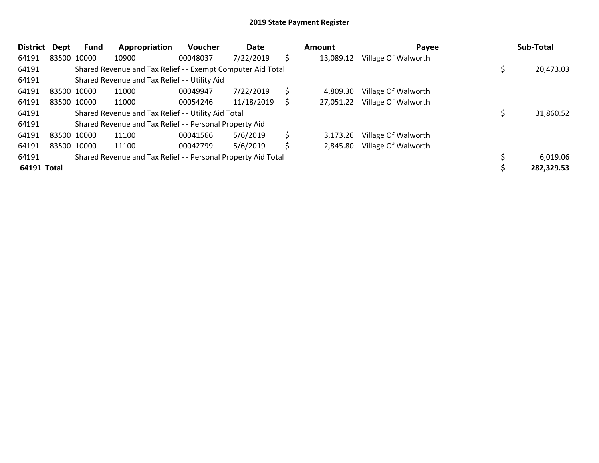| <b>District</b> | Dept        | Fund        | Appropriation                                                 | Voucher  | Date       |    | Amount    | Payee               | Sub-Total  |
|-----------------|-------------|-------------|---------------------------------------------------------------|----------|------------|----|-----------|---------------------|------------|
| 64191           |             | 83500 10000 | 10900                                                         | 00048037 | 7/22/2019  | \$ | 13,089.12 | Village Of Walworth |            |
| 64191           |             |             | Shared Revenue and Tax Relief - - Exempt Computer Aid Total   |          |            |    |           |                     | 20,473.03  |
| 64191           |             |             | Shared Revenue and Tax Relief - - Utility Aid                 |          |            |    |           |                     |            |
| 64191           | 83500 10000 |             | 11000                                                         | 00049947 | 7/22/2019  | \$ | 4.809.30  | Village Of Walworth |            |
| 64191           |             | 83500 10000 | 11000                                                         | 00054246 | 11/18/2019 | S. | 27,051.22 | Village Of Walworth |            |
| 64191           |             |             | Shared Revenue and Tax Relief - - Utility Aid Total           |          |            |    |           |                     | 31,860.52  |
| 64191           |             |             | Shared Revenue and Tax Relief - - Personal Property Aid       |          |            |    |           |                     |            |
| 64191           | 83500 10000 |             | 11100                                                         | 00041566 | 5/6/2019   | \$ | 3,173.26  | Village Of Walworth |            |
| 64191           | 83500 10000 |             | 11100                                                         | 00042799 | 5/6/2019   | \$ | 2,845.80  | Village Of Walworth |            |
| 64191           |             |             | Shared Revenue and Tax Relief - - Personal Property Aid Total |          |            |    |           |                     | 6,019.06   |
| 64191 Total     |             |             |                                                               |          |            |    |           |                     | 282,329.53 |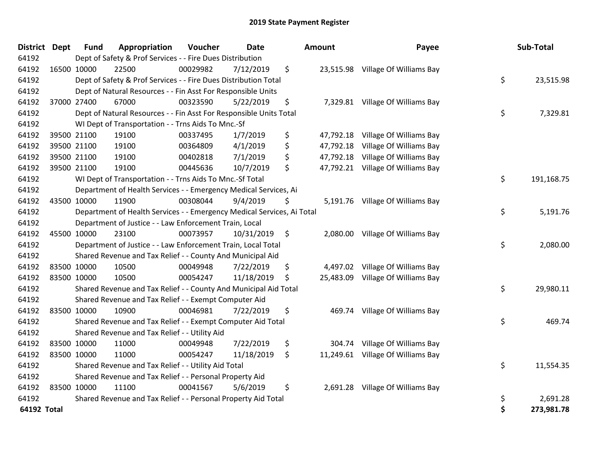| <b>District</b> | <b>Dept</b> | <b>Fund</b> | Appropriation                                                          | Voucher  | <b>Date</b> | Amount          | Payee                             | Sub-Total        |
|-----------------|-------------|-------------|------------------------------------------------------------------------|----------|-------------|-----------------|-----------------------------------|------------------|
| 64192           |             |             | Dept of Safety & Prof Services - - Fire Dues Distribution              |          |             |                 |                                   |                  |
| 64192           |             | 16500 10000 | 22500                                                                  | 00029982 | 7/12/2019   | \$              | 23,515.98 Village Of Williams Bay |                  |
| 64192           |             |             | Dept of Safety & Prof Services - - Fire Dues Distribution Total        |          |             |                 |                                   | \$<br>23,515.98  |
| 64192           |             |             | Dept of Natural Resources - - Fin Asst For Responsible Units           |          |             |                 |                                   |                  |
| 64192           |             | 37000 27400 | 67000                                                                  | 00323590 | 5/22/2019   | \$<br>7,329.81  | Village Of Williams Bay           |                  |
| 64192           |             |             | Dept of Natural Resources - - Fin Asst For Responsible Units Total     |          |             |                 |                                   | \$<br>7,329.81   |
| 64192           |             |             | WI Dept of Transportation - - Trns Aids To Mnc.-Sf                     |          |             |                 |                                   |                  |
| 64192           |             | 39500 21100 | 19100                                                                  | 00337495 | 1/7/2019    | \$<br>47,792.18 | Village Of Williams Bay           |                  |
| 64192           |             | 39500 21100 | 19100                                                                  | 00364809 | 4/1/2019    | \$<br>47,792.18 | Village Of Williams Bay           |                  |
| 64192           |             | 39500 21100 | 19100                                                                  | 00402818 | 7/1/2019    | \$<br>47,792.18 | Village Of Williams Bay           |                  |
| 64192           |             | 39500 21100 | 19100                                                                  | 00445636 | 10/7/2019   | \$<br>47,792.21 | Village Of Williams Bay           |                  |
| 64192           |             |             | WI Dept of Transportation - - Trns Aids To Mnc.-Sf Total               |          |             |                 |                                   | \$<br>191,168.75 |
| 64192           |             |             | Department of Health Services - - Emergency Medical Services, Ai       |          |             |                 |                                   |                  |
| 64192           |             | 43500 10000 | 11900                                                                  | 00308044 | 9/4/2019    | \$              | 5,191.76 Village Of Williams Bay  |                  |
| 64192           |             |             | Department of Health Services - - Emergency Medical Services, Ai Total |          |             |                 |                                   | \$<br>5,191.76   |
| 64192           |             |             | Department of Justice - - Law Enforcement Train, Local                 |          |             |                 |                                   |                  |
| 64192           |             | 45500 10000 | 23100                                                                  | 00073957 | 10/31/2019  | \$<br>2,080.00  | Village Of Williams Bay           |                  |
| 64192           |             |             | Department of Justice - - Law Enforcement Train, Local Total           |          |             |                 |                                   | \$<br>2,080.00   |
| 64192           |             |             | Shared Revenue and Tax Relief - - County And Municipal Aid             |          |             |                 |                                   |                  |
| 64192           |             | 83500 10000 | 10500                                                                  | 00049948 | 7/22/2019   | \$<br>4,497.02  | Village Of Williams Bay           |                  |
| 64192           |             | 83500 10000 | 10500                                                                  | 00054247 | 11/18/2019  | \$              | 25,483.09 Village Of Williams Bay |                  |
| 64192           |             |             | Shared Revenue and Tax Relief - - County And Municipal Aid Total       |          |             |                 |                                   | \$<br>29,980.11  |
| 64192           |             |             | Shared Revenue and Tax Relief - - Exempt Computer Aid                  |          |             |                 |                                   |                  |
| 64192           |             | 83500 10000 | 10900                                                                  | 00046981 | 7/22/2019   | \$<br>469.74    | Village Of Williams Bay           |                  |
| 64192           |             |             | Shared Revenue and Tax Relief - - Exempt Computer Aid Total            |          |             |                 |                                   | \$<br>469.74     |
| 64192           |             |             | Shared Revenue and Tax Relief - - Utility Aid                          |          |             |                 |                                   |                  |
| 64192           |             | 83500 10000 | 11000                                                                  | 00049948 | 7/22/2019   | \$<br>304.74    | Village Of Williams Bay           |                  |
| 64192           | 83500 10000 |             | 11000                                                                  | 00054247 | 11/18/2019  | \$              | 11,249.61 Village Of Williams Bay |                  |
| 64192           |             |             | Shared Revenue and Tax Relief - - Utility Aid Total                    |          |             |                 |                                   | \$<br>11,554.35  |
| 64192           |             |             | Shared Revenue and Tax Relief - - Personal Property Aid                |          |             |                 |                                   |                  |
| 64192           |             | 83500 10000 | 11100                                                                  | 00041567 | 5/6/2019    | \$              | 2,691.28 Village Of Williams Bay  |                  |
| 64192           |             |             | Shared Revenue and Tax Relief - - Personal Property Aid Total          |          |             |                 |                                   | \$<br>2,691.28   |
| 64192 Total     |             |             |                                                                        |          |             |                 |                                   | \$<br>273,981.78 |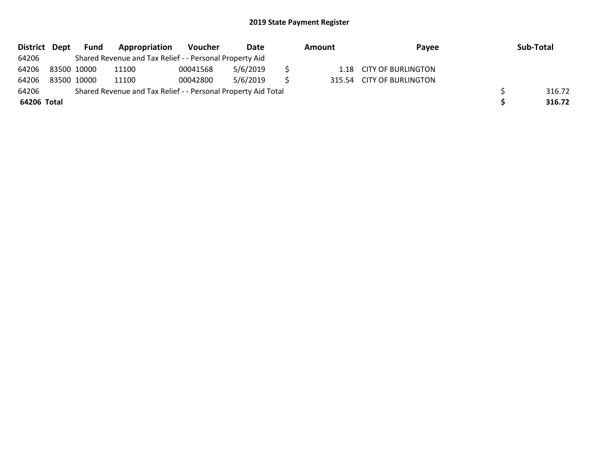| District Dept |             | Fund | Appropriation                                                 | Voucher  | Date     | Amount | Pavee                     | Sub-Total |
|---------------|-------------|------|---------------------------------------------------------------|----------|----------|--------|---------------------------|-----------|
| 64206         |             |      | Shared Revenue and Tax Relief - - Personal Property Aid       |          |          |        |                           |           |
| 64206         | 83500 10000 |      | 11100                                                         | 00041568 | 5/6/2019 |        | 1.18 CITY OF BURLINGTON   |           |
| 64206         | 83500 10000 |      | 11100                                                         | 00042800 | 5/6/2019 |        | 315.54 CITY OF BURLINGTON |           |
| 64206         |             |      | Shared Revenue and Tax Relief - - Personal Property Aid Total |          |          |        |                           | 316.72    |
| 64206 Total   |             |      |                                                               |          |          |        |                           | 316.72    |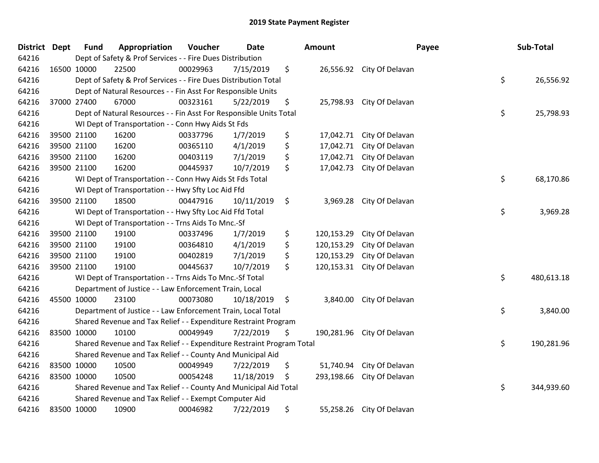| <b>District</b> | <b>Dept</b> | <b>Fund</b> | Appropriation                                                         | Voucher  | <b>Date</b> | Amount           |                           | Payee | Sub-Total  |
|-----------------|-------------|-------------|-----------------------------------------------------------------------|----------|-------------|------------------|---------------------------|-------|------------|
| 64216           |             |             | Dept of Safety & Prof Services - - Fire Dues Distribution             |          |             |                  |                           |       |            |
| 64216           | 16500 10000 |             | 22500                                                                 | 00029963 | 7/15/2019   | \$               | 26,556.92 City Of Delavan |       |            |
| 64216           |             |             | Dept of Safety & Prof Services - - Fire Dues Distribution Total       |          |             |                  |                           | \$    | 26,556.92  |
| 64216           |             |             | Dept of Natural Resources - - Fin Asst For Responsible Units          |          |             |                  |                           |       |            |
| 64216           |             | 37000 27400 | 67000                                                                 | 00323161 | 5/22/2019   | \$<br>25,798.93  | City Of Delavan           |       |            |
| 64216           |             |             | Dept of Natural Resources - - Fin Asst For Responsible Units Total    |          |             |                  |                           | \$    | 25,798.93  |
| 64216           |             |             | WI Dept of Transportation - - Conn Hwy Aids St Fds                    |          |             |                  |                           |       |            |
| 64216           |             | 39500 21100 | 16200                                                                 | 00337796 | 1/7/2019    | \$<br>17,042.71  | City Of Delavan           |       |            |
| 64216           |             | 39500 21100 | 16200                                                                 | 00365110 | 4/1/2019    | \$<br>17,042.71  | City Of Delavan           |       |            |
| 64216           |             | 39500 21100 | 16200                                                                 | 00403119 | 7/1/2019    | \$<br>17,042.71  | City Of Delavan           |       |            |
| 64216           |             | 39500 21100 | 16200                                                                 | 00445937 | 10/7/2019   | \$<br>17,042.73  | City Of Delavan           |       |            |
| 64216           |             |             | WI Dept of Transportation - - Conn Hwy Aids St Fds Total              |          |             |                  |                           | \$    | 68,170.86  |
| 64216           |             |             | WI Dept of Transportation - - Hwy Sfty Loc Aid Ffd                    |          |             |                  |                           |       |            |
| 64216           |             | 39500 21100 | 18500                                                                 | 00447916 | 10/11/2019  | \$<br>3,969.28   | City Of Delavan           |       |            |
| 64216           |             |             | WI Dept of Transportation - - Hwy Sfty Loc Aid Ffd Total              |          |             |                  |                           | \$    | 3,969.28   |
| 64216           |             |             | WI Dept of Transportation - - Trns Aids To Mnc.-Sf                    |          |             |                  |                           |       |            |
| 64216           |             | 39500 21100 | 19100                                                                 | 00337496 | 1/7/2019    | \$<br>120,153.29 | City Of Delavan           |       |            |
| 64216           |             | 39500 21100 | 19100                                                                 | 00364810 | 4/1/2019    | \$<br>120,153.29 | City Of Delavan           |       |            |
| 64216           |             | 39500 21100 | 19100                                                                 | 00402819 | 7/1/2019    | \$<br>120,153.29 | City Of Delavan           |       |            |
| 64216           |             | 39500 21100 | 19100                                                                 | 00445637 | 10/7/2019   | \$<br>120,153.31 | City Of Delavan           |       |            |
| 64216           |             |             | WI Dept of Transportation - - Trns Aids To Mnc.-Sf Total              |          |             |                  |                           | \$    | 480,613.18 |
| 64216           |             |             | Department of Justice - - Law Enforcement Train, Local                |          |             |                  |                           |       |            |
| 64216           |             | 45500 10000 | 23100                                                                 | 00073080 | 10/18/2019  | \$<br>3,840.00   | City Of Delavan           |       |            |
| 64216           |             |             | Department of Justice - - Law Enforcement Train, Local Total          |          |             |                  |                           | \$    | 3,840.00   |
| 64216           |             |             | Shared Revenue and Tax Relief - - Expenditure Restraint Program       |          |             |                  |                           |       |            |
| 64216           |             | 83500 10000 | 10100                                                                 | 00049949 | 7/22/2019   | \$<br>190,281.96 | City Of Delavan           |       |            |
| 64216           |             |             | Shared Revenue and Tax Relief - - Expenditure Restraint Program Total |          |             |                  |                           | \$    | 190,281.96 |
| 64216           |             |             | Shared Revenue and Tax Relief - - County And Municipal Aid            |          |             |                  |                           |       |            |
| 64216           | 83500 10000 |             | 10500                                                                 | 00049949 | 7/22/2019   | \$<br>51,740.94  | City Of Delavan           |       |            |
| 64216           | 83500 10000 |             | 10500                                                                 | 00054248 | 11/18/2019  | \$<br>293,198.66 | City Of Delavan           |       |            |
| 64216           |             |             | Shared Revenue and Tax Relief - - County And Municipal Aid Total      |          |             |                  |                           | \$    | 344,939.60 |
| 64216           |             |             | Shared Revenue and Tax Relief - - Exempt Computer Aid                 |          |             |                  |                           |       |            |
| 64216           | 83500 10000 |             | 10900                                                                 | 00046982 | 7/22/2019   | \$<br>55,258.26  | City Of Delavan           |       |            |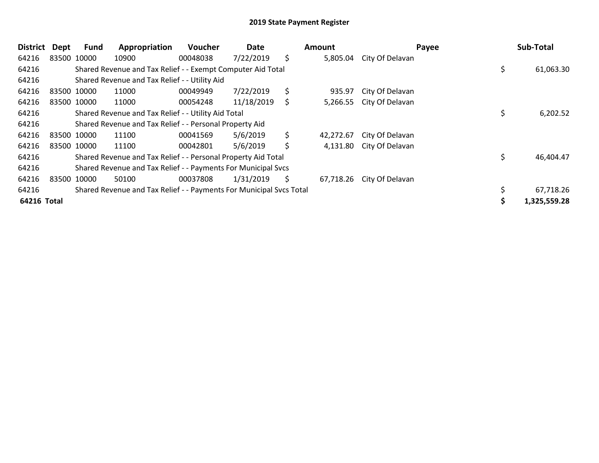| District    | Dept        | Fund | Appropriation                                                       | Voucher  | Date       | Amount          | Payee           | Sub-Total    |
|-------------|-------------|------|---------------------------------------------------------------------|----------|------------|-----------------|-----------------|--------------|
| 64216       | 83500 10000 |      | 10900                                                               | 00048038 | 7/22/2019  | \$<br>5,805.04  | City Of Delavan |              |
| 64216       |             |      | Shared Revenue and Tax Relief - - Exempt Computer Aid Total         |          |            |                 |                 | 61,063.30    |
| 64216       |             |      | Shared Revenue and Tax Relief - - Utility Aid                       |          |            |                 |                 |              |
| 64216       | 83500 10000 |      | 11000                                                               | 00049949 | 7/22/2019  | \$<br>935.97    | City Of Delavan |              |
| 64216       | 83500 10000 |      | 11000                                                               | 00054248 | 11/18/2019 | \$<br>5,266.55  | City Of Delavan |              |
| 64216       |             |      | Shared Revenue and Tax Relief - - Utility Aid Total                 |          |            |                 |                 | 6,202.52     |
| 64216       |             |      | Shared Revenue and Tax Relief - - Personal Property Aid             |          |            |                 |                 |              |
| 64216       | 83500 10000 |      | 11100                                                               | 00041569 | 5/6/2019   | \$<br>42,272.67 | City Of Delavan |              |
| 64216       | 83500 10000 |      | 11100                                                               | 00042801 | 5/6/2019   | \$<br>4,131.80  | City Of Delavan |              |
| 64216       |             |      | Shared Revenue and Tax Relief - - Personal Property Aid Total       |          |            |                 |                 | 46,404.47    |
| 64216       |             |      | Shared Revenue and Tax Relief - - Payments For Municipal Svcs       |          |            |                 |                 |              |
| 64216       | 83500 10000 |      | 50100                                                               | 00037808 | 1/31/2019  | \$<br>67,718.26 | City Of Delavan |              |
| 64216       |             |      | Shared Revenue and Tax Relief - - Payments For Municipal Svcs Total |          |            |                 |                 | 67,718.26    |
| 64216 Total |             |      |                                                                     |          |            |                 |                 | 1,325,559.28 |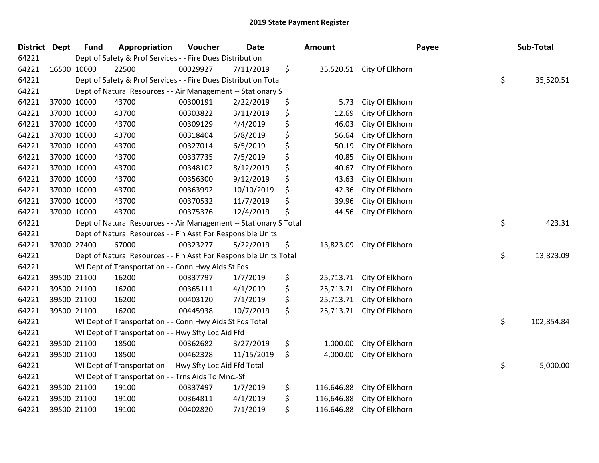| <b>District Dept</b> |             | <b>Fund</b> | Appropriation                                                      | Voucher  | Date       | Amount           |                           | Payee | Sub-Total  |
|----------------------|-------------|-------------|--------------------------------------------------------------------|----------|------------|------------------|---------------------------|-------|------------|
| 64221                |             |             | Dept of Safety & Prof Services - - Fire Dues Distribution          |          |            |                  |                           |       |            |
| 64221                | 16500 10000 |             | 22500                                                              | 00029927 | 7/11/2019  | \$               | 35,520.51 City Of Elkhorn |       |            |
| 64221                |             |             | Dept of Safety & Prof Services - - Fire Dues Distribution Total    |          |            |                  |                           | \$    | 35,520.51  |
| 64221                |             |             | Dept of Natural Resources - - Air Management -- Stationary S       |          |            |                  |                           |       |            |
| 64221                |             | 37000 10000 | 43700                                                              | 00300191 | 2/22/2019  | \$<br>5.73       | City Of Elkhorn           |       |            |
| 64221                |             | 37000 10000 | 43700                                                              | 00303822 | 3/11/2019  | \$<br>12.69      | City Of Elkhorn           |       |            |
| 64221                |             | 37000 10000 | 43700                                                              | 00309129 | 4/4/2019   | \$<br>46.03      | City Of Elkhorn           |       |            |
| 64221                |             | 37000 10000 | 43700                                                              | 00318404 | 5/8/2019   | \$<br>56.64      | City Of Elkhorn           |       |            |
| 64221                |             | 37000 10000 | 43700                                                              | 00327014 | 6/5/2019   | \$<br>50.19      | City Of Elkhorn           |       |            |
| 64221                |             | 37000 10000 | 43700                                                              | 00337735 | 7/5/2019   | \$<br>40.85      | City Of Elkhorn           |       |            |
| 64221                |             | 37000 10000 | 43700                                                              | 00348102 | 8/12/2019  | \$<br>40.67      | City Of Elkhorn           |       |            |
| 64221                |             | 37000 10000 | 43700                                                              | 00356300 | 9/12/2019  | \$<br>43.63      | City Of Elkhorn           |       |            |
| 64221                | 37000 10000 |             | 43700                                                              | 00363992 | 10/10/2019 | \$<br>42.36      | City Of Elkhorn           |       |            |
| 64221                |             | 37000 10000 | 43700                                                              | 00370532 | 11/7/2019  | \$<br>39.96      | City Of Elkhorn           |       |            |
| 64221                |             | 37000 10000 | 43700                                                              | 00375376 | 12/4/2019  | \$<br>44.56      | City Of Elkhorn           |       |            |
| 64221                |             |             | Dept of Natural Resources - - Air Management -- Stationary S Total |          |            |                  |                           | \$    | 423.31     |
| 64221                |             |             | Dept of Natural Resources - - Fin Asst For Responsible Units       |          |            |                  |                           |       |            |
| 64221                |             | 37000 27400 | 67000                                                              | 00323277 | 5/22/2019  | \$<br>13,823.09  | City Of Elkhorn           |       |            |
| 64221                |             |             | Dept of Natural Resources - - Fin Asst For Responsible Units Total |          |            |                  |                           | \$    | 13,823.09  |
| 64221                |             |             | WI Dept of Transportation - - Conn Hwy Aids St Fds                 |          |            |                  |                           |       |            |
| 64221                |             | 39500 21100 | 16200                                                              | 00337797 | 1/7/2019   | \$<br>25,713.71  | City Of Elkhorn           |       |            |
| 64221                |             | 39500 21100 | 16200                                                              | 00365111 | 4/1/2019   | \$<br>25,713.71  | City Of Elkhorn           |       |            |
| 64221                |             | 39500 21100 | 16200                                                              | 00403120 | 7/1/2019   | \$<br>25,713.71  | City Of Elkhorn           |       |            |
| 64221                |             | 39500 21100 | 16200                                                              | 00445938 | 10/7/2019  | \$<br>25,713.71  | City Of Elkhorn           |       |            |
| 64221                |             |             | WI Dept of Transportation - - Conn Hwy Aids St Fds Total           |          |            |                  |                           | \$    | 102,854.84 |
| 64221                |             |             | WI Dept of Transportation - - Hwy Sfty Loc Aid Ffd                 |          |            |                  |                           |       |            |
| 64221                |             | 39500 21100 | 18500                                                              | 00362682 | 3/27/2019  | \$<br>1,000.00   | City Of Elkhorn           |       |            |
| 64221                |             | 39500 21100 | 18500                                                              | 00462328 | 11/15/2019 | \$<br>4,000.00   | City Of Elkhorn           |       |            |
| 64221                |             |             | WI Dept of Transportation - - Hwy Sfty Loc Aid Ffd Total           |          |            |                  |                           | \$    | 5,000.00   |
| 64221                |             |             | WI Dept of Transportation - - Trns Aids To Mnc.-Sf                 |          |            |                  |                           |       |            |
| 64221                |             | 39500 21100 | 19100                                                              | 00337497 | 1/7/2019   | \$<br>116,646.88 | City Of Elkhorn           |       |            |
| 64221                |             | 39500 21100 | 19100                                                              | 00364811 | 4/1/2019   | \$<br>116,646.88 | City Of Elkhorn           |       |            |
| 64221                |             | 39500 21100 | 19100                                                              | 00402820 | 7/1/2019   | \$<br>116,646.88 | City Of Elkhorn           |       |            |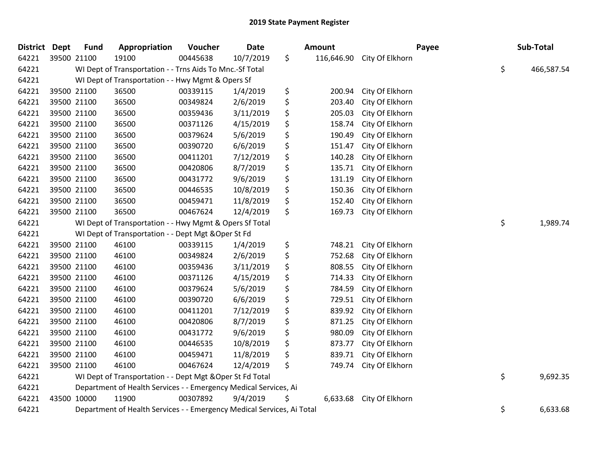| <b>District Dept</b> |             | <b>Fund</b> | Appropriation                                                          | Voucher  | <b>Date</b> | Amount |          | Payee                      | Sub-Total        |
|----------------------|-------------|-------------|------------------------------------------------------------------------|----------|-------------|--------|----------|----------------------------|------------------|
| 64221                | 39500 21100 |             | 19100                                                                  | 00445638 | 10/7/2019   | \$     |          | 116,646.90 City Of Elkhorn |                  |
| 64221                |             |             | WI Dept of Transportation - - Trns Aids To Mnc.-Sf Total               |          |             |        |          |                            | \$<br>466,587.54 |
| 64221                |             |             | WI Dept of Transportation - - Hwy Mgmt & Opers Sf                      |          |             |        |          |                            |                  |
| 64221                |             | 39500 21100 | 36500                                                                  | 00339115 | 1/4/2019    | \$     | 200.94   | City Of Elkhorn            |                  |
| 64221                |             | 39500 21100 | 36500                                                                  | 00349824 | 2/6/2019    | \$     | 203.40   | City Of Elkhorn            |                  |
| 64221                |             | 39500 21100 | 36500                                                                  | 00359436 | 3/11/2019   | \$     | 205.03   | City Of Elkhorn            |                  |
| 64221                | 39500 21100 |             | 36500                                                                  | 00371126 | 4/15/2019   | \$     | 158.74   | City Of Elkhorn            |                  |
| 64221                | 39500 21100 |             | 36500                                                                  | 00379624 | 5/6/2019    | \$     | 190.49   | City Of Elkhorn            |                  |
| 64221                |             | 39500 21100 | 36500                                                                  | 00390720 | 6/6/2019    | \$     | 151.47   | City Of Elkhorn            |                  |
| 64221                |             | 39500 21100 | 36500                                                                  | 00411201 | 7/12/2019   | \$     | 140.28   | City Of Elkhorn            |                  |
| 64221                |             | 39500 21100 | 36500                                                                  | 00420806 | 8/7/2019    | \$     | 135.71   | City Of Elkhorn            |                  |
| 64221                | 39500 21100 |             | 36500                                                                  | 00431772 | 9/6/2019    | \$     | 131.19   | City Of Elkhorn            |                  |
| 64221                | 39500 21100 |             | 36500                                                                  | 00446535 | 10/8/2019   | \$     | 150.36   | City Of Elkhorn            |                  |
| 64221                |             | 39500 21100 | 36500                                                                  | 00459471 | 11/8/2019   | \$     | 152.40   | City Of Elkhorn            |                  |
| 64221                |             | 39500 21100 | 36500                                                                  | 00467624 | 12/4/2019   | \$     | 169.73   | City Of Elkhorn            |                  |
| 64221                |             |             | WI Dept of Transportation - - Hwy Mgmt & Opers Sf Total                |          |             |        |          |                            | \$<br>1,989.74   |
| 64221                |             |             | WI Dept of Transportation - - Dept Mgt & Oper St Fd                    |          |             |        |          |                            |                  |
| 64221                | 39500 21100 |             | 46100                                                                  | 00339115 | 1/4/2019    | \$     | 748.21   | City Of Elkhorn            |                  |
| 64221                |             | 39500 21100 | 46100                                                                  | 00349824 | 2/6/2019    | \$     | 752.68   | City Of Elkhorn            |                  |
| 64221                |             | 39500 21100 | 46100                                                                  | 00359436 | 3/11/2019   | \$     | 808.55   | City Of Elkhorn            |                  |
| 64221                |             | 39500 21100 | 46100                                                                  | 00371126 | 4/15/2019   | \$     | 714.33   | City Of Elkhorn            |                  |
| 64221                | 39500 21100 |             | 46100                                                                  | 00379624 | 5/6/2019    | \$     | 784.59   | City Of Elkhorn            |                  |
| 64221                | 39500 21100 |             | 46100                                                                  | 00390720 | 6/6/2019    | \$     | 729.51   | City Of Elkhorn            |                  |
| 64221                |             | 39500 21100 | 46100                                                                  | 00411201 | 7/12/2019   | \$     | 839.92   | City Of Elkhorn            |                  |
| 64221                |             | 39500 21100 | 46100                                                                  | 00420806 | 8/7/2019    | \$     | 871.25   | City Of Elkhorn            |                  |
| 64221                |             | 39500 21100 | 46100                                                                  | 00431772 | 9/6/2019    | \$     | 980.09   | City Of Elkhorn            |                  |
| 64221                | 39500 21100 |             | 46100                                                                  | 00446535 | 10/8/2019   | \$     | 873.77   | City Of Elkhorn            |                  |
| 64221                | 39500 21100 |             | 46100                                                                  | 00459471 | 11/8/2019   | \$     | 839.71   | City Of Elkhorn            |                  |
| 64221                |             | 39500 21100 | 46100                                                                  | 00467624 | 12/4/2019   | \$     | 749.74   | City Of Elkhorn            |                  |
| 64221                |             |             | WI Dept of Transportation - - Dept Mgt & Oper St Fd Total              |          |             |        |          |                            | \$<br>9,692.35   |
| 64221                |             |             | Department of Health Services - - Emergency Medical Services, Ai       |          |             |        |          |                            |                  |
| 64221                | 43500 10000 |             | 11900                                                                  | 00307892 | 9/4/2019    | \$     | 6,633.68 | City Of Elkhorn            |                  |
| 64221                |             |             | Department of Health Services - - Emergency Medical Services, Ai Total |          |             |        |          |                            | \$<br>6,633.68   |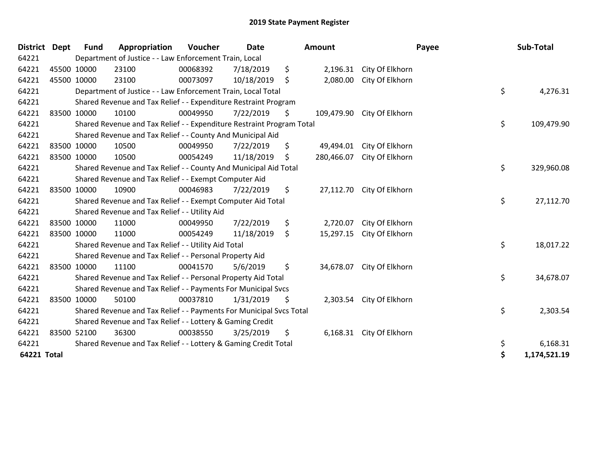| <b>District Dept</b> |             | <b>Fund</b> | Appropriation                                                         | Voucher  | <b>Date</b> | Amount           | Payee                     | Sub-Total          |
|----------------------|-------------|-------------|-----------------------------------------------------------------------|----------|-------------|------------------|---------------------------|--------------------|
| 64221                |             |             | Department of Justice - - Law Enforcement Train, Local                |          |             |                  |                           |                    |
| 64221                |             | 45500 10000 | 23100                                                                 | 00068392 | 7/18/2019   | \$<br>2,196.31   | City Of Elkhorn           |                    |
| 64221                | 45500 10000 |             | 23100                                                                 | 00073097 | 10/18/2019  | \$<br>2,080.00   | City Of Elkhorn           |                    |
| 64221                |             |             | Department of Justice - - Law Enforcement Train, Local Total          |          |             |                  |                           | \$<br>4,276.31     |
| 64221                |             |             | Shared Revenue and Tax Relief - - Expenditure Restraint Program       |          |             |                  |                           |                    |
| 64221                |             | 83500 10000 | 10100                                                                 | 00049950 | 7/22/2019   | \$<br>109,479.90 | City Of Elkhorn           |                    |
| 64221                |             |             | Shared Revenue and Tax Relief - - Expenditure Restraint Program Total |          |             |                  |                           | \$<br>109,479.90   |
| 64221                |             |             | Shared Revenue and Tax Relief - - County And Municipal Aid            |          |             |                  |                           |                    |
| 64221                |             | 83500 10000 | 10500                                                                 | 00049950 | 7/22/2019   | \$<br>49,494.01  | City Of Elkhorn           |                    |
| 64221                |             | 83500 10000 | 10500                                                                 | 00054249 | 11/18/2019  | \$<br>280,466.07 | City Of Elkhorn           |                    |
| 64221                |             |             | Shared Revenue and Tax Relief - - County And Municipal Aid Total      |          |             |                  |                           | \$<br>329,960.08   |
| 64221                |             |             | Shared Revenue and Tax Relief - - Exempt Computer Aid                 |          |             |                  |                           |                    |
| 64221                |             | 83500 10000 | 10900                                                                 | 00046983 | 7/22/2019   | \$               | 27,112.70 City Of Elkhorn |                    |
| 64221                |             |             | Shared Revenue and Tax Relief - - Exempt Computer Aid Total           |          |             |                  |                           | \$<br>27,112.70    |
| 64221                |             |             | Shared Revenue and Tax Relief - - Utility Aid                         |          |             |                  |                           |                    |
| 64221                |             | 83500 10000 | 11000                                                                 | 00049950 | 7/22/2019   | \$<br>2,720.07   | City Of Elkhorn           |                    |
| 64221                | 83500 10000 |             | 11000                                                                 | 00054249 | 11/18/2019  | \$<br>15,297.15  | City Of Elkhorn           |                    |
| 64221                |             |             | Shared Revenue and Tax Relief - - Utility Aid Total                   |          |             |                  |                           | \$<br>18,017.22    |
| 64221                |             |             | Shared Revenue and Tax Relief - - Personal Property Aid               |          |             |                  |                           |                    |
| 64221                |             | 83500 10000 | 11100                                                                 | 00041570 | 5/6/2019    | \$<br>34,678.07  | City Of Elkhorn           |                    |
| 64221                |             |             | Shared Revenue and Tax Relief - - Personal Property Aid Total         |          |             |                  |                           | \$<br>34,678.07    |
| 64221                |             |             | Shared Revenue and Tax Relief - - Payments For Municipal Svcs         |          |             |                  |                           |                    |
| 64221                |             | 83500 10000 | 50100                                                                 | 00037810 | 1/31/2019   | \$<br>2,303.54   | City Of Elkhorn           |                    |
| 64221                |             |             | Shared Revenue and Tax Relief - - Payments For Municipal Svcs Total   |          |             |                  |                           | \$<br>2,303.54     |
| 64221                |             |             | Shared Revenue and Tax Relief - - Lottery & Gaming Credit             |          |             |                  |                           |                    |
| 64221                |             | 83500 52100 | 36300                                                                 | 00038550 | 3/25/2019   | \$               | 6,168.31 City Of Elkhorn  |                    |
| 64221                |             |             | Shared Revenue and Tax Relief - - Lottery & Gaming Credit Total       |          |             |                  |                           | 6,168.31           |
| 64221 Total          |             |             |                                                                       |          |             |                  |                           | \$<br>1,174,521.19 |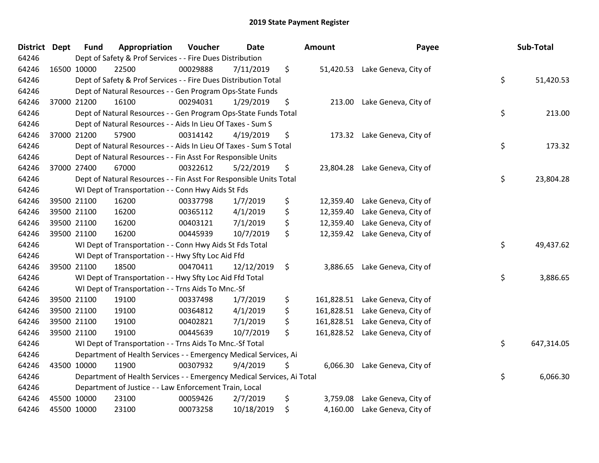| District Dept | <b>Fund</b>                                                                  | Appropriation                                                      | Voucher  | <b>Date</b> |    | <b>Amount</b> | Payee                           |    | Sub-Total  |
|---------------|------------------------------------------------------------------------------|--------------------------------------------------------------------|----------|-------------|----|---------------|---------------------------------|----|------------|
| 64246         | Dept of Safety & Prof Services - - Fire Dues Distribution                    |                                                                    |          |             |    |               |                                 |    |            |
| 64246         | 16500 10000                                                                  | 22500                                                              | 00029888 | 7/11/2019   | \$ |               | 51,420.53 Lake Geneva, City of  |    |            |
| 64246         | \$<br>Dept of Safety & Prof Services - - Fire Dues Distribution Total        |                                                                    |          |             |    |               |                                 |    | 51,420.53  |
| 64246         | Dept of Natural Resources - - Gen Program Ops-State Funds                    |                                                                    |          |             |    |               |                                 |    |            |
| 64246         | 37000 21200                                                                  | 16100                                                              | 00294031 | 1/29/2019   | \$ | 213.00        | Lake Geneva, City of            |    |            |
| 64246         |                                                                              | Dept of Natural Resources - - Gen Program Ops-State Funds Total    |          |             |    |               |                                 | \$ | 213.00     |
| 64246         | Dept of Natural Resources - - Aids In Lieu Of Taxes - Sum S                  |                                                                    |          |             |    |               |                                 |    |            |
| 64246         | 37000 21200                                                                  | 57900                                                              | 00314142 | 4/19/2019   | \$ | 173.32        | Lake Geneva, City of            |    |            |
| 64246         | \$<br>Dept of Natural Resources - - Aids In Lieu Of Taxes - Sum S Total      |                                                                    |          |             |    |               |                                 |    | 173.32     |
| 64246         | Dept of Natural Resources - - Fin Asst For Responsible Units                 |                                                                    |          |             |    |               |                                 |    |            |
| 64246         | 37000 27400                                                                  | 67000                                                              | 00322612 | 5/22/2019   | \$ |               | 23,804.28 Lake Geneva, City of  |    |            |
| 64246         |                                                                              | Dept of Natural Resources - - Fin Asst For Responsible Units Total |          |             |    |               |                                 | \$ | 23,804.28  |
| 64246         |                                                                              | WI Dept of Transportation - - Conn Hwy Aids St Fds                 |          |             |    |               |                                 |    |            |
| 64246         | 39500 21100                                                                  | 16200                                                              | 00337798 | 1/7/2019    | \$ | 12,359.40     | Lake Geneva, City of            |    |            |
| 64246         | 39500 21100                                                                  | 16200                                                              | 00365112 | 4/1/2019    | \$ | 12,359.40     | Lake Geneva, City of            |    |            |
| 64246         | 39500 21100                                                                  | 16200                                                              | 00403121 | 7/1/2019    | \$ | 12,359.40     | Lake Geneva, City of            |    |            |
| 64246         | 39500 21100                                                                  | 16200                                                              | 00445939 | 10/7/2019   | \$ |               | 12,359.42 Lake Geneva, City of  |    |            |
| 64246         | WI Dept of Transportation - - Conn Hwy Aids St Fds Total                     |                                                                    |          |             |    |               |                                 |    | 49,437.62  |
| 64246         |                                                                              | WI Dept of Transportation - - Hwy Sfty Loc Aid Ffd                 |          |             |    |               |                                 |    |            |
| 64246         | 39500 21100                                                                  | 18500                                                              | 00470411 | 12/12/2019  | \$ | 3,886.65      | Lake Geneva, City of            |    |            |
| 64246         |                                                                              | WI Dept of Transportation - - Hwy Sfty Loc Aid Ffd Total           |          |             |    |               |                                 | \$ | 3,886.65   |
| 64246         | WI Dept of Transportation - - Trns Aids To Mnc.-Sf                           |                                                                    |          |             |    |               |                                 |    |            |
| 64246         | 39500 21100                                                                  | 19100                                                              | 00337498 | 1/7/2019    | \$ |               | 161,828.51 Lake Geneva, City of |    |            |
| 64246         | 39500 21100                                                                  | 19100                                                              | 00364812 | 4/1/2019    | \$ | 161,828.51    | Lake Geneva, City of            |    |            |
| 64246         | 39500 21100                                                                  | 19100                                                              | 00402821 | 7/1/2019    | \$ | 161,828.51    | Lake Geneva, City of            |    |            |
| 64246         | 39500 21100                                                                  | 19100                                                              | 00445639 | 10/7/2019   | \$ | 161,828.52    | Lake Geneva, City of            |    |            |
| 64246         |                                                                              | WI Dept of Transportation - - Trns Aids To Mnc.-Sf Total           |          |             |    |               |                                 |    | 647,314.05 |
| 64246         | Department of Health Services - - Emergency Medical Services, Ai             |                                                                    |          |             |    |               |                                 |    |            |
| 64246         | 43500 10000                                                                  | 11900                                                              | 00307932 | 9/4/2019    | \$ |               | 6,066.30 Lake Geneva, City of   |    |            |
| 64246         | \$<br>Department of Health Services - - Emergency Medical Services, Ai Total |                                                                    |          |             |    |               |                                 |    | 6,066.30   |
| 64246         | Department of Justice - - Law Enforcement Train, Local                       |                                                                    |          |             |    |               |                                 |    |            |
| 64246         | 45500 10000                                                                  | 23100                                                              | 00059426 | 2/7/2019    | \$ | 3,759.08      | Lake Geneva, City of            |    |            |
| 64246         | 45500 10000                                                                  | 23100                                                              | 00073258 | 10/18/2019  | \$ | 4,160.00      | Lake Geneva, City of            |    |            |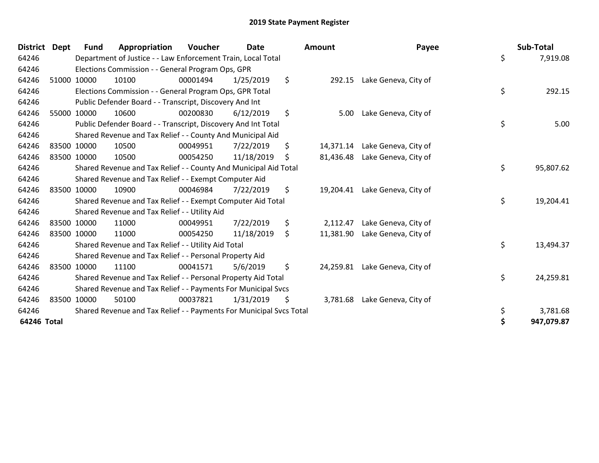| <b>District</b> | <b>Dept</b> | <b>Fund</b>                                                         | Appropriation                                                       | Voucher  | <b>Date</b> |    | <b>Amount</b> | Payee                         |    | Sub-Total  |
|-----------------|-------------|---------------------------------------------------------------------|---------------------------------------------------------------------|----------|-------------|----|---------------|-------------------------------|----|------------|
| 64246           |             | Department of Justice - - Law Enforcement Train, Local Total        |                                                                     |          |             |    |               |                               | \$ | 7,919.08   |
| 64246           |             | Elections Commission - - General Program Ops, GPR                   |                                                                     |          |             |    |               |                               |    |            |
| 64246           |             | 51000 10000                                                         | 10100                                                               | 00001494 | 1/25/2019   | \$ | 292.15        | Lake Geneva, City of          |    |            |
| 64246           |             | Elections Commission - - General Program Ops, GPR Total             |                                                                     |          |             |    |               |                               |    | 292.15     |
| 64246           |             | Public Defender Board - - Transcript, Discovery And Int             |                                                                     |          |             |    |               |                               |    |            |
| 64246           |             | 55000 10000                                                         | 10600                                                               | 00200830 | 6/12/2019   | \$ | 5.00          | Lake Geneva, City of          |    |            |
| 64246           |             | \$<br>Public Defender Board - - Transcript, Discovery And Int Total |                                                                     |          |             |    |               |                               |    |            |
| 64246           |             | Shared Revenue and Tax Relief - - County And Municipal Aid          |                                                                     |          |             |    |               |                               |    |            |
| 64246           |             | 83500 10000                                                         | 10500                                                               | 00049951 | 7/22/2019   | \$ | 14,371.14     | Lake Geneva, City of          |    |            |
| 64246           |             | 83500 10000                                                         | 10500                                                               | 00054250 | 11/18/2019  | \$ | 81,436.48     | Lake Geneva, City of          |    |            |
| 64246           |             | Shared Revenue and Tax Relief - - County And Municipal Aid Total    |                                                                     |          |             |    |               |                               |    | 95,807.62  |
| 64246           |             | Shared Revenue and Tax Relief - - Exempt Computer Aid               |                                                                     |          |             |    |               |                               |    |            |
| 64246           |             | 83500 10000                                                         | 10900                                                               | 00046984 | 7/22/2019   | \$ | 19,204.41     | Lake Geneva, City of          |    |            |
| 64246           |             | Shared Revenue and Tax Relief - - Exempt Computer Aid Total         |                                                                     |          |             |    |               |                               |    | 19,204.41  |
| 64246           |             | Shared Revenue and Tax Relief - - Utility Aid                       |                                                                     |          |             |    |               |                               |    |            |
| 64246           |             | 83500 10000                                                         | 11000                                                               | 00049951 | 7/22/2019   | \$ | 2,112.47      | Lake Geneva, City of          |    |            |
| 64246           |             | 83500 10000                                                         | 11000                                                               | 00054250 | 11/18/2019  | \$ | 11,381.90     | Lake Geneva, City of          |    |            |
| 64246           |             | Shared Revenue and Tax Relief - - Utility Aid Total                 |                                                                     |          |             |    |               |                               |    | 13,494.37  |
| 64246           |             | Shared Revenue and Tax Relief - - Personal Property Aid             |                                                                     |          |             |    |               |                               |    |            |
| 64246           |             | 83500 10000                                                         | 11100                                                               | 00041571 | 5/6/2019    | \$ | 24,259.81     | Lake Geneva, City of          |    |            |
| 64246           |             | Shared Revenue and Tax Relief - - Personal Property Aid Total       |                                                                     |          |             |    |               |                               |    | 24,259.81  |
| 64246           |             | Shared Revenue and Tax Relief - - Payments For Municipal Svcs       |                                                                     |          |             |    |               |                               |    |            |
| 64246           |             | 83500 10000                                                         | 50100                                                               | 00037821 | 1/31/2019   | \$ |               | 3,781.68 Lake Geneva, City of |    |            |
| 64246           |             |                                                                     | Shared Revenue and Tax Relief - - Payments For Municipal Svcs Total |          |             |    |               |                               | \$ | 3,781.68   |
| 64246 Total     |             |                                                                     |                                                                     |          |             |    |               |                               | \$ | 947,079.87 |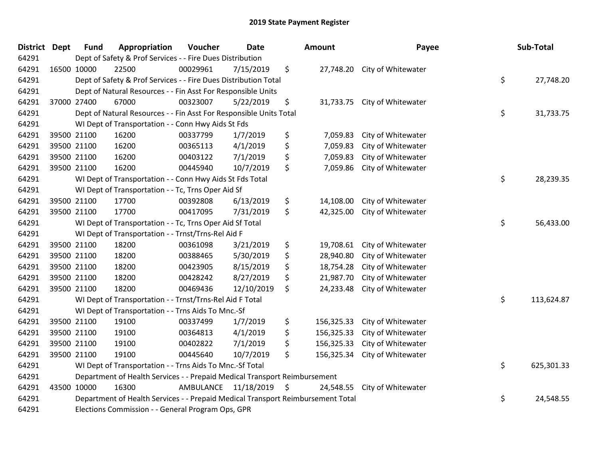## 2019 State Payment Register

| District | <b>Dept</b> | <b>Fund</b>                                                                                        | Appropriation                                            | Voucher   | <b>Date</b>   |    | <b>Amount</b> | Payee                        |    | Sub-Total  |
|----------|-------------|----------------------------------------------------------------------------------------------------|----------------------------------------------------------|-----------|---------------|----|---------------|------------------------------|----|------------|
| 64291    |             | Dept of Safety & Prof Services - - Fire Dues Distribution                                          |                                                          |           |               |    |               |                              |    |            |
| 64291    |             | 16500 10000                                                                                        | 22500                                                    | 00029961  | 7/15/2019     | \$ |               | 27,748.20 City of Whitewater |    |            |
| 64291    |             | \$<br>Dept of Safety & Prof Services - - Fire Dues Distribution Total                              |                                                          |           |               |    |               |                              |    | 27,748.20  |
| 64291    |             | Dept of Natural Resources - - Fin Asst For Responsible Units                                       |                                                          |           |               |    |               |                              |    |            |
| 64291    |             | 37000 27400                                                                                        | 67000                                                    | 00323007  | 5/22/2019     | \$ | 31,733.75     | City of Whitewater           |    |            |
| 64291    |             | \$<br>Dept of Natural Resources - - Fin Asst For Responsible Units Total                           |                                                          |           |               |    |               |                              |    |            |
| 64291    |             | WI Dept of Transportation - - Conn Hwy Aids St Fds                                                 |                                                          |           |               |    |               |                              |    |            |
| 64291    |             | 39500 21100                                                                                        | 16200                                                    | 00337799  | 1/7/2019      | \$ | 7,059.83      | City of Whitewater           |    |            |
| 64291    |             | 39500 21100                                                                                        | 16200                                                    | 00365113  | 4/1/2019      | \$ | 7,059.83      | City of Whitewater           |    |            |
| 64291    |             | 39500 21100                                                                                        | 16200                                                    | 00403122  | 7/1/2019      | \$ | 7,059.83      | City of Whitewater           |    |            |
| 64291    |             | 39500 21100                                                                                        | 16200                                                    | 00445940  | 10/7/2019     | \$ | 7,059.86      | City of Whitewater           |    |            |
| 64291    |             |                                                                                                    | WI Dept of Transportation - - Conn Hwy Aids St Fds Total |           |               |    |               |                              | \$ | 28,239.35  |
| 64291    |             | WI Dept of Transportation - - Tc, Trns Oper Aid Sf                                                 |                                                          |           |               |    |               |                              |    |            |
| 64291    |             | 39500 21100                                                                                        | 17700                                                    | 00392808  | 6/13/2019     | \$ | 14,108.00     | City of Whitewater           |    |            |
| 64291    |             | 39500 21100                                                                                        | 17700                                                    | 00417095  | 7/31/2019     | \$ | 42,325.00     | City of Whitewater           |    |            |
| 64291    |             | \$<br>WI Dept of Transportation - - Tc, Trns Oper Aid Sf Total                                     |                                                          |           |               |    |               |                              |    | 56,433.00  |
| 64291    |             | WI Dept of Transportation - - Trnst/Trns-Rel Aid F                                                 |                                                          |           |               |    |               |                              |    |            |
| 64291    |             | 39500 21100                                                                                        | 18200                                                    | 00361098  | 3/21/2019     | \$ | 19,708.61     | City of Whitewater           |    |            |
| 64291    |             | 39500 21100                                                                                        | 18200                                                    | 00388465  | 5/30/2019     | \$ | 28,940.80     | City of Whitewater           |    |            |
| 64291    |             | 39500 21100                                                                                        | 18200                                                    | 00423905  | 8/15/2019     | \$ | 18,754.28     | City of Whitewater           |    |            |
| 64291    |             | 39500 21100                                                                                        | 18200                                                    | 00428242  | 8/27/2019     | \$ | 21,987.70     | City of Whitewater           |    |            |
| 64291    |             | 39500 21100                                                                                        | 18200                                                    | 00469436  | 12/10/2019    | \$ | 24,233.48     | City of Whitewater           |    |            |
| 64291    |             | WI Dept of Transportation - - Trnst/Trns-Rel Aid F Total                                           |                                                          |           |               |    |               |                              |    | 113,624.87 |
| 64291    |             |                                                                                                    | WI Dept of Transportation - - Trns Aids To Mnc.-Sf       |           |               |    |               |                              |    |            |
| 64291    |             | 39500 21100                                                                                        | 19100                                                    | 00337499  | 1/7/2019      | \$ | 156,325.33    | City of Whitewater           |    |            |
| 64291    |             | 39500 21100                                                                                        | 19100                                                    | 00364813  | 4/1/2019      | \$ | 156,325.33    | City of Whitewater           |    |            |
| 64291    |             | 39500 21100                                                                                        | 19100                                                    | 00402822  | 7/1/2019      | \$ | 156,325.33    | City of Whitewater           |    |            |
| 64291    |             | 39500 21100                                                                                        | 19100                                                    | 00445640  | 10/7/2019     | \$ | 156,325.34    | City of Whitewater           |    |            |
| 64291    |             | WI Dept of Transportation - - Trns Aids To Mnc.-Sf Total                                           |                                                          |           |               |    |               |                              |    | 625,301.33 |
| 64291    |             | Department of Health Services - - Prepaid Medical Transport Reimbursement                          |                                                          |           |               |    |               |                              |    |            |
| 64291    |             | 43500 10000                                                                                        | 16300                                                    | AMBULANCE | 11/18/2019 \$ |    | 24,548.55     | City of Whitewater           |    |            |
| 64291    |             | \$<br>Department of Health Services - - Prepaid Medical Transport Reimbursement Total<br>24,548.55 |                                                          |           |               |    |               |                              |    |            |
| 64291    |             | Elections Commission - - General Program Ops, GPR                                                  |                                                          |           |               |    |               |                              |    |            |